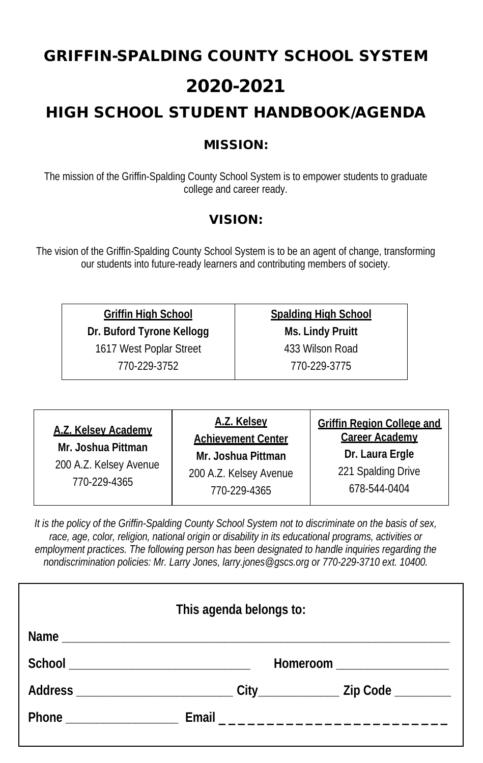# GRIFFIN-SPALDING COUNTY SCHOOL SYSTEM 2020-2021 HIGH SCHOOL STUDENT HANDBOOK/AGENDA

## MISSION:

The mission of the Griffin-Spalding County School System is to empower students to graduate college and career ready.

## VISION:

The vision of the Griffin-Spalding County School System is to be an agent of change, transforming our students into future-ready learners and contributing members of society.

**Griffin High School**

**Dr. Buford Tyrone Kellogg**

1617 West Poplar Street

770-229-3752

**Spalding High School Ms. Lindy Pruitt** 433 Wilson Road

770-229-3775

**A.Z. Kelsey Academy Mr. Joshua Pittman**

200 A.Z. Kelsey Avenue 770-229-4365

**A.Z. Kelsey Achievement Center Mr. Joshua Pittman** 200 A.Z. Kelsey Avenue 770-229-4365

**Griffin Region College and Career Academy Dr. Laura Ergle** 221 Spalding Drive 678-544-0404

*It is the policy of the Griffin-Spalding County School System not to discriminate on the basis of sex, race, age, color, religion, national origin or disability in its educational programs, activities or employment practices. The following person has been designated to handle inquiries regarding the nondiscrimination policies: Mr. Larry Jones, larry.jones@gscs.org or 770-229-3710 ext. 10400.*

| This agenda belongs to: |  |  |  |
|-------------------------|--|--|--|
|                         |  |  |  |
|                         |  |  |  |
|                         |  |  |  |
|                         |  |  |  |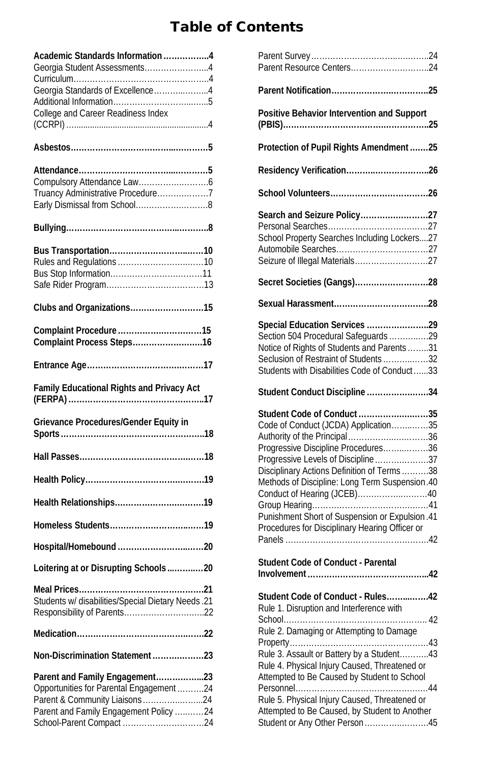# Table of Contents

| Academic Standards Information4<br>Georgia Student Assessments4<br>Georgia Standards of Excellence4<br>College and Career Readiness Index |
|-------------------------------------------------------------------------------------------------------------------------------------------|
|                                                                                                                                           |
| Truancy Administrative Procedure7<br>Early Dismissal from School8                                                                         |
|                                                                                                                                           |
|                                                                                                                                           |
| Clubs and Organizations15                                                                                                                 |
| Complaint Process Steps16                                                                                                                 |
|                                                                                                                                           |
| Family Educational Rights and Privacy Act                                                                                                 |
|                                                                                                                                           |
| Grievance Procedures/Gender Equity in                                                                                                     |
|                                                                                                                                           |
|                                                                                                                                           |
|                                                                                                                                           |
|                                                                                                                                           |
|                                                                                                                                           |
| Loitering at or Disrupting Schools 20                                                                                                     |
| Students w/ disabilities/Special Dietary Needs .21                                                                                        |
|                                                                                                                                           |
| Non-Discrimination Statement23                                                                                                            |

| Parent Resource Centers24                                                                                                                                                                                                                                                                                                                                                                                                                                                                                                                                      |  |
|----------------------------------------------------------------------------------------------------------------------------------------------------------------------------------------------------------------------------------------------------------------------------------------------------------------------------------------------------------------------------------------------------------------------------------------------------------------------------------------------------------------------------------------------------------------|--|
|                                                                                                                                                                                                                                                                                                                                                                                                                                                                                                                                                                |  |
| Positive Behavior Intervention and Support                                                                                                                                                                                                                                                                                                                                                                                                                                                                                                                     |  |
| Protection of Pupil Rights Amendment25                                                                                                                                                                                                                                                                                                                                                                                                                                                                                                                         |  |
|                                                                                                                                                                                                                                                                                                                                                                                                                                                                                                                                                                |  |
|                                                                                                                                                                                                                                                                                                                                                                                                                                                                                                                                                                |  |
| Search and Seizure Policy27<br>School Property Searches Including Lockers27<br>Seizure of Illegal Materials27                                                                                                                                                                                                                                                                                                                                                                                                                                                  |  |
| Secret Societies (Gangs)28                                                                                                                                                                                                                                                                                                                                                                                                                                                                                                                                     |  |
|                                                                                                                                                                                                                                                                                                                                                                                                                                                                                                                                                                |  |
| Special Education Services 29<br>Section 504 Procedural Safeguards 29<br>Notice of Rights of Students and Parents 31<br>Seclusion of Restraint of Students32<br>Students with Disabilities Code of Conduct33<br>Student Conduct Discipline 34<br>Student Code of Conduct35<br>Code of Conduct (JCDA) Application35<br>Authority of the Principal36<br>Progressive Discipline Procedures36<br>Progressive Levels of Discipline37<br>Disciplinary Actions Definition of Terms38<br>Methods of Discipline: Long Term Suspension.40<br>Conduct of Hearing (JCEB)40 |  |
| Punishment Short of Suspension or Expulsion .41<br>Procedures for Disciplinary Hearing Officer or<br>Student Code of Conduct - Parental                                                                                                                                                                                                                                                                                                                                                                                                                        |  |
|                                                                                                                                                                                                                                                                                                                                                                                                                                                                                                                                                                |  |
| Student Code of Conduct - Rules42<br>Rule 1. Disruption and Interference with<br>Rule 2. Damaging or Attempting to Damage<br>Rule 3. Assault or Battery by a Student43<br>Rule 4. Physical Injury Caused, Threatened or<br>Attempted to Be Caused by Student to School<br>Rule 5. Physical Injury Caused, Threatened or                                                                                                                                                                                                                                        |  |
| Attempted to Be Caused, by Student to Another<br>Student or Any Other Person45                                                                                                                                                                                                                                                                                                                                                                                                                                                                                 |  |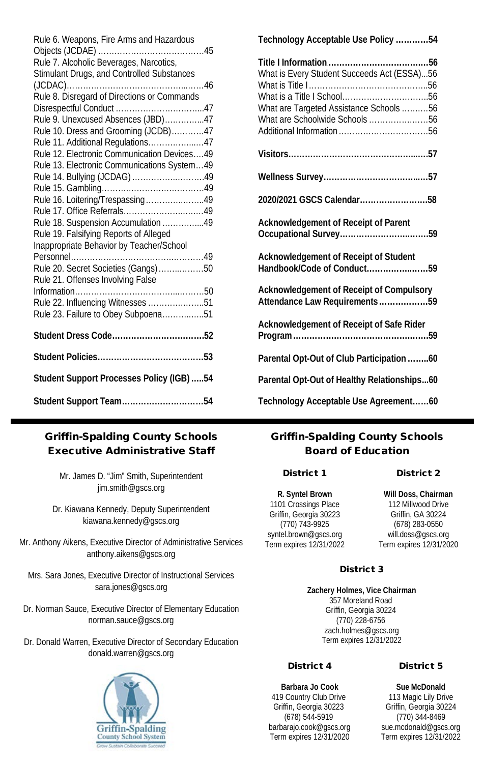| Rule 6. Weapons, Fire Arms and Hazardous<br>Rule 7. Alcoholic Beverages, Narcotics,<br>Stimulant Drugs, and Controlled Substances |
|-----------------------------------------------------------------------------------------------------------------------------------|
| Rule 8. Disregard of Directions or Commands                                                                                       |
|                                                                                                                                   |
| Rule 9. Unexcused Absences (JBD)47                                                                                                |
| Rule 10. Dress and Grooming (JCDB)47                                                                                              |
| Rule 11. Additional Regulations47                                                                                                 |
| Rule 12. Electronic Communication Devices49                                                                                       |
| Rule 13. Electronic Communications System49                                                                                       |
| Rule 14. Bullying (JCDAG) 49                                                                                                      |
|                                                                                                                                   |
| Rule 16. Loitering/Trespassing49                                                                                                  |
|                                                                                                                                   |
| Rule 18. Suspension Accumulation 49                                                                                               |
| Rule 19. Falsifying Reports of Alleged                                                                                            |
| Inappropriate Behavior by Teacher/School                                                                                          |
|                                                                                                                                   |
| Rule 20. Secret Societies (Gangs)50                                                                                               |
| Rule 21. Offenses Involving False                                                                                                 |
|                                                                                                                                   |
| Rule 22. Influencing Witnesses 51                                                                                                 |
| Rule 23. Failure to Obey Subpoena51                                                                                               |
|                                                                                                                                   |
|                                                                                                                                   |
| Student Support Processes Policy (IGB)54                                                                                          |
| Student Support Team54                                                                                                            |

#### Griffin-Spalding County Schools Executive Administrative Staff

Mr. James D. "Jim" Smith, Superintendent jim.smith@gscs.org

Dr. Kiawana Kennedy, Deputy Superintendent kiawana.kennedy@gscs.org

Mr. Anthony Aikens, Executive Director of Administrative Services anthony.aikens@gscs.org

Mrs. Sara Jones, Executive Director of Instructional Services sara.jones@gscs.org

Dr. Norman Sauce, Executive Director of Elementary Education norman.sauce@gscs.org

Dr. Donald Warren, Executive Director of Secondary Education donald.warren@gscs.org



| Technology Acceptable Use Policy54                                                                                                                    |  |
|-------------------------------------------------------------------------------------------------------------------------------------------------------|--|
| Title I Information<br>. 56<br>What is Every Student Succeeds Act (ESSA)56<br>What are Targeted Assistance Schools56<br>What are Schoolwide Schools56 |  |
|                                                                                                                                                       |  |
|                                                                                                                                                       |  |
| 2020/2021 GSCS Calendar58                                                                                                                             |  |
| Acknowledgement of Receipt of Parent                                                                                                                  |  |
| Acknowledgement of Receipt of Student<br>Handbook/Code of Conduct59                                                                                   |  |
| Acknowledgement of Receipt of Compulsory<br>Attendance Law Requirements59                                                                             |  |
| Acknowledgement of Receipt of Safe Rider                                                                                                              |  |
| Parental Opt-Out of Club Participation 60                                                                                                             |  |
| Parental Opt-Out of Healthy Relationships60                                                                                                           |  |
| Technology Acceptable Use Agreement60                                                                                                                 |  |

#### Griffin-Spalding County Schools Board of Education

#### District 1

#### District 2

**R. Syntel Brown** 1101 Crossings Place Griffin, Georgia 30223 (770) 743-9925 syntel.brown@gscs.org Term expires 12/31/2022

**Will Doss, Chairman** 112 Millwood Drive Griffin, GA 30224 (678) 283-0550 will.doss@gscs.org Term expires 12/31/2020

#### District 3

**Zachery Holmes, Vice Chairman** 357 Moreland Road Griffin, Georgia 30224 (770) 228-6756 zach.holmes@gscs.org Term expires 12/31/2022

#### District 4

**Barbara Jo Cook** 419 Country Club Drive Griffin, Georgia 30223 (678) 544-5919 barbarajo.cook@gscs.org Term expires 12/31/2020

#### District 5

**Sue McDonald** 113 Magic Lily Drive Griffin, Georgia 30224 (770) 344-8469 sue.mcdonald@gscs.org Term expires 12/31/2022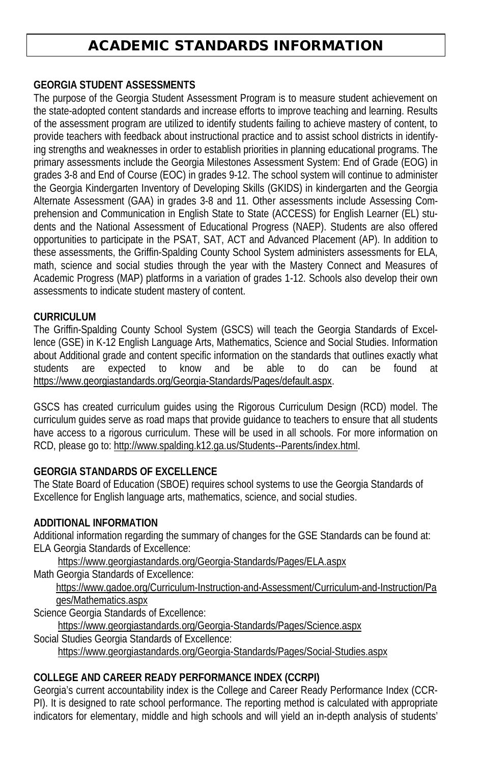# ACADEMIC STANDARDS INFORMATION

#### **GEORGIA STUDENT ASSESSMENTS**

The purpose of the Georgia Student Assessment Program is to measure student achievement on the state-adopted content standards and increase efforts to improve teaching and learning. Results of the assessment program are utilized to identify students failing to achieve mastery of content, to provide teachers with feedback about instructional practice and to assist school districts in identifying strengths and weaknesses in order to establish priorities in planning educational programs. The primary assessments include the Georgia Milestones Assessment System: End of Grade (EOG) in grades 3-8 and End of Course (EOC) in grades 9-12. The school system will continue to administer the Georgia Kindergarten Inventory of Developing Skills (GKIDS) in kindergarten and the Georgia Alternate Assessment (GAA) in grades 3-8 and 11. Other assessments include Assessing Comprehension and Communication in English State to State (ACCESS) for English Learner (EL) students and the National Assessment of Educational Progress (NAEP). Students are also offered opportunities to participate in the PSAT, SAT, ACT and Advanced Placement (AP). In addition to these assessments, the Griffin-Spalding County School System administers assessments for ELA, math, science and social studies through the year with the Mastery Connect and Measures of Academic Progress (MAP) platforms in a variation of grades 1-12. Schools also develop their own assessments to indicate student mastery of content.

#### **CURRICULUM**

The Griffin-Spalding County School System (GSCS) will teach the Georgia Standards of Excellence (GSE) in K-12 English Language Arts, Mathematics, Science and Social Studies. Information about Additional grade and content specific information on the standards that outlines exactly what students are expected to know and be able to do can be found at https://www.georgiastandards.org/Georgia-Standards/Pages/default.aspx.

GSCS has created curriculum guides using the Rigorous Curriculum Design (RCD) model. The curriculum guides serve as road maps that provide guidance to teachers to ensure that all students have access to a rigorous curriculum. These will be used in all schools. For more information on RCD, please go to: http://www.spalding.k12.ga.us/Students--Parents/index.html.

#### **GEORGIA STANDARDS OF EXCELLENCE**

The State Board of Education (SBOE) requires school systems to use the Georgia Standards of Excellence for English language arts, mathematics, science, and social studies.

#### **ADDITIONAL INFORMATION**

Additional information regarding the summary of changes for the GSE Standards can be found at: ELA Georgia Standards of Excellence:

https://www.georgiastandards.org/Georgia-Standards/Pages/ELA.aspx

Math Georgia Standards of Excellence:

https://www.gadoe.org/Curriculum-Instruction-and-Assessment/Curriculum-and-Instruction/Pa ges/Mathematics.aspx

Science Georgia Standards of Excellence:

https://www.georgiastandards.org/Georgia-Standards/Pages/Science.aspx

Social Studies Georgia Standards of Excellence:

https://www.georgiastandards.org/Georgia-Standards/Pages/Social-Studies.aspx

#### **COLLEGE AND CAREER READY PERFORMANCE INDEX (CCRPI)**

Georgia's current accountability index is the College and Career Ready Performance Index (CCR-PI). It is designed to rate school performance. The reporting method is calculated with appropriate indicators for elementary, middle and high schools and will yield an in-depth analysis of students'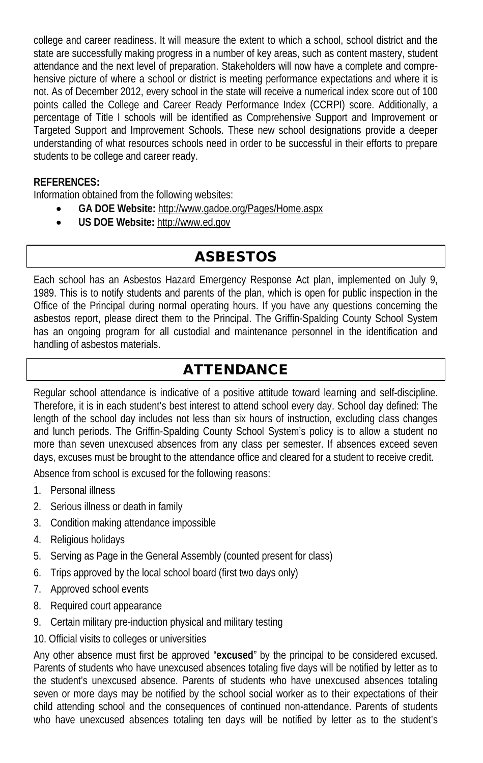college and career readiness. It will measure the extent to which a school, school district and the state are successfully making progress in a number of key areas, such as content mastery, student attendance and the next level of preparation. Stakeholders will now have a complete and comprehensive picture of where a school or district is meeting performance expectations and where it is not. As of December 2012, every school in the state will receive a numerical index score out of 100 points called the College and Career Ready Performance Index (CCRPI) score. Additionally, a percentage of Title I schools will be identified as Comprehensive Support and Improvement or Targeted Support and Improvement Schools. These new school designations provide a deeper understanding of what resources schools need in order to be successful in their efforts to prepare students to be college and career ready.

#### **REFERENCES:**

Information obtained from the following websites:

- **GA DOE Website:** http://www.gadoe.org/Pages/Home.aspx
- **US DOE Website:** http://www.ed.gov

# ASBESTOS

Each school has an Asbestos Hazard Emergency Response Act plan, implemented on July 9, 1989. This is to notify students and parents of the plan, which is open for public inspection in the Office of the Principal during normal operating hours. If you have any questions concerning the asbestos report, please direct them to the Principal. The Griffin-Spalding County School System has an ongoing program for all custodial and maintenance personnel in the identification and handling of asbestos materials.

# ATTENDANCE

Regular school attendance is indicative of a positive attitude toward learning and self-discipline. Therefore, it is in each student's best interest to attend school every day. School day defined: The length of the school day includes not less than six hours of instruction, excluding class changes and lunch periods. The Griffin-Spalding County School System's policy is to allow a student no more than seven unexcused absences from any class per semester. If absences exceed seven days, excuses must be brought to the attendance office and cleared for a student to receive credit.

Absence from school is excused for the following reasons:

- 1. Personal illness
- 2. Serious illness or death in family
- 3. Condition making attendance impossible
- 4. Religious holidays
- 5. Serving as Page in the General Assembly (counted present for class)
- 6. Trips approved by the local school board (first two days only)
- 7. Approved school events
- 8. Required court appearance
- 9. Certain military pre-induction physical and military testing
- 10. Official visits to colleges or universities

Any other absence must first be approved "**excused**" by the principal to be considered excused. Parents of students who have unexcused absences totaling five days will be notified by letter as to the student's unexcused absence. Parents of students who have unexcused absences totaling seven or more days may be notified by the school social worker as to their expectations of their child attending school and the consequences of continued non-attendance. Parents of students who have unexcused absences totaling ten days will be notified by letter as to the student's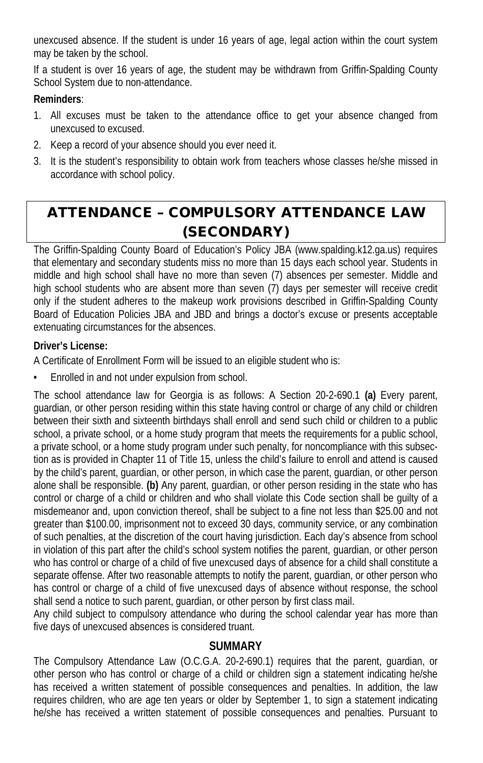unexcused absence. If the student is under 16 years of age, legal action within the court system may be taken by the school.

If a student is over 16 years of age, the student may be withdrawn from Griffin-Spalding County School System due to non-attendance.

#### **Reminders**:

- 1. All excuses must be taken to the attendance office to get your absence changed from unexcused to excused.
- 2. Keep a record of your absence should you ever need it.
- 3. It is the student's responsibility to obtain work from teachers whose classes he/she missed in accordance with school policy.

# ATTENDANCE – COMPULSORY ATTENDANCE LAW (SECONDARY)

The Griffin-Spalding County Board of Education's Policy JBA (www.spalding.k12.ga.us) requires that elementary and secondary students miss no more than 15 days each school year. Students in middle and high school shall have no more than seven (7) absences per semester. Middle and high school students who are absent more than seven (7) days per semester will receive credit only if the student adheres to the makeup work provisions described in Griffin-Spalding County Board of Education Policies JBA and JBD and brings a doctor's excuse or presents acceptable extenuating circumstances for the absences.

#### **Driver's License:**

A Certificate of Enrollment Form will be issued to an eligible student who is:

Enrolled in and not under expulsion from school.

The school attendance law for Georgia is as follows: A Section 20-2-690.1 **(a)** Every parent, guardian, or other person residing within this state having control or charge of any child or children between their sixth and sixteenth birthdays shall enroll and send such child or children to a public school, a private school, or a home study program that meets the requirements for a public school, a private school, or a home study program under such penalty, for noncompliance with this subsection as is provided in Chapter 11 of Title 15, unless the child's failure to enroll and attend is caused by the child's parent, guardian, or other person, in which case the parent, guardian, or other person alone shall be responsible. **(b)** Any parent, guardian, or other person residing in the state who has control or charge of a child or children and who shall violate this Code section shall be guilty of a misdemeanor and, upon conviction thereof, shall be subject to a fine not less than \$25.00 and not greater than \$100.00, imprisonment not to exceed 30 days, community service, or any combination of such penalties, at the discretion of the court having jurisdiction. Each day's absence from school in violation of this part after the child's school system notifies the parent, guardian, or other person who has control or charge of a child of five unexcused days of absence for a child shall constitute a separate offense. After two reasonable attempts to notify the parent, guardian, or other person who has control or charge of a child of five unexcused days of absence without response, the school shall send a notice to such parent, guardian, or other person by first class mail.

Any child subject to compulsory attendance who during the school calendar year has more than five days of unexcused absences is considered truant.

#### **SUMMARY**

The Compulsory Attendance Law (O.C.G.A. 20-2-690.1) requires that the parent, guardian, or other person who has control or charge of a child or children sign a statement indicating he/she has received a written statement of possible consequences and penalties. In addition, the law requires children, who are age ten years or older by September 1, to sign a statement indicating he/she has received a written statement of possible consequences and penalties. Pursuant to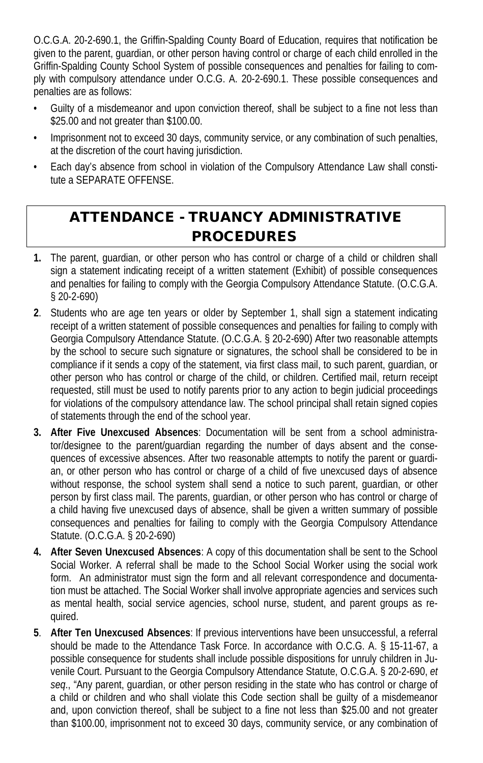O.C.G.A. 20-2-690.1, the Griffin-Spalding County Board of Education, requires that notification be given to the parent, guardian, or other person having control or charge of each child enrolled in the Griffin-Spalding County School System of possible consequences and penalties for failing to comply with compulsory attendance under O.C.G. A. 20-2-690.1. These possible consequences and penalties are as follows:

- Guilty of a misdemeanor and upon conviction thereof, shall be subject to a fine not less than \$25.00 and not greater than \$100.00.
- Imprisonment not to exceed 30 days, community service, or any combination of such penalties, at the discretion of the court having jurisdiction.
- Each day's absence from school in violation of the Compulsory Attendance Law shall constitute a SEPARATE OFFENSE.

# ATTENDANCE - TRUANCY ADMINISTRATIVE PROCEDURES

- **1.** The parent, guardian, or other person who has control or charge of a child or children shall sign a statement indicating receipt of a written statement (Exhibit) of possible consequences and penalties for failing to comply with the Georgia Compulsory Attendance Statute. (O.C.G.A. § 20-2-690)
- **2**. Students who are age ten years or older by September 1, shall sign a statement indicating receipt of a written statement of possible consequences and penalties for failing to comply with Georgia Compulsory Attendance Statute. (O.C.G.A. § 20-2-690) After two reasonable attempts by the school to secure such signature or signatures, the school shall be considered to be in compliance if it sends a copy of the statement, via first class mail, to such parent, guardian, or other person who has control or charge of the child, or children. Certified mail, return receipt requested, still must be used to notify parents prior to any action to begin judicial proceedings for violations of the compulsory attendance law. The school principal shall retain signed copies of statements through the end of the school year.
- **3. After Five Unexcused Absences**: Documentation will be sent from a school administrator/designee to the parent/guardian regarding the number of days absent and the consequences of excessive absences. After two reasonable attempts to notify the parent or guardian, or other person who has control or charge of a child of five unexcused days of absence without response, the school system shall send a notice to such parent, guardian, or other person by first class mail. The parents, guardian, or other person who has control or charge of a child having five unexcused days of absence, shall be given a written summary of possible consequences and penalties for failing to comply with the Georgia Compulsory Attendance Statute. (O.C.G.A. § 20-2-690)
- **4. After Seven Unexcused Absences**: A copy of this documentation shall be sent to the School Social Worker. A referral shall be made to the School Social Worker using the social work form. An administrator must sign the form and all relevant correspondence and documentation must be attached. The Social Worker shall involve appropriate agencies and services such as mental health, social service agencies, school nurse, student, and parent groups as required.
- **5**. **After Ten Unexcused Absences**: If previous interventions have been unsuccessful, a referral should be made to the Attendance Task Force. In accordance with O.C.G. A. § 15-11-67, a possible consequence for students shall include possible dispositions for unruly children in Juvenile Court. Pursuant to the Georgia Compulsory Attendance Statute, O.C.G.A. § 20-2-690, *et seq*., "Any parent, guardian, or other person residing in the state who has control or charge of a child or children and who shall violate this Code section shall be guilty of a misdemeanor and, upon conviction thereof, shall be subject to a fine not less than \$25.00 and not greater than \$100.00, imprisonment not to exceed 30 days, community service, or any combination of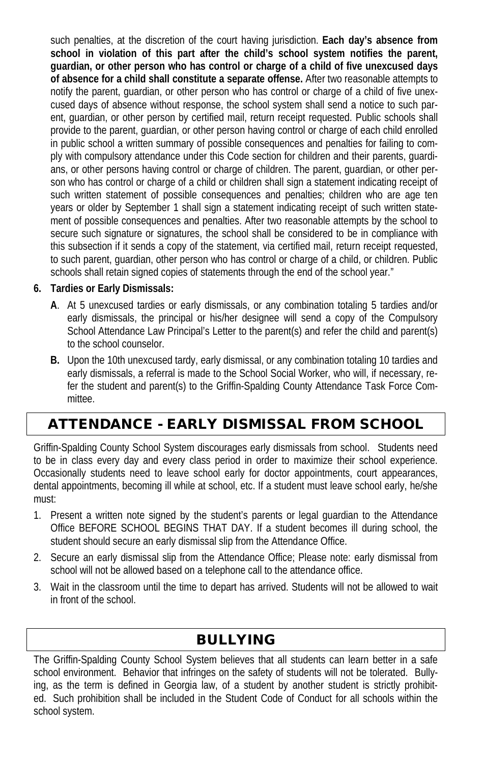such penalties, at the discretion of the court having jurisdiction. **Each day's absence from school in violation of this part after the child's school system notifies the parent, guardian, or other person who has control or charge of a child of five unexcused days of absence for a child shall constitute a separate offense.** After two reasonable attempts to notify the parent, guardian, or other person who has control or charge of a child of five unexcused days of absence without response, the school system shall send a notice to such parent, guardian, or other person by certified mail, return receipt requested. Public schools shall provide to the parent, guardian, or other person having control or charge of each child enrolled in public school a written summary of possible consequences and penalties for failing to comply with compulsory attendance under this Code section for children and their parents, guardians, or other persons having control or charge of children. The parent, guardian, or other person who has control or charge of a child or children shall sign a statement indicating receipt of such written statement of possible consequences and penalties; children who are age ten years or older by September 1 shall sign a statement indicating receipt of such written statement of possible consequences and penalties. After two reasonable attempts by the school to secure such signature or signatures, the school shall be considered to be in compliance with this subsection if it sends a copy of the statement, via certified mail, return receipt requested, to such parent, guardian, other person who has control or charge of a child, or children. Public schools shall retain signed copies of statements through the end of the school year."

#### **6. Tardies or Early Dismissals:**

- **A**. At 5 unexcused tardies or early dismissals, or any combination totaling 5 tardies and/or early dismissals, the principal or his/her designee will send a copy of the Compulsory School Attendance Law Principal's Letter to the parent(s) and refer the child and parent(s) to the school counselor.
- **B.** Upon the 10th unexcused tardy, early dismissal, or any combination totaling 10 tardies and early dismissals, a referral is made to the School Social Worker, who will, if necessary, refer the student and parent(s) to the Griffin-Spalding County Attendance Task Force Committee.

# ATTENDANCE - EARLY DISMISSAL FROM SCHOOL

Griffin-Spalding County School System discourages early dismissals from school. Students need to be in class every day and every class period in order to maximize their school experience. Occasionally students need to leave school early for doctor appointments, court appearances, dental appointments, becoming ill while at school, etc. If a student must leave school early, he/she must:

- 1. Present a written note signed by the student's parents or legal guardian to the Attendance Office BEFORE SCHOOL BEGINS THAT DAY. If a student becomes ill during school, the student should secure an early dismissal slip from the Attendance Office.
- 2. Secure an early dismissal slip from the Attendance Office; Please note: early dismissal from school will not be allowed based on a telephone call to the attendance office.
- 3. Wait in the classroom until the time to depart has arrived. Students will not be allowed to wait in front of the school.

# BULLYING

The Griffin-Spalding County School System believes that all students can learn better in a safe school environment. Behavior that infringes on the safety of students will not be tolerated. Bullying, as the term is defined in Georgia law, of a student by another student is strictly prohibited. Such prohibition shall be included in the Student Code of Conduct for all schools within the school system.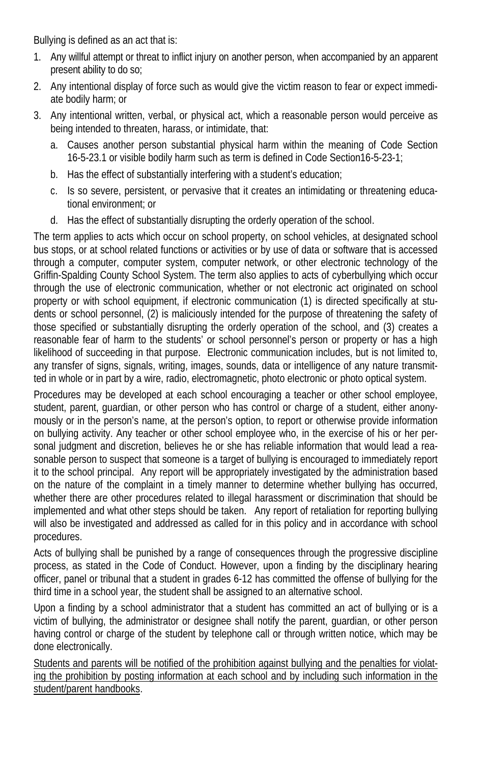Bullying is defined as an act that is:

- 1. Any willful attempt or threat to inflict injury on another person, when accompanied by an apparent present ability to do so;
- 2. Any intentional display of force such as would give the victim reason to fear or expect immediate bodily harm; or
- 3. Any intentional written, verbal, or physical act, which a reasonable person would perceive as being intended to threaten, harass, or intimidate, that:
	- a. Causes another person substantial physical harm within the meaning of Code Section 16-5-23.1 or visible bodily harm such as term is defined in Code Section16-5-23-1;
	- b. Has the effect of substantially interfering with a student's education;
	- c. Is so severe, persistent, or pervasive that it creates an intimidating or threatening educational environment; or
	- d. Has the effect of substantially disrupting the orderly operation of the school.

The term applies to acts which occur on school property, on school vehicles, at designated school bus stops, or at school related functions or activities or by use of data or software that is accessed through a computer, computer system, computer network, or other electronic technology of the Griffin-Spalding County School System. The term also applies to acts of cyberbullying which occur through the use of electronic communication, whether or not electronic act originated on school property or with school equipment, if electronic communication (1) is directed specifically at students or school personnel, (2) is maliciously intended for the purpose of threatening the safety of those specified or substantially disrupting the orderly operation of the school, and (3) creates a reasonable fear of harm to the students' or school personnel's person or property or has a high likelihood of succeeding in that purpose. Electronic communication includes, but is not limited to, any transfer of signs, signals, writing, images, sounds, data or intelligence of any nature transmitted in whole or in part by a wire, radio, electromagnetic, photo electronic or photo optical system.

Procedures may be developed at each school encouraging a teacher or other school employee, student, parent, guardian, or other person who has control or charge of a student, either anonymously or in the person's name, at the person's option, to report or otherwise provide information on bullying activity. Any teacher or other school employee who, in the exercise of his or her personal judgment and discretion, believes he or she has reliable information that would lead a reasonable person to suspect that someone is a target of bullying is encouraged to immediately report it to the school principal. Any report will be appropriately investigated by the administration based on the nature of the complaint in a timely manner to determine whether bullying has occurred, whether there are other procedures related to illegal harassment or discrimination that should be implemented and what other steps should be taken. Any report of retaliation for reporting bullying will also be investigated and addressed as called for in this policy and in accordance with school procedures.

Acts of bullying shall be punished by a range of consequences through the progressive discipline process, as stated in the Code of Conduct. However, upon a finding by the disciplinary hearing officer, panel or tribunal that a student in grades 6-12 has committed the offense of bullying for the third time in a school year, the student shall be assigned to an alternative school.

Upon a finding by a school administrator that a student has committed an act of bullying or is a victim of bullying, the administrator or designee shall notify the parent, guardian, or other person having control or charge of the student by telephone call or through written notice, which may be done electronically.

Students and parents will be notified of the prohibition against bullying and the penalties for violating the prohibition by posting information at each school and by including such information in the student/parent handbooks.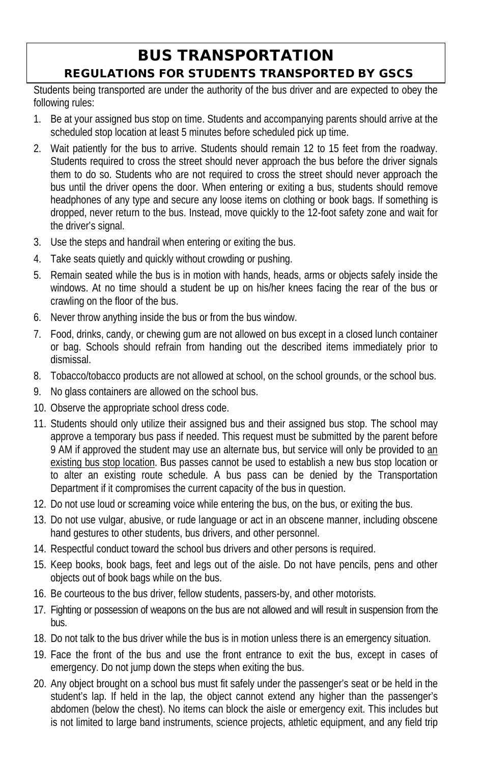# BUS TRANSPORTATION REGULATIONS FOR STUDENTS TRANSPORTED BY GSCS

Students being transported are under the authority of the bus driver and are expected to obey the following rules:

- 1. Be at your assigned bus stop on time. Students and accompanying parents should arrive at the scheduled stop location at least 5 minutes before scheduled pick up time.
- 2. Wait patiently for the bus to arrive. Students should remain 12 to 15 feet from the roadway. Students required to cross the street should never approach the bus before the driver signals them to do so. Students who are not required to cross the street should never approach the bus until the driver opens the door. When entering or exiting a bus, students should remove headphones of any type and secure any loose items on clothing or book bags. If something is dropped, never return to the bus. Instead, move quickly to the 12-foot safety zone and wait for the driver's signal.
- 3. Use the steps and handrail when entering or exiting the bus.
- 4. Take seats quietly and quickly without crowding or pushing.
- 5. Remain seated while the bus is in motion with hands, heads, arms or objects safely inside the windows. At no time should a student be up on his/her knees facing the rear of the bus or crawling on the floor of the bus.
- 6. Never throw anything inside the bus or from the bus window.
- 7. Food, drinks, candy, or chewing gum are not allowed on bus except in a closed lunch container or bag. Schools should refrain from handing out the described items immediately prior to dismissal.
- 8. Tobacco/tobacco products are not allowed at school, on the school grounds, or the school bus.
- 9. No glass containers are allowed on the school bus.
- 10. Observe the appropriate school dress code.
- 11. Students should only utilize their assigned bus and their assigned bus stop. The school may approve a temporary bus pass if needed. This request must be submitted by the parent before 9 AM if approved the student may use an alternate bus, but service will only be provided to an existing bus stop location. Bus passes cannot be used to establish a new bus stop location or to alter an existing route schedule. A bus pass can be denied by the Transportation Department if it compromises the current capacity of the bus in question.
- 12. Do not use loud or screaming voice while entering the bus, on the bus, or exiting the bus.
- 13. Do not use vulgar, abusive, or rude language or act in an obscene manner, including obscene hand gestures to other students, bus drivers, and other personnel.
- 14. Respectful conduct toward the school bus drivers and other persons is required.
- 15. Keep books, book bags, feet and legs out of the aisle. Do not have pencils, pens and other objects out of book bags while on the bus.
- 16. Be courteous to the bus driver, fellow students, passers-by, and other motorists.
- 17. Fighting or possession of weapons on the bus are not allowed and will result in suspension from the bus.
- 18. Do not talk to the bus driver while the bus is in motion unless there is an emergency situation.
- 19. Face the front of the bus and use the front entrance to exit the bus, except in cases of emergency. Do not jump down the steps when exiting the bus.
- 20. Any object brought on a school bus must fit safely under the passenger's seat or be held in the student's lap. If held in the lap, the object cannot extend any higher than the passenger's abdomen (below the chest). No items can block the aisle or emergency exit. This includes but is not limited to large band instruments, science projects, athletic equipment, and any field trip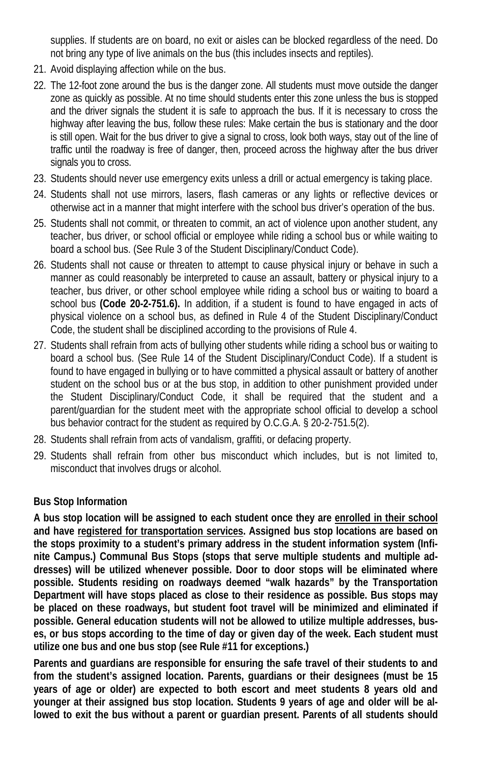supplies. If students are on board, no exit or aisles can be blocked regardless of the need. Do not bring any type of live animals on the bus (this includes insects and reptiles).

- 21. Avoid displaying affection while on the bus.
- 22. The 12-foot zone around the bus is the danger zone. All students must move outside the danger zone as quickly as possible. At no time should students enter this zone unless the bus is stopped and the driver signals the student it is safe to approach the bus. If it is necessary to cross the highway after leaving the bus, follow these rules: Make certain the bus is stationary and the door is still open. Wait for the bus driver to give a signal to cross, look both ways, stay out of the line of traffic until the roadway is free of danger, then, proceed across the highway after the bus driver signals you to cross.
- 23. Students should never use emergency exits unless a drill or actual emergency is taking place.
- 24. Students shall not use mirrors, lasers, flash cameras or any lights or reflective devices or otherwise act in a manner that might interfere with the school bus driver's operation of the bus.
- 25. Students shall not commit, or threaten to commit, an act of violence upon another student, any teacher, bus driver, or school official or employee while riding a school bus or while waiting to board a school bus. (See Rule 3 of the Student Disciplinary/Conduct Code).
- 26. Students shall not cause or threaten to attempt to cause physical injury or behave in such a manner as could reasonably be interpreted to cause an assault, battery or physical injury to a teacher, bus driver, or other school employee while riding a school bus or waiting to board a school bus **(Code 20-2-751.6).** In addition, if a student is found to have engaged in acts of physical violence on a school bus, as defined in Rule 4 of the Student Disciplinary/Conduct Code, the student shall be disciplined according to the provisions of Rule 4.
- 27. Students shall refrain from acts of bullying other students while riding a school bus or waiting to board a school bus. (See Rule 14 of the Student Disciplinary/Conduct Code). If a student is found to have engaged in bullying or to have committed a physical assault or battery of another student on the school bus or at the bus stop, in addition to other punishment provided under the Student Disciplinary/Conduct Code, it shall be required that the student and a parent/guardian for the student meet with the appropriate school official to develop a school bus behavior contract for the student as required by O.C.G.A. § 20-2-751.5(2).
- 28. Students shall refrain from acts of vandalism, graffiti, or defacing property.
- 29. Students shall refrain from other bus misconduct which includes, but is not limited to, misconduct that involves drugs or alcohol.

### **Bus Stop Information**

**A bus stop location will be assigned to each student once they are enrolled in their school and have registered for transportation services. Assigned bus stop locations are based on the stops proximity to a student's primary address in the student information system (Infinite Campus.) Communal Bus Stops (stops that serve multiple students and multiple addresses) will be utilized whenever possible. Door to door stops will be eliminated where possible. Students residing on roadways deemed "walk hazards" by the Transportation Department will have stops placed as close to their residence as possible. Bus stops may be placed on these roadways, but student foot travel will be minimized and eliminated if possible. General education students will not be allowed to utilize multiple addresses, buses, or bus stops according to the time of day or given day of the week. Each student must utilize one bus and one bus stop (see Rule #11 for exceptions.)**

**Parents and guardians are responsible for ensuring the safe travel of their students to and from the student's assigned location. Parents, guardians or their designees (must be 15 years of age or older) are expected to both escort and meet students 8 years old and younger at their assigned bus stop location. Students 9 years of age and older will be allowed to exit the bus without a parent or guardian present. Parents of all students should**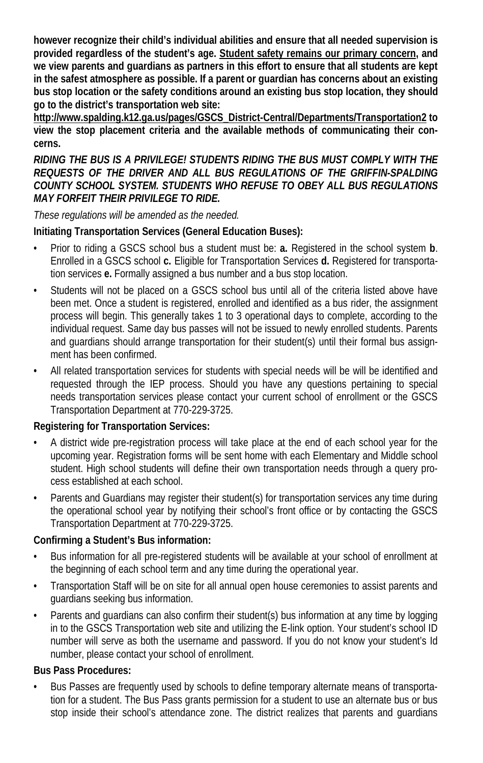**however recognize their child's individual abilities and ensure that all needed supervision is provided regardless of the student's age. Student safety remains our primary concern, and we view parents and guardians as partners in this effort to ensure that all students are kept in the safest atmosphere as possible. If a parent or guardian has concerns about an existing bus stop location or the safety conditions around an existing bus stop location, they should go to the district's transportation web site:** 

**http://www.spalding.k12.ga.us/pages/GSCS\_District-Central/Departments/Transportation2 to view the stop placement criteria and the available methods of communicating their concerns.**

*RIDING THE BUS IS A PRIVILEGE! STUDENTS RIDING THE BUS MUST COMPLY WITH THE REQUESTS OF THE DRIVER AND ALL BUS REGULATIONS OF THE GRIFFIN-SPALDING COUNTY SCHOOL SYSTEM. STUDENTS WHO REFUSE TO OBEY ALL BUS REGULATIONS MAY FORFEIT THEIR PRIVILEGE TO RIDE.*

*These regulations will be amended as the needed.*

#### **Initiating Transportation Services (General Education Buses):**

- Prior to riding a GSCS school bus a student must be: **a.** Registered in the school system **b**. Enrolled in a GSCS school **c.** Eligible for Transportation Services **d.** Registered for transportation services **e.** Formally assigned a bus number and a bus stop location.
- Students will not be placed on a GSCS school bus until all of the criteria listed above have been met. Once a student is registered, enrolled and identified as a bus rider, the assignment process will begin. This generally takes 1 to 3 operational days to complete, according to the individual request. Same day bus passes will not be issued to newly enrolled students. Parents and guardians should arrange transportation for their student(s) until their formal bus assignment has been confirmed.
- All related transportation services for students with special needs will be will be identified and requested through the IEP process. Should you have any questions pertaining to special needs transportation services please contact your current school of enrollment or the GSCS Transportation Department at 770-229-3725.

#### **Registering for Transportation Services:**

- A district wide pre-registration process will take place at the end of each school year for the upcoming year. Registration forms will be sent home with each Elementary and Middle school student. High school students will define their own transportation needs through a query process established at each school.
- Parents and Guardians may register their student(s) for transportation services any time during the operational school year by notifying their school's front office or by contacting the GSCS Transportation Department at 770-229-3725.

#### **Confirming a Student's Bus information:**

- Bus information for all pre-registered students will be available at your school of enrollment at the beginning of each school term and any time during the operational year.
- Transportation Staff will be on site for all annual open house ceremonies to assist parents and guardians seeking bus information.
- Parents and guardians can also confirm their student(s) bus information at any time by logging in to the GSCS Transportation web site and utilizing the E-link option. Your student's school ID number will serve as both the username and password. If you do not know your student's Id number, please contact your school of enrollment.

### **Bus Pass Procedures:**

• Bus Passes are frequently used by schools to define temporary alternate means of transportation for a student. The Bus Pass grants permission for a student to use an alternate bus or bus stop inside their school's attendance zone. The district realizes that parents and guardians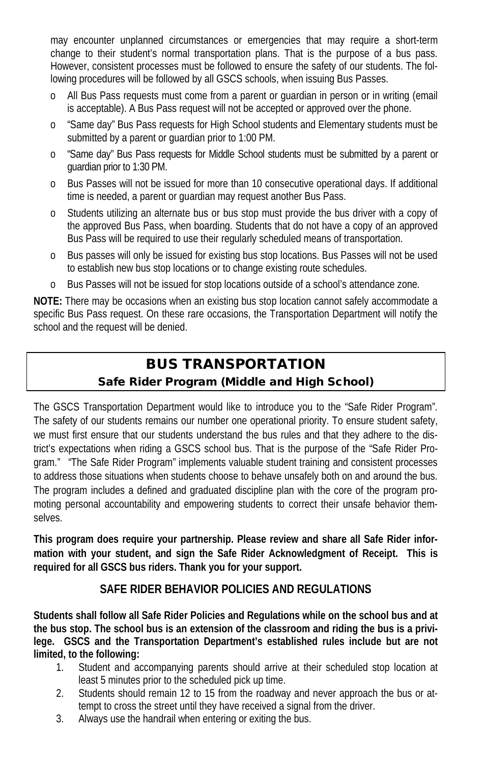may encounter unplanned circumstances or emergencies that may require a short-term change to their student's normal transportation plans. That is the purpose of a bus pass. However, consistent processes must be followed to ensure the safety of our students. The following procedures will be followed by all GSCS schools, when issuing Bus Passes.

- o All Bus Pass requests must come from a parent or guardian in person or in writing (email is acceptable). A Bus Pass request will not be accepted or approved over the phone.
- o "Same day" Bus Pass requests for High School students and Elementary students must be submitted by a parent or guardian prior to 1:00 PM.
- o "Same day" Bus Pass requests for Middle School students must be submitted by a parent or guardian prior to 1:30 PM.
- o Bus Passes will not be issued for more than 10 consecutive operational days. If additional time is needed, a parent or guardian may request another Bus Pass.
- o Students utilizing an alternate bus or bus stop must provide the bus driver with a copy of the approved Bus Pass, when boarding. Students that do not have a copy of an approved Bus Pass will be required to use their regularly scheduled means of transportation.
- o Bus passes will only be issued for existing bus stop locations. Bus Passes will not be used to establish new bus stop locations or to change existing route schedules.
- Bus Passes will not be issued for stop locations outside of a school's attendance zone.

**NOTE:** There may be occasions when an existing bus stop location cannot safely accommodate a specific Bus Pass request. On these rare occasions, the Transportation Department will notify the school and the request will be denied.

# BUS TRANSPORTATION Safe Rider Program (Middle and High School)

The GSCS Transportation Department would like to introduce you to the "Safe Rider Program". The safety of our students remains our number one operational priority. To ensure student safety, we must first ensure that our students understand the bus rules and that they adhere to the district's expectations when riding a GSCS school bus. That is the purpose of the "Safe Rider Program." "The Safe Rider Program" implements valuable student training and consistent processes to address those situations when students choose to behave unsafely both on and around the bus. The program includes a defined and graduated discipline plan with the core of the program promoting personal accountability and empowering students to correct their unsafe behavior themselves.

**This program does require your partnership. Please review and share all Safe Rider information with your student, and sign the Safe Rider Acknowledgment of Receipt. This is required for all GSCS bus riders. Thank you for your support.**

## **SAFE RIDER BEHAVIOR POLICIES AND REGULATIONS**

**Students shall follow all Safe Rider Policies and Regulations while on the school bus and at the bus stop. The school bus is an extension of the classroom and riding the bus is a privilege. GSCS and the Transportation Department's established rules include but are not limited, to the following:**

- 1. Student and accompanying parents should arrive at their scheduled stop location at least 5 minutes prior to the scheduled pick up time.
- 2. Students should remain 12 to 15 from the roadway and never approach the bus or attempt to cross the street until they have received a signal from the driver.
- 3. Always use the handrail when entering or exiting the bus.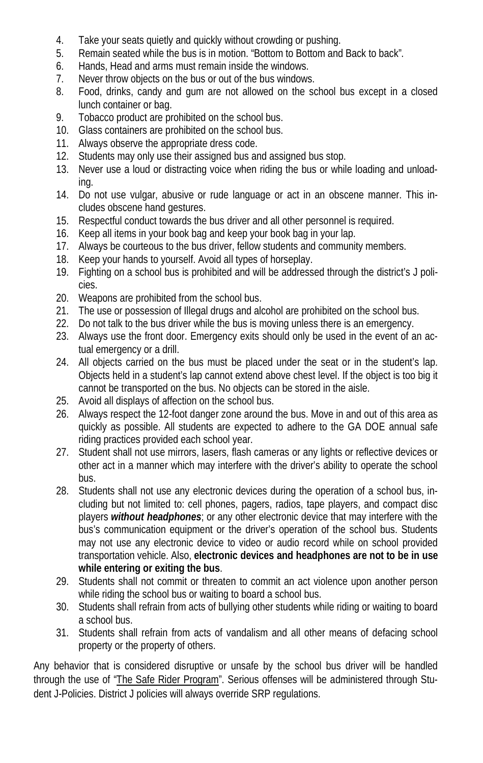- 4. Take your seats quietly and quickly without crowding or pushing.
- 5. Remain seated while the bus is in motion. "Bottom to Bottom and Back to back".
- 6. Hands, Head and arms must remain inside the windows.
- 7. Never throw objects on the bus or out of the bus windows.
- 8. Food, drinks, candy and gum are not allowed on the school bus except in a closed lunch container or bag.
- 9. Tobacco product are prohibited on the school bus.
- 10. Glass containers are prohibited on the school bus.
- 11. Always observe the appropriate dress code.
- 12. Students may only use their assigned bus and assigned bus stop.
- 13. Never use a loud or distracting voice when riding the bus or while loading and unloading.
- 14. Do not use vulgar, abusive or rude language or act in an obscene manner. This includes obscene hand gestures.
- 15. Respectful conduct towards the bus driver and all other personnel is required.
- 16. Keep all items in your book bag and keep your book bag in your lap.
- 17. Always be courteous to the bus driver, fellow students and community members.
- 18. Keep your hands to yourself. Avoid all types of horseplay.
- 19. Fighting on a school bus is prohibited and will be addressed through the district's J policies.
- 20. Weapons are prohibited from the school bus.
- 21. The use or possession of Illegal drugs and alcohol are prohibited on the school bus.
- 22. Do not talk to the bus driver while the bus is moving unless there is an emergency.
- 23. Always use the front door. Emergency exits should only be used in the event of an actual emergency or a drill.
- 24. All objects carried on the bus must be placed under the seat or in the student's lap. Objects held in a student's lap cannot extend above chest level. If the object is too big it cannot be transported on the bus. No objects can be stored in the aisle.
- 25. Avoid all displays of affection on the school bus.
- 26. Always respect the 12-foot danger zone around the bus. Move in and out of this area as quickly as possible. All students are expected to adhere to the GA DOE annual safe riding practices provided each school year.
- 27. Student shall not use mirrors, lasers, flash cameras or any lights or reflective devices or other act in a manner which may interfere with the driver's ability to operate the school bus.
- 28. Students shall not use any electronic devices during the operation of a school bus, including but not limited to: cell phones, pagers, radios, tape players, and compact disc players *without headphones*; or any other electronic device that may interfere with the bus's communication equipment or the driver's operation of the school bus. Students may not use any electronic device to video or audio record while on school provided transportation vehicle. Also, **electronic devices and headphones are not to be in use while entering or exiting the bus**.
- 29. Students shall not commit or threaten to commit an act violence upon another person while riding the school bus or waiting to board a school bus.
- 30. Students shall refrain from acts of bullying other students while riding or waiting to board a school bus.
- 31. Students shall refrain from acts of vandalism and all other means of defacing school property or the property of others.

Any behavior that is considered disruptive or unsafe by the school bus driver will be handled through the use of "The Safe Rider Program". Serious offenses will be administered through Student J-Policies. District J policies will always override SRP regulations.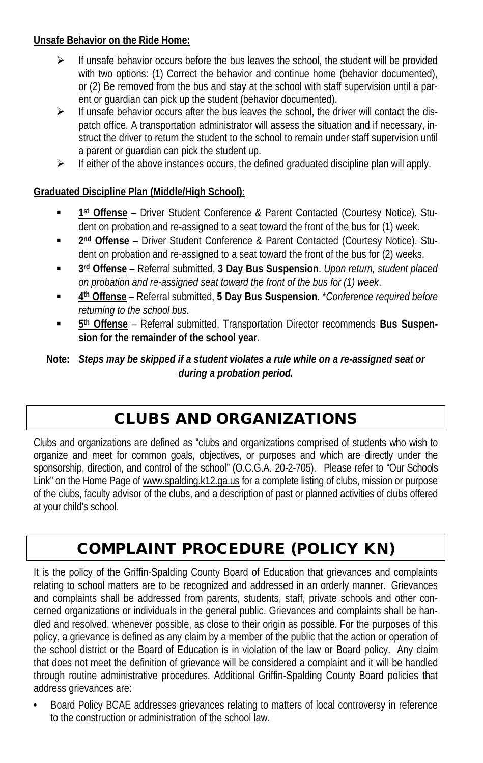#### **Unsafe Behavior on the Ride Home:**

- $\triangleright$  If unsafe behavior occurs before the bus leaves the school, the student will be provided with two options: (1) Correct the behavior and continue home (behavior documented), or (2) Be removed from the bus and stay at the school with staff supervision until a parent or guardian can pick up the student (behavior documented).
- $\triangleright$  If unsafe behavior occurs after the bus leaves the school, the driver will contact the dispatch office. A transportation administrator will assess the situation and if necessary, instruct the driver to return the student to the school to remain under staff supervision until a parent or guardian can pick the student up.
- $\triangleright$  If either of the above instances occurs, the defined graduated discipline plan will apply.

### **Graduated Discipline Plan (Middle/High School):**

- **1st Offense** Driver Student Conference & Parent Contacted (Courtesy Notice). Student on probation and re-assigned to a seat toward the front of the bus for (1) week.
- **2nd Offense** Driver Student Conference & Parent Contacted (Courtesy Notice). Student on probation and re-assigned to a seat toward the front of the bus for (2) weeks.
- **3rd Offense** Referral submitted, **3 Day Bus Suspension**. *Upon return, student placed on probation and re-assigned seat toward the front of the bus for (1) week*.
- **4th Offense** Referral submitted, **5 Day Bus Suspension**. \**Conference required before returning to the school bus.*
- **5th Offense** Referral submitted, Transportation Director recommends **Bus Suspension for the remainder of the school year.**

#### **Note:** *Steps may be skipped if a student violates a rule while on a re-assigned seat or during a probation period.*

# CLUBS AND ORGANIZATIONS

Clubs and organizations are defined as "clubs and organizations comprised of students who wish to organize and meet for common goals, objectives, or purposes and which are directly under the sponsorship, direction, and control of the school" (O.C.G.A. 20-2-705). Please refer to "Our Schools Link" on the Home Page of www.spalding.k12.ga.us for a complete listing of clubs, mission or purpose of the clubs, faculty advisor of the clubs, and a description of past or planned activities of clubs offered at your child's school.

# COMPLAINT PROCEDURE (POLICY KN)

It is the policy of the Griffin-Spalding County Board of Education that grievances and complaints relating to school matters are to be recognized and addressed in an orderly manner. Grievances and complaints shall be addressed from parents, students, staff, private schools and other concerned organizations or individuals in the general public. Grievances and complaints shall be handled and resolved, whenever possible, as close to their origin as possible. For the purposes of this policy, a grievance is defined as any claim by a member of the public that the action or operation of the school district or the Board of Education is in violation of the law or Board policy. Any claim that does not meet the definition of grievance will be considered a complaint and it will be handled through routine administrative procedures. Additional Griffin-Spalding County Board policies that address grievances are:

• Board Policy BCAE addresses grievances relating to matters of local controversy in reference to the construction or administration of the school law.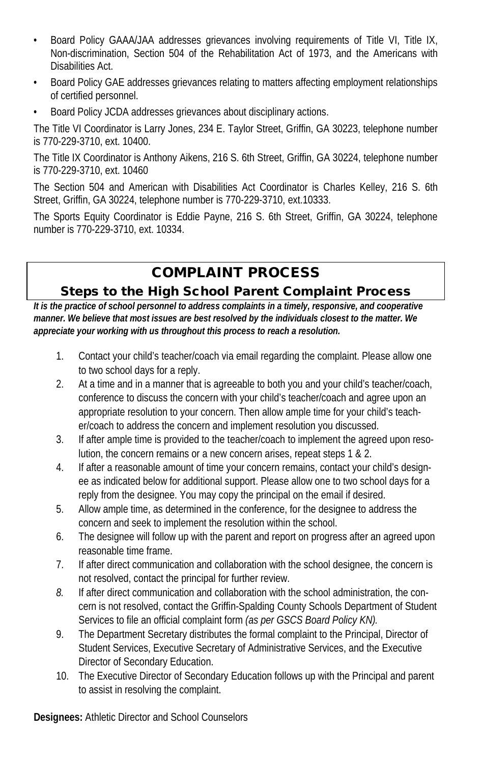- Board Policy GAAA/JAA addresses grievances involving requirements of Title VI, Title IX, Non-discrimination, Section 504 of the Rehabilitation Act of 1973, and the Americans with Disabilities Act.
- Board Policy GAE addresses grievances relating to matters affecting employment relationships of certified personnel.
- Board Policy JCDA addresses grievances about disciplinary actions.

The Title VI Coordinator is Larry Jones, 234 E. Taylor Street, Griffin, GA 30223, telephone number is 770-229-3710, ext. 10400.

The Title IX Coordinator is Anthony Aikens, 216 S. 6th Street, Griffin, GA 30224, telephone number is 770-229-3710, ext. 10460

The Section 504 and American with Disabilities Act Coordinator is Charles Kelley, 216 S. 6th Street, Griffin, GA 30224, telephone number is 770-229-3710, ext.10333.

The Sports Equity Coordinator is Eddie Payne, 216 S. 6th Street, Griffin, GA 30224, telephone number is 770-229-3710, ext. 10334.

# COMPLAINT PROCESS

## Steps to the High School Parent Complaint Process

*It is the practice of school personnel to address complaints in a timely, responsive, and cooperative manner. We believe that most issues are best resolved by the individuals closest to the matter. We appreciate your working with us throughout this process to reach a resolution.*

- 1. Contact your child's teacher/coach via email regarding the complaint. Please allow one to two school days for a reply.
- 2. At a time and in a manner that is agreeable to both you and your child's teacher/coach, conference to discuss the concern with your child's teacher/coach and agree upon an appropriate resolution to your concern. Then allow ample time for your child's teacher/coach to address the concern and implement resolution you discussed.
- 3. If after ample time is provided to the teacher/coach to implement the agreed upon resolution, the concern remains or a new concern arises, repeat steps 1 & 2.
- 4. If after a reasonable amount of time your concern remains, contact your child's designee as indicated below for additional support. Please allow one to two school days for a reply from the designee. You may copy the principal on the email if desired.
- 5. Allow ample time, as determined in the conference, for the designee to address the concern and seek to implement the resolution within the school.
- 6. The designee will follow up with the parent and report on progress after an agreed upon reasonable time frame.
- 7. If after direct communication and collaboration with the school designee, the concern is not resolved, contact the principal for further review.
- *8.* If after direct communication and collaboration with the school administration, the concern is not resolved, contact the Griffin-Spalding County Schools Department of Student Services to file an official complaint form *(as per GSCS Board Policy KN).*
- 9. The Department Secretary distributes the formal complaint to the Principal, Director of Student Services, Executive Secretary of Administrative Services, and the Executive Director of Secondary Education.
- 10. The Executive Director of Secondary Education follows up with the Principal and parent to assist in resolving the complaint.

**Designees:** Athletic Director and School Counselors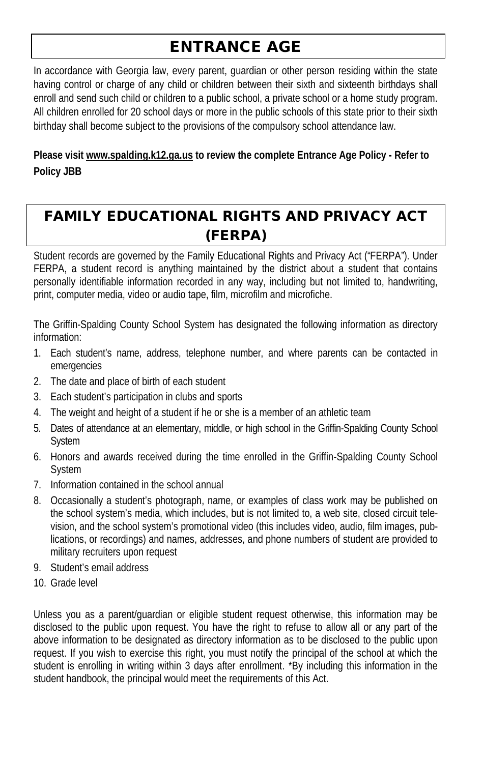# ENTRANCE AGE

In accordance with Georgia law, every parent, guardian or other person residing within the state having control or charge of any child or children between their sixth and sixteenth birthdays shall enroll and send such child or children to a public school, a private school or a home study program. All children enrolled for 20 school days or more in the public schools of this state prior to their sixth birthday shall become subject to the provisions of the compulsory school attendance law.

**Please visit www.spalding.k12.ga.us to review the complete Entrance Age Policy - Refer to Policy JBB**

# FAMILY EDUCATIONAL RIGHTS AND PRIVACY ACT (FERPA)

Student records are governed by the Family Educational Rights and Privacy Act ("FERPA"). Under FERPA, a student record is anything maintained by the district about a student that contains personally identifiable information recorded in any way, including but not limited to, handwriting, print, computer media, video or audio tape, film, microfilm and microfiche.

The Griffin-Spalding County School System has designated the following information as directory information:

- 1. Each student's name, address, telephone number, and where parents can be contacted in emergencies
- 2. The date and place of birth of each student
- 3. Each student's participation in clubs and sports
- 4. The weight and height of a student if he or she is a member of an athletic team
- 5. Dates of attendance at an elementary, middle, or high school in the Griffin-Spalding County School System
- 6. Honors and awards received during the time enrolled in the Griffin-Spalding County School System
- 7. Information contained in the school annual
- 8. Occasionally a student's photograph, name, or examples of class work may be published on the school system's media, which includes, but is not limited to, a web site, closed circuit television, and the school system's promotional video (this includes video, audio, film images, publications, or recordings) and names, addresses, and phone numbers of student are provided to military recruiters upon request
- 9. Student's email address
- 10. Grade level

Unless you as a parent/guardian or eligible student request otherwise, this information may be disclosed to the public upon request. You have the right to refuse to allow all or any part of the above information to be designated as directory information as to be disclosed to the public upon request. If you wish to exercise this right, you must notify the principal of the school at which the student is enrolling in writing within 3 days after enrollment. \*By including this information in the student handbook, the principal would meet the requirements of this Act.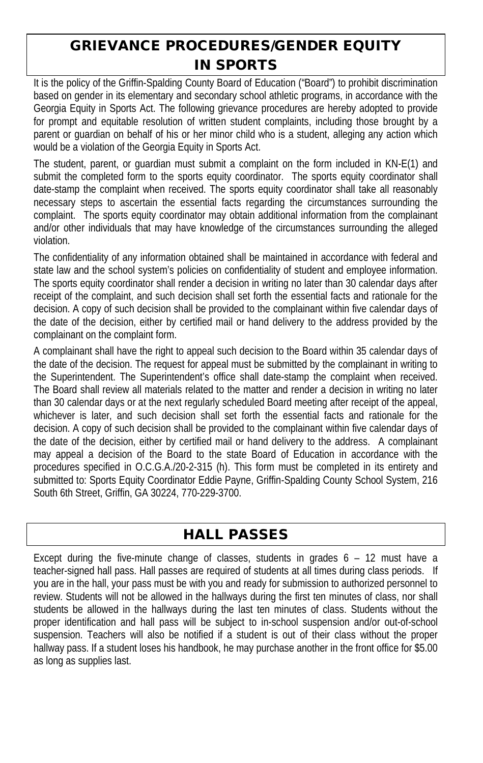# GRIEVANCE PROCEDURES/GENDER EQUITY IN SPORTS

It is the policy of the Griffin-Spalding County Board of Education ("Board") to prohibit discrimination based on gender in its elementary and secondary school athletic programs, in accordance with the Georgia Equity in Sports Act. The following grievance procedures are hereby adopted to provide for prompt and equitable resolution of written student complaints, including those brought by a parent or guardian on behalf of his or her minor child who is a student, alleging any action which would be a violation of the Georgia Equity in Sports Act.

The student, parent, or guardian must submit a complaint on the form included in KN-E(1) and submit the completed form to the sports equity coordinator. The sports equity coordinator shall date-stamp the complaint when received. The sports equity coordinator shall take all reasonably necessary steps to ascertain the essential facts regarding the circumstances surrounding the complaint. The sports equity coordinator may obtain additional information from the complainant and/or other individuals that may have knowledge of the circumstances surrounding the alleged violation.

The confidentiality of any information obtained shall be maintained in accordance with federal and state law and the school system's policies on confidentiality of student and employee information. The sports equity coordinator shall render a decision in writing no later than 30 calendar days after receipt of the complaint, and such decision shall set forth the essential facts and rationale for the decision. A copy of such decision shall be provided to the complainant within five calendar days of the date of the decision, either by certified mail or hand delivery to the address provided by the complainant on the complaint form.

A complainant shall have the right to appeal such decision to the Board within 35 calendar days of the date of the decision. The request for appeal must be submitted by the complainant in writing to the Superintendent. The Superintendent's office shall date-stamp the complaint when received. The Board shall review all materials related to the matter and render a decision in writing no later than 30 calendar days or at the next regularly scheduled Board meeting after receipt of the appeal, whichever is later, and such decision shall set forth the essential facts and rationale for the decision. A copy of such decision shall be provided to the complainant within five calendar days of the date of the decision, either by certified mail or hand delivery to the address. A complainant may appeal a decision of the Board to the state Board of Education in accordance with the procedures specified in O.C.G.A./20-2-315 (h). This form must be completed in its entirety and submitted to: Sports Equity Coordinator Eddie Payne, Griffin-Spalding County School System, 216 South 6th Street, Griffin, GA 30224, 770-229-3700.

# HALL PASSES

Except during the five-minute change of classes, students in grades 6 – 12 must have a teacher-signed hall pass. Hall passes are required of students at all times during class periods. If you are in the hall, your pass must be with you and ready for submission to authorized personnel to review. Students will not be allowed in the hallways during the first ten minutes of class, nor shall students be allowed in the hallways during the last ten minutes of class. Students without the proper identification and hall pass will be subject to in-school suspension and/or out-of-school suspension. Teachers will also be notified if a student is out of their class without the proper hallway pass. If a student loses his handbook, he may purchase another in the front office for \$5.00 as long as supplies last.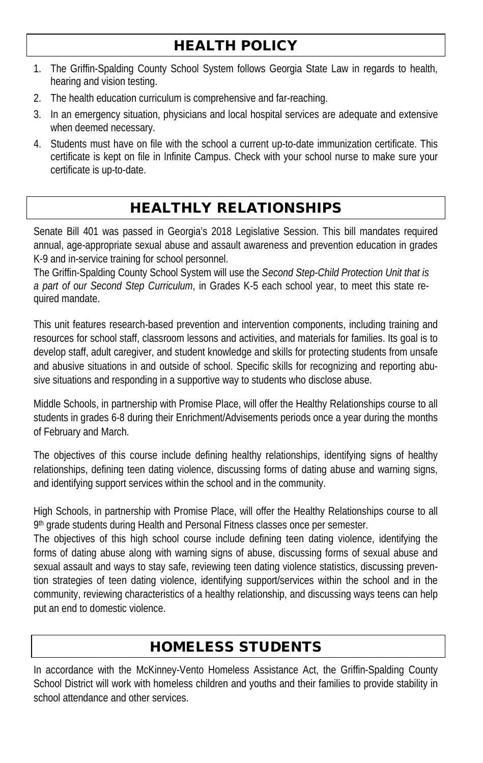# HEALTH POLICY

- 1. The Griffin-Spalding County School System follows Georgia State Law in regards to health, hearing and vision testing.
- 2. The health education curriculum is comprehensive and far-reaching.
- 3. In an emergency situation, physicians and local hospital services are adequate and extensive when deemed necessary.
- 4. Students must have on file with the school a current up-to-date immunization certificate. This certificate is kept on file in Infinite Campus. Check with your school nurse to make sure your certificate is up-to-date.

# HEALTHLY RELATIONSHIPS

Senate Bill 401 was passed in Georgia's 2018 Legislative Session. This bill mandates required annual, age-appropriate sexual abuse and assault awareness and prevention education in grades K-9 and in-service training for school personnel.

The Griffin-Spalding County School System will use the *Second Step-Child Protection Unit that is a part of our Second Step Curriculum*, in Grades K-5 each school year, to meet this state required mandate.

This unit features research-based prevention and intervention components, including training and resources for school staff, classroom lessons and activities, and materials for families. Its goal is to develop staff, adult caregiver, and student knowledge and skills for protecting students from unsafe and abusive situations in and outside of school. Specific skills for recognizing and reporting abusive situations and responding in a supportive way to students who disclose abuse.

Middle Schools, in partnership with Promise Place, will offer the Healthy Relationships course to all students in grades 6-8 during their Enrichment/Advisements periods once a year during the months of February and March.

The objectives of this course include defining healthy relationships, identifying signs of healthy relationships, defining teen dating violence, discussing forms of dating abuse and warning signs, and identifying support services within the school and in the community.

High Schools, in partnership with Promise Place, will offer the Healthy Relationships course to all 9<sup>th</sup> grade students during Health and Personal Fitness classes once per semester.

The objectives of this high school course include defining teen dating violence, identifying the forms of dating abuse along with warning signs of abuse, discussing forms of sexual abuse and sexual assault and ways to stay safe, reviewing teen dating violence statistics, discussing prevention strategies of teen dating violence, identifying support/services within the school and in the community, reviewing characteristics of a healthy relationship, and discussing ways teens can help put an end to domestic violence.

# HOMELESS STUDENTS

In accordance with the McKinney-Vento Homeless Assistance Act, the Griffin-Spalding County School District will work with homeless children and youths and their families to provide stability in school attendance and other services.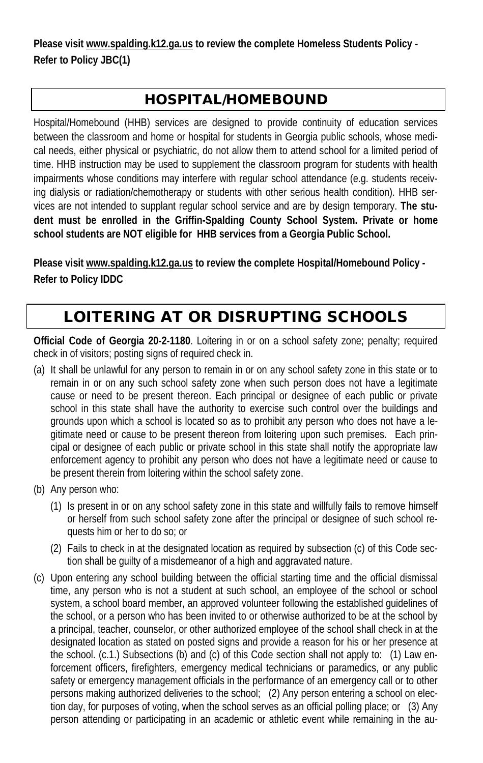**Please visit www.spalding.k12.ga.us to review the complete Homeless Students Policy - Refer to Policy JBC(1)**

# HOSPITAL/HOMEBOUND

Hospital/Homebound (HHB) services are designed to provide continuity of education services between the classroom and home or hospital for students in Georgia public schools, whose medical needs, either physical or psychiatric, do not allow them to attend school for a limited period of time. HHB instruction may be used to supplement the classroom program for students with health impairments whose conditions may interfere with regular school attendance (e.g. students receiving dialysis or radiation/chemotherapy or students with other serious health condition). HHB services are not intended to supplant regular school service and are by design temporary. **The student must be enrolled in the Griffin-Spalding County School System. Private or home school students are NOT eligible for HHB services from a Georgia Public School.**

**Please visit www.spalding.k12.ga.us to review the complete Hospital/Homebound Policy - Refer to Policy IDDC**

# LOITERING AT OR DISRUPTING SCHOOLS

**Official Code of Georgia 20-2-1180**. Loitering in or on a school safety zone; penalty; required check in of visitors; posting signs of required check in.

- (a) It shall be unlawful for any person to remain in or on any school safety zone in this state or to remain in or on any such school safety zone when such person does not have a legitimate cause or need to be present thereon. Each principal or designee of each public or private school in this state shall have the authority to exercise such control over the buildings and grounds upon which a school is located so as to prohibit any person who does not have a legitimate need or cause to be present thereon from loitering upon such premises. Each principal or designee of each public or private school in this state shall notify the appropriate law enforcement agency to prohibit any person who does not have a legitimate need or cause to be present therein from loitering within the school safety zone.
- (b) Any person who:
	- (1) Is present in or on any school safety zone in this state and willfully fails to remove himself or herself from such school safety zone after the principal or designee of such school requests him or her to do so; or
	- (2) Fails to check in at the designated location as required by subsection (c) of this Code section shall be guilty of a misdemeanor of a high and aggravated nature.
- (c) Upon entering any school building between the official starting time and the official dismissal time, any person who is not a student at such school, an employee of the school or school system, a school board member, an approved volunteer following the established guidelines of the school, or a person who has been invited to or otherwise authorized to be at the school by a principal, teacher, counselor, or other authorized employee of the school shall check in at the designated location as stated on posted signs and provide a reason for his or her presence at the school. (c.1.) Subsections (b) and (c) of this Code section shall not apply to: (1) Law enforcement officers, firefighters, emergency medical technicians or paramedics, or any public safety or emergency management officials in the performance of an emergency call or to other persons making authorized deliveries to the school; (2) Any person entering a school on election day, for purposes of voting, when the school serves as an official polling place; or (3) Any person attending or participating in an academic or athletic event while remaining in the au-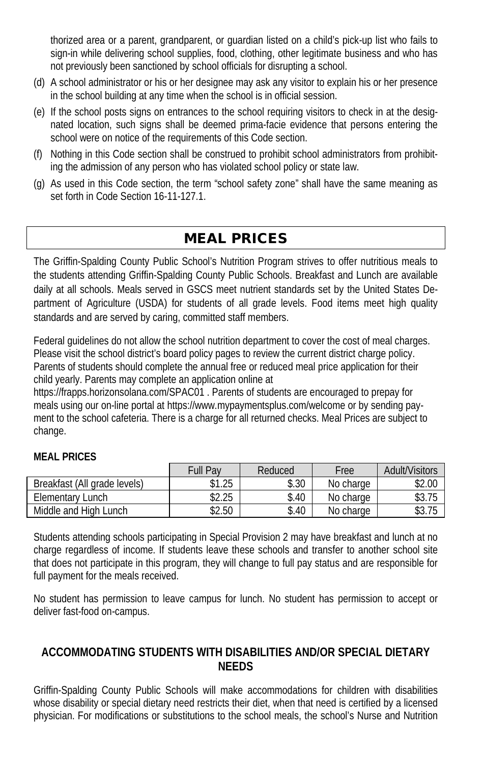thorized area or a parent, grandparent, or guardian listed on a child's pick-up list who fails to sign-in while delivering school supplies, food, clothing, other legitimate business and who has not previously been sanctioned by school officials for disrupting a school.

- (d) A school administrator or his or her designee may ask any visitor to explain his or her presence in the school building at any time when the school is in official session.
- (e) If the school posts signs on entrances to the school requiring visitors to check in at the designated location, such signs shall be deemed prima-facie evidence that persons entering the school were on notice of the requirements of this Code section.
- (f) Nothing in this Code section shall be construed to prohibit school administrators from prohibiting the admission of any person who has violated school policy or state law.
- (g) As used in this Code section, the term "school safety zone" shall have the same meaning as set forth in Code Section 16-11-127.1.

# MEAL PRICES

The Griffin-Spalding County Public School's Nutrition Program strives to offer nutritious meals to the students attending Griffin-Spalding County Public Schools. Breakfast and Lunch are available daily at all schools. Meals served in GSCS meet nutrient standards set by the United States Department of Agriculture (USDA) for students of all grade levels. Food items meet high quality standards and are served by caring, committed staff members.

Federal guidelines do not allow the school nutrition department to cover the cost of meal charges. Please visit the school district's board policy pages to review the current district charge policy. Parents of students should complete the annual free or reduced meal price application for their child yearly. Parents may complete an application online at

https://frapps.horizonsolana.com/SPAC01 . Parents of students are encouraged to prepay for meals using our on-line portal at https://www.mypaymentsplus.com/welcome or by sending payment to the school cafeteria. There is a charge for all returned checks. Meal Prices are subject to change.

# **MEAL PRICES**

|                              | Full Pav | Reduced | Free      | Adult/Visitors |
|------------------------------|----------|---------|-----------|----------------|
| Breakfast (All grade levels) | \$1.25   | \$.30   | No charge | \$2.00         |
| Elementary Lunch             | \$2.25   | \$.40   | No charge | \$3.75         |
| Middle and High Lunch        | \$2.50   | \$.40   | No charge | \$3.75         |

Students attending schools participating in Special Provision 2 may have breakfast and lunch at no charge regardless of income. If students leave these schools and transfer to another school site that does not participate in this program, they will change to full pay status and are responsible for full payment for the meals received.

No student has permission to leave campus for lunch. No student has permission to accept or deliver fast-food on-campus.

### **ACCOMMODATING STUDENTS WITH DISABILITIES AND/OR SPECIAL DIETARY NEEDS**

Griffin-Spalding County Public Schools will make accommodations for children with disabilities whose disability or special dietary need restricts their diet, when that need is certified by a licensed physician. For modifications or substitutions to the school meals, the school's Nurse and Nutrition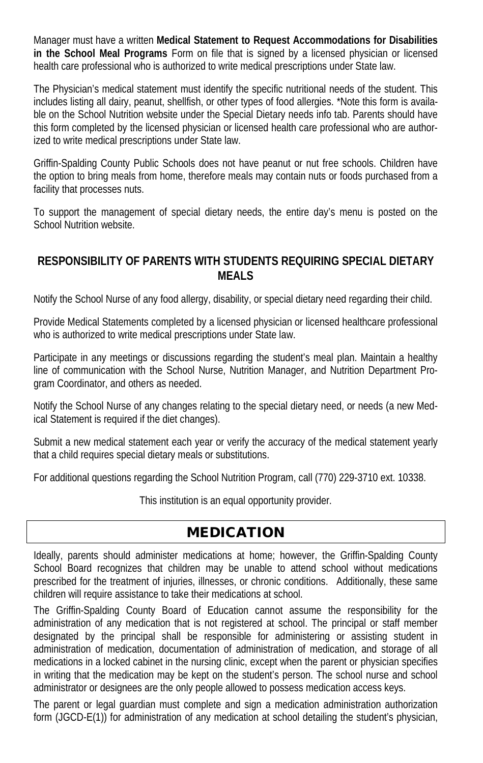Manager must have a written **Medical Statement to Request Accommodations for Disabilities in the School Meal Programs** Form on file that is signed by a licensed physician or licensed health care professional who is authorized to write medical prescriptions under State law.

The Physician's medical statement must identify the specific nutritional needs of the student. This includes listing all dairy, peanut, shellfish, or other types of food allergies. \*Note this form is available on the School Nutrition website under the Special Dietary needs info tab. Parents should have this form completed by the licensed physician or licensed health care professional who are authorized to write medical prescriptions under State law.

Griffin-Spalding County Public Schools does not have peanut or nut free schools. Children have the option to bring meals from home, therefore meals may contain nuts or foods purchased from a facility that processes nuts.

To support the management of special dietary needs, the entire day's menu is posted on the School Nutrition website.

#### **RESPONSIBILITY OF PARENTS WITH STUDENTS REQUIRING SPECIAL DIETARY MEALS**

Notify the School Nurse of any food allergy, disability, or special dietary need regarding their child.

Provide Medical Statements completed by a licensed physician or licensed healthcare professional who is authorized to write medical prescriptions under State law.

Participate in any meetings or discussions regarding the student's meal plan. Maintain a healthy line of communication with the School Nurse, Nutrition Manager, and Nutrition Department Program Coordinator, and others as needed.

Notify the School Nurse of any changes relating to the special dietary need, or needs (a new Medical Statement is required if the diet changes).

Submit a new medical statement each year or verify the accuracy of the medical statement yearly that a child requires special dietary meals or substitutions.

For additional questions regarding the School Nutrition Program, call (770) 229-3710 ext. 10338.

This institution is an equal opportunity provider.

## MEDICATION

Ideally, parents should administer medications at home; however, the Griffin-Spalding County School Board recognizes that children may be unable to attend school without medications prescribed for the treatment of injuries, illnesses, or chronic conditions. Additionally, these same children will require assistance to take their medications at school.

The Griffin-Spalding County Board of Education cannot assume the responsibility for the administration of any medication that is not registered at school. The principal or staff member designated by the principal shall be responsible for administering or assisting student in administration of medication, documentation of administration of medication, and storage of all medications in a locked cabinet in the nursing clinic, except when the parent or physician specifies in writing that the medication may be kept on the student's person. The school nurse and school administrator or designees are the only people allowed to possess medication access keys.

The parent or legal guardian must complete and sign a medication administration authorization form (JGCD-E(1)) for administration of any medication at school detailing the student's physician,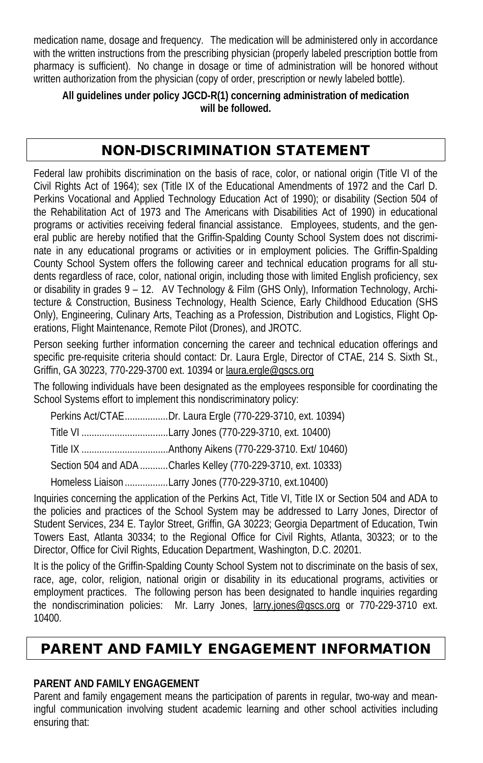medication name, dosage and frequency. The medication will be administered only in accordance with the written instructions from the prescribing physician (properly labeled prescription bottle from pharmacy is sufficient). No change in dosage or time of administration will be honored without written authorization from the physician (copy of order, prescription or newly labeled bottle).

**All guidelines under policy JGCD-R(1) concerning administration of medication will be followed.**

# NON-DISCRIMINATION STATEMENT

Federal law prohibits discrimination on the basis of race, color, or national origin (Title VI of the Civil Rights Act of 1964); sex (Title IX of the Educational Amendments of 1972 and the Carl D. Perkins Vocational and Applied Technology Education Act of 1990); or disability (Section 504 of the Rehabilitation Act of 1973 and The Americans with Disabilities Act of 1990) in educational programs or activities receiving federal financial assistance. Employees, students, and the general public are hereby notified that the Griffin-Spalding County School System does not discriminate in any educational programs or activities or in employment policies. The Griffin-Spalding County School System offers the following career and technical education programs for all students regardless of race, color, national origin, including those with limited English proficiency, sex or disability in grades 9 – 12. AV Technology & Film (GHS Only), Information Technology, Architecture & Construction, Business Technology, Health Science, Early Childhood Education (SHS Only), Engineering, Culinary Arts, Teaching as a Profession, Distribution and Logistics, Flight Operations, Flight Maintenance, Remote Pilot (Drones), and JROTC.

Person seeking further information concerning the career and technical education offerings and specific pre-requisite criteria should contact: Dr. Laura Ergle, Director of CTAE, 214 S. Sixth St., Griffin, GA 30223, 770-229-3700 ext. 10394 or laura.ergle@gscs.org

The following individuals have been designated as the employees responsible for coordinating the School Systems effort to implement this nondiscriminatory policy:

| Perkins Act/CTAEDr. Laura Ergle (770-229-3710, ext. 10394)    |
|---------------------------------------------------------------|
|                                                               |
|                                                               |
| Section 504 and ADA Charles Kelley (770-229-3710, ext. 10333) |
| Homeless Liaison Larry Jones (770-229-3710, ext.10400)        |

Inquiries concerning the application of the Perkins Act, Title VI, Title IX or Section 504 and ADA to the policies and practices of the School System may be addressed to Larry Jones, Director of Student Services, 234 E. Taylor Street, Griffin, GA 30223; Georgia Department of Education, Twin Towers East, Atlanta 30334; to the Regional Office for Civil Rights, Atlanta, 30323; or to the Director, Office for Civil Rights, Education Department, Washington, D.C. 20201.

It is the policy of the Griffin-Spalding County School System not to discriminate on the basis of sex, race, age, color, religion, national origin or disability in its educational programs, activities or employment practices. The following person has been designated to handle inquiries regarding the nondiscrimination policies: Mr. Larry Jones, larry.jones@gscs.org or 770-229-3710 ext. 10400.

# PARENT AND FAMILY ENGAGEMENT INFORMATION

#### **PARENT AND FAMILY ENGAGEMENT**

Parent and family engagement means the participation of parents in regular, two-way and meaningful communication involving student academic learning and other school activities including ensuring that: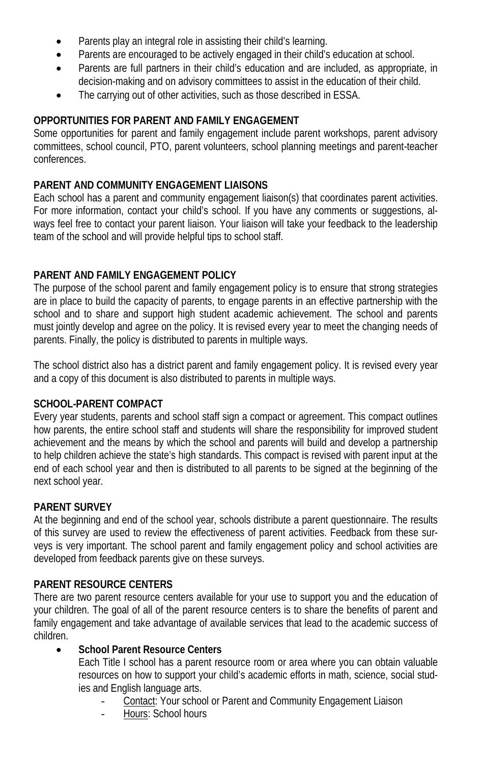- Parents play an integral role in assisting their child's learning.
- Parents are encouraged to be actively engaged in their child's education at school.
- Parents are full partners in their child's education and are included, as appropriate, in decision-making and on advisory committees to assist in the education of their child.
- The carrying out of other activities, such as those described in ESSA.

#### **OPPORTUNITIES FOR PARENT AND FAMILY ENGAGEMENT**

Some opportunities for parent and family engagement include parent workshops, parent advisory committees, school council, PTO, parent volunteers, school planning meetings and parent-teacher conferences.

#### **PARENT AND COMMUNITY ENGAGEMENT LIAISONS**

Each school has a parent and community engagement liaison(s) that coordinates parent activities. For more information, contact your child's school. If you have any comments or suggestions, always feel free to contact your parent liaison. Your liaison will take your feedback to the leadership team of the school and will provide helpful tips to school staff.

#### **PARENT AND FAMILY ENGAGEMENT POLICY**

The purpose of the school parent and family engagement policy is to ensure that strong strategies are in place to build the capacity of parents, to engage parents in an effective partnership with the school and to share and support high student academic achievement. The school and parents must jointly develop and agree on the policy. It is revised every year to meet the changing needs of parents. Finally, the policy is distributed to parents in multiple ways.

The school district also has a district parent and family engagement policy. It is revised every year and a copy of this document is also distributed to parents in multiple ways.

#### **SCHOOL-PARENT COMPACT**

Every year students, parents and school staff sign a compact or agreement. This compact outlines how parents, the entire school staff and students will share the responsibility for improved student achievement and the means by which the school and parents will build and develop a partnership to help children achieve the state's high standards. This compact is revised with parent input at the end of each school year and then is distributed to all parents to be signed at the beginning of the next school year.

#### **PARENT SURVEY**

At the beginning and end of the school year, schools distribute a parent questionnaire. The results of this survey are used to review the effectiveness of parent activities. Feedback from these surveys is very important. The school parent and family engagement policy and school activities are developed from feedback parents give on these surveys.

#### **PARENT RESOURCE CENTERS**

There are two parent resource centers available for your use to support you and the education of your children. The goal of all of the parent resource centers is to share the benefits of parent and family engagement and take advantage of available services that lead to the academic success of children.

#### • **School Parent Resource Centers**

Each Title I school has a parent resource room or area where you can obtain valuable resources on how to support your child's academic efforts in math, science, social studies and English language arts.

- Contact: Your school or Parent and Community Engagement Liaison
- Hours: School hours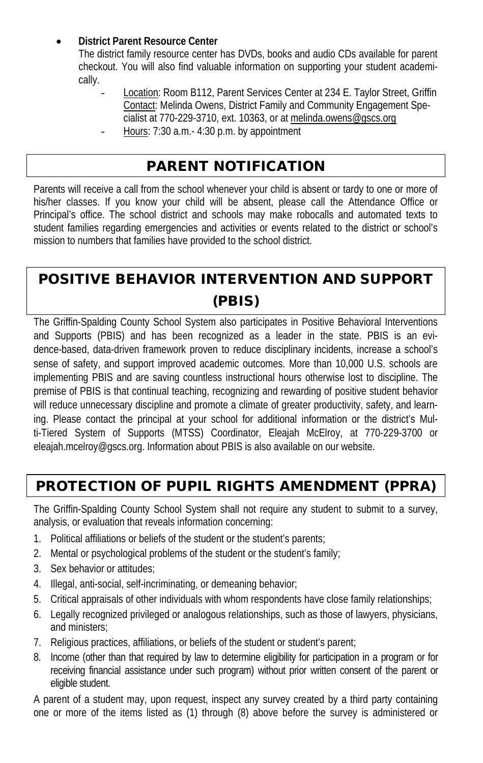### • **District Parent Resource Center**

The district family resource center has DVDs, books and audio CDs available for parent checkout. You will also find valuable information on supporting your student academically.

Location: Room B112, Parent Services Center at 234 E. Taylor Street, Griffin Contact: Melinda Owens, District Family and Community Engagement Specialist at 770-229-3710, ext. 10363, or at melinda.owens@gscs.org Hours: 7:30 a.m.- 4:30 p.m. by appointment

# PARENT NOTIFICATION

Parents will receive a call from the school whenever your child is absent or tardy to one or more of his/her classes. If you know your child will be absent, please call the Attendance Office or Principal's office. The school district and schools may make robocalls and automated texts to student families regarding emergencies and activities or events related to the district or school's mission to numbers that families have provided to the school district.

# POSITIVE BEHAVIOR INTERVENTION AND SUPPORT (PBIS)

The Griffin-Spalding County School System also participates in Positive Behavioral Interventions and Supports (PBIS) and has been recognized as a leader in the state. PBIS is an evidence-based, data-driven framework proven to reduce disciplinary incidents, increase a school's sense of safety, and support improved academic outcomes. More than 10,000 U.S. schools are implementing PBIS and are saving countless instructional hours otherwise lost to discipline. The premise of PBIS is that continual teaching, recognizing and rewarding of positive student behavior will reduce unnecessary discipline and promote a climate of greater productivity, safety, and learning. Please contact the principal at your school for additional information or the district's Multi-Tiered System of Supports (MTSS) Coordinator, Eleajah McElroy, at 770-229-3700 or eleajah.mcelroy@gscs.org. Information about PBIS is also available on our website.

# PROTECTION OF PUPIL RIGHTS AMENDMENT (PPRA)

The Griffin-Spalding County School System shall not require any student to submit to a survey, analysis, or evaluation that reveals information concerning:

- 1. Political affiliations or beliefs of the student or the student's parents;
- 2. Mental or psychological problems of the student or the student's family;
- 3. Sex behavior or attitudes;
- 4. Illegal, anti-social, self-incriminating, or demeaning behavior;
- 5. Critical appraisals of other individuals with whom respondents have close family relationships;
- 6. Legally recognized privileged or analogous relationships, such as those of lawyers, physicians, and ministers;
- 7. Religious practices, affiliations, or beliefs of the student or student's parent;
- 8. Income (other than that required by law to determine eligibility for participation in a program or for receiving financial assistance under such program) without prior written consent of the parent or eligible student.

A parent of a student may, upon request, inspect any survey created by a third party containing one or more of the items listed as (1) through (8) above before the survey is administered or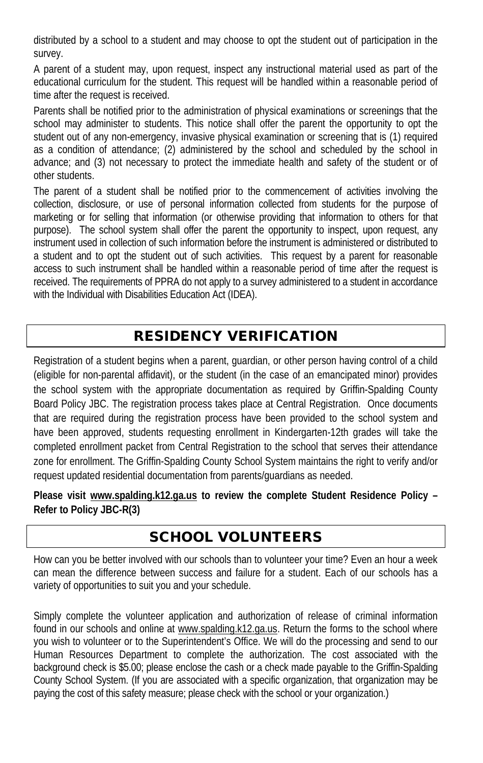distributed by a school to a student and may choose to opt the student out of participation in the survey.

A parent of a student may, upon request, inspect any instructional material used as part of the educational curriculum for the student. This request will be handled within a reasonable period of time after the request is received.

Parents shall be notified prior to the administration of physical examinations or screenings that the school may administer to students. This notice shall offer the parent the opportunity to opt the student out of any non-emergency, invasive physical examination or screening that is (1) required as a condition of attendance; (2) administered by the school and scheduled by the school in advance; and (3) not necessary to protect the immediate health and safety of the student or of other students.

The parent of a student shall be notified prior to the commencement of activities involving the collection, disclosure, or use of personal information collected from students for the purpose of marketing or for selling that information (or otherwise providing that information to others for that purpose). The school system shall offer the parent the opportunity to inspect, upon request, any instrument used in collection of such information before the instrument is administered or distributed to a student and to opt the student out of such activities. This request by a parent for reasonable access to such instrument shall be handled within a reasonable period of time after the request is received. The requirements of PPRA do not apply to a survey administered to a student in accordance with the Individual with Disabilities Education Act (IDEA).

# RESIDENCY VERIFICATION

Registration of a student begins when a parent, guardian, or other person having control of a child (eligible for non-parental affidavit), or the student (in the case of an emancipated minor) provides the school system with the appropriate documentation as required by Griffin-Spalding County Board Policy JBC. The registration process takes place at Central Registration. Once documents that are required during the registration process have been provided to the school system and have been approved, students requesting enrollment in Kindergarten-12th grades will take the completed enrollment packet from Central Registration to the school that serves their attendance zone for enrollment. The Griffin-Spalding County School System maintains the right to verify and/or request updated residential documentation from parents/guardians as needed.

**Please visit www.spalding.k12.ga.us to review the complete Student Residence Policy – Refer to Policy JBC-R(3)**

# SCHOOL VOLUNTEERS

How can you be better involved with our schools than to volunteer your time? Even an hour a week can mean the difference between success and failure for a student. Each of our schools has a variety of opportunities to suit you and your schedule.

Simply complete the volunteer application and authorization of release of criminal information found in our schools and online at www.spalding.k12.ga.us. Return the forms to the school where you wish to volunteer or to the Superintendent's Office. We will do the processing and send to our Human Resources Department to complete the authorization. The cost associated with the background check is \$5.00; please enclose the cash or a check made payable to the Griffin-Spalding County School System. (If you are associated with a specific organization, that organization may be paying the cost of this safety measure; please check with the school or your organization.)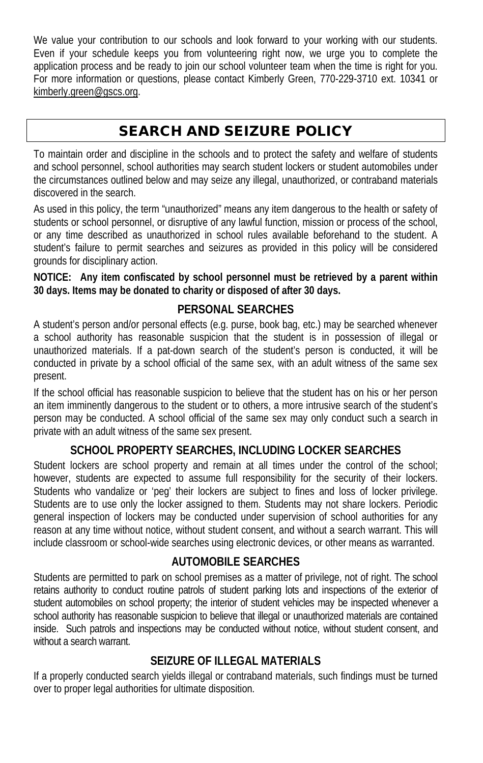We value your contribution to our schools and look forward to your working with our students. Even if your schedule keeps you from volunteering right now, we urge you to complete the application process and be ready to join our school volunteer team when the time is right for you. For more information or questions, please contact Kimberly Green, 770-229-3710 ext. 10341 or kimberly.green@gscs.org.

# SEARCH AND SEIZURE POLICY

To maintain order and discipline in the schools and to protect the safety and welfare of students and school personnel, school authorities may search student lockers or student automobiles under the circumstances outlined below and may seize any illegal, unauthorized, or contraband materials discovered in the search.

As used in this policy, the term "unauthorized" means any item dangerous to the health or safety of students or school personnel, or disruptive of any lawful function, mission or process of the school, or any time described as unauthorized in school rules available beforehand to the student. A student's failure to permit searches and seizures as provided in this policy will be considered grounds for disciplinary action.

**NOTICE: Any item confiscated by school personnel must be retrieved by a parent within 30 days. Items may be donated to charity or disposed of after 30 days.**

### **PERSONAL SEARCHES**

A student's person and/or personal effects (e.g. purse, book bag, etc.) may be searched whenever a school authority has reasonable suspicion that the student is in possession of illegal or unauthorized materials. If a pat-down search of the student's person is conducted, it will be conducted in private by a school official of the same sex, with an adult witness of the same sex present.

If the school official has reasonable suspicion to believe that the student has on his or her person an item imminently dangerous to the student or to others, a more intrusive search of the student's person may be conducted. A school official of the same sex may only conduct such a search in private with an adult witness of the same sex present.

# **SCHOOL PROPERTY SEARCHES, INCLUDING LOCKER SEARCHES**

Student lockers are school property and remain at all times under the control of the school; however, students are expected to assume full responsibility for the security of their lockers. Students who vandalize or 'peg' their lockers are subject to fines and loss of locker privilege. Students are to use only the locker assigned to them. Students may not share lockers. Periodic general inspection of lockers may be conducted under supervision of school authorities for any reason at any time without notice, without student consent, and without a search warrant. This will include classroom or school-wide searches using electronic devices, or other means as warranted.

## **AUTOMOBILE SEARCHES**

Students are permitted to park on school premises as a matter of privilege, not of right. The school retains authority to conduct routine patrols of student parking lots and inspections of the exterior of student automobiles on school property; the interior of student vehicles may be inspected whenever a school authority has reasonable suspicion to believe that illegal or unauthorized materials are contained inside. Such patrols and inspections may be conducted without notice, without student consent, and without a search warrant.

## **SEIZURE OF ILLEGAL MATERIALS**

If a properly conducted search yields illegal or contraband materials, such findings must be turned over to proper legal authorities for ultimate disposition.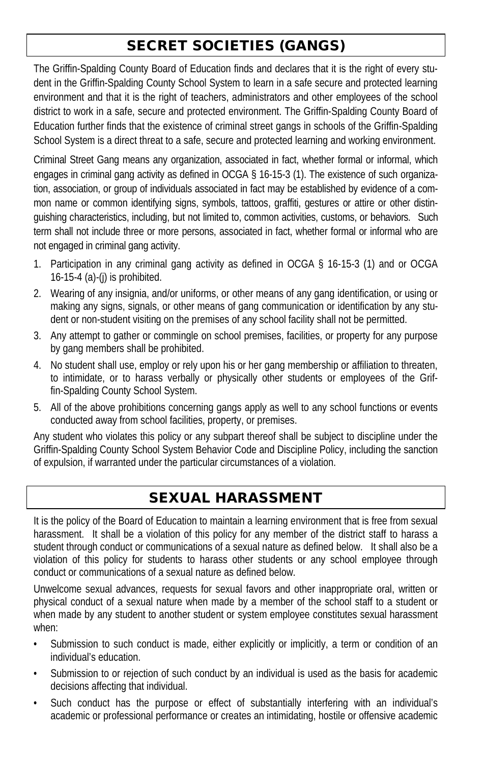# SECRET SOCIETIES (GANGS)

The Griffin-Spalding County Board of Education finds and declares that it is the right of every student in the Griffin-Spalding County School System to learn in a safe secure and protected learning environment and that it is the right of teachers, administrators and other employees of the school district to work in a safe, secure and protected environment. The Griffin-Spalding County Board of Education further finds that the existence of criminal street gangs in schools of the Griffin-Spalding School System is a direct threat to a safe, secure and protected learning and working environment.

Criminal Street Gang means any organization, associated in fact, whether formal or informal, which engages in criminal gang activity as defined in OCGA § 16-15-3 (1). The existence of such organization, association, or group of individuals associated in fact may be established by evidence of a common name or common identifying signs, symbols, tattoos, graffiti, gestures or attire or other distinguishing characteristics, including, but not limited to, common activities, customs, or behaviors. Such term shall not include three or more persons, associated in fact, whether formal or informal who are not engaged in criminal gang activity.

- 1. Participation in any criminal gang activity as defined in OCGA § 16-15-3 (1) and or OCGA 16-15-4 (a)-(j) is prohibited.
- 2. Wearing of any insignia, and/or uniforms, or other means of any gang identification, or using or making any signs, signals, or other means of gang communication or identification by any student or non-student visiting on the premises of any school facility shall not be permitted.
- 3. Any attempt to gather or commingle on school premises, facilities, or property for any purpose by gang members shall be prohibited.
- 4. No student shall use, employ or rely upon his or her gang membership or affiliation to threaten, to intimidate, or to harass verbally or physically other students or employees of the Griffin-Spalding County School System.
- 5. All of the above prohibitions concerning gangs apply as well to any school functions or events conducted away from school facilities, property, or premises.

Any student who violates this policy or any subpart thereof shall be subject to discipline under the Griffin-Spalding County School System Behavior Code and Discipline Policy, including the sanction of expulsion, if warranted under the particular circumstances of a violation.

# SEXUAL HARASSMENT

It is the policy of the Board of Education to maintain a learning environment that is free from sexual harassment. It shall be a violation of this policy for any member of the district staff to harass a student through conduct or communications of a sexual nature as defined below. It shall also be a violation of this policy for students to harass other students or any school employee through conduct or communications of a sexual nature as defined below.

Unwelcome sexual advances, requests for sexual favors and other inappropriate oral, written or physical conduct of a sexual nature when made by a member of the school staff to a student or when made by any student to another student or system employee constitutes sexual harassment when:

- Submission to such conduct is made, either explicitly or implicitly, a term or condition of an individual's education.
- Submission to or rejection of such conduct by an individual is used as the basis for academic decisions affecting that individual.
- Such conduct has the purpose or effect of substantially interfering with an individual's academic or professional performance or creates an intimidating, hostile or offensive academic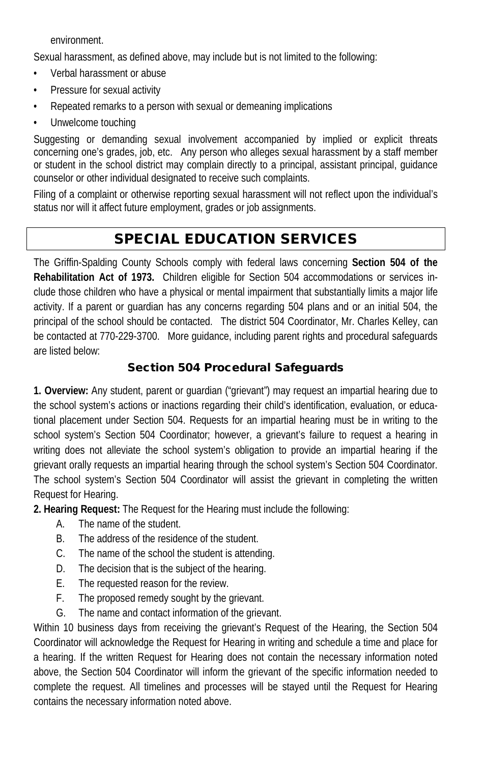environment.

Sexual harassment, as defined above, may include but is not limited to the following:

- Verbal harassment or abuse
- Pressure for sexual activity
- Repeated remarks to a person with sexual or demeaning implications
- Unwelcome touching

Suggesting or demanding sexual involvement accompanied by implied or explicit threats concerning one's grades, job, etc. Any person who alleges sexual harassment by a staff member or student in the school district may complain directly to a principal, assistant principal, guidance counselor or other individual designated to receive such complaints.

Filing of a complaint or otherwise reporting sexual harassment will not reflect upon the individual's status nor will it affect future employment, grades or job assignments.

# SPECIAL EDUCATION SERVICES

The Griffin-Spalding County Schools comply with federal laws concerning **Section 504 of the Rehabilitation Act of 1973.** Children eligible for Section 504 accommodations or services include those children who have a physical or mental impairment that substantially limits a major life activity. If a parent or guardian has any concerns regarding 504 plans and or an initial 504, the principal of the school should be contacted. The district 504 Coordinator, Mr. Charles Kelley, can be contacted at 770-229-3700. More guidance, including parent rights and procedural safeguards are listed below:

## Section 504 Procedural Safeguards

**1. Overview:** Any student, parent or guardian ("grievant") may request an impartial hearing due to the school system's actions or inactions regarding their child's identification, evaluation, or educational placement under Section 504. Requests for an impartial hearing must be in writing to the school system's Section 504 Coordinator; however, a grievant's failure to request a hearing in writing does not alleviate the school system's obligation to provide an impartial hearing if the grievant orally requests an impartial hearing through the school system's Section 504 Coordinator. The school system's Section 504 Coordinator will assist the grievant in completing the written Request for Hearing.

**2. Hearing Request:** The Request for the Hearing must include the following:

- A. The name of the student.
- B. The address of the residence of the student.
- C. The name of the school the student is attending.
- D. The decision that is the subject of the hearing.
- E. The requested reason for the review.
- F. The proposed remedy sought by the grievant.
- G. The name and contact information of the grievant.

Within 10 business days from receiving the grievant's Request of the Hearing, the Section 504 Coordinator will acknowledge the Request for Hearing in writing and schedule a time and place for a hearing. If the written Request for Hearing does not contain the necessary information noted above, the Section 504 Coordinator will inform the grievant of the specific information needed to complete the request. All timelines and processes will be stayed until the Request for Hearing contains the necessary information noted above.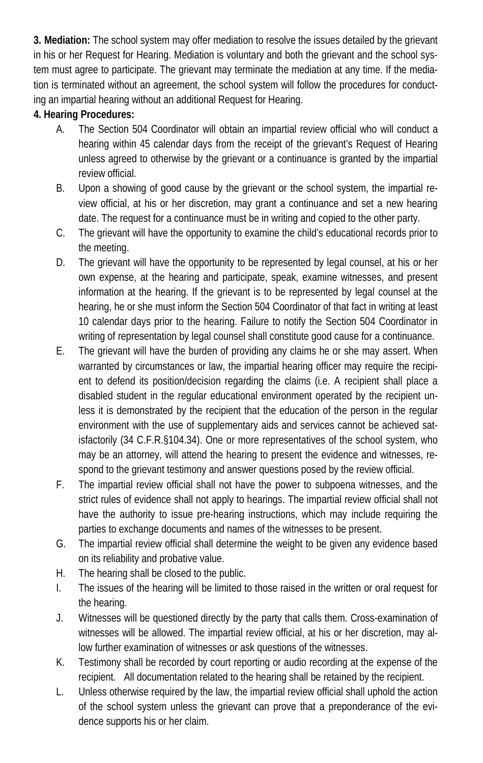**3. Mediation:** The school system may offer mediation to resolve the issues detailed by the grievant in his or her Request for Hearing. Mediation is voluntary and both the grievant and the school system must agree to participate. The grievant may terminate the mediation at any time. If the mediation is terminated without an agreement, the school system will follow the procedures for conducting an impartial hearing without an additional Request for Hearing.

### **4. Hearing Procedures:**

- A. The Section 504 Coordinator will obtain an impartial review official who will conduct a hearing within 45 calendar days from the receipt of the grievant's Request of Hearing unless agreed to otherwise by the grievant or a continuance is granted by the impartial review official.
- B. Upon a showing of good cause by the grievant or the school system, the impartial review official, at his or her discretion, may grant a continuance and set a new hearing date. The request for a continuance must be in writing and copied to the other party.
- C. The grievant will have the opportunity to examine the child's educational records prior to the meeting.
- D. The grievant will have the opportunity to be represented by legal counsel, at his or her own expense, at the hearing and participate, speak, examine witnesses, and present information at the hearing. If the grievant is to be represented by legal counsel at the hearing, he or she must inform the Section 504 Coordinator of that fact in writing at least 10 calendar days prior to the hearing. Failure to notify the Section 504 Coordinator in writing of representation by legal counsel shall constitute good cause for a continuance.
- E. The grievant will have the burden of providing any claims he or she may assert. When warranted by circumstances or law, the impartial hearing officer may require the recipient to defend its position/decision regarding the claims (i.e. A recipient shall place a disabled student in the regular educational environment operated by the recipient unless it is demonstrated by the recipient that the education of the person in the regular environment with the use of supplementary aids and services cannot be achieved satisfactorily (34 C.F.R.§104.34). One or more representatives of the school system, who may be an attorney, will attend the hearing to present the evidence and witnesses, respond to the grievant testimony and answer questions posed by the review official.
- F. The impartial review official shall not have the power to subpoena witnesses, and the strict rules of evidence shall not apply to hearings. The impartial review official shall not have the authority to issue pre-hearing instructions, which may include requiring the parties to exchange documents and names of the witnesses to be present.
- G. The impartial review official shall determine the weight to be given any evidence based on its reliability and probative value.
- H. The hearing shall be closed to the public.
- I. The issues of the hearing will be limited to those raised in the written or oral request for the hearing.
- J. Witnesses will be questioned directly by the party that calls them. Cross-examination of witnesses will be allowed. The impartial review official, at his or her discretion, may allow further examination of witnesses or ask questions of the witnesses.
- K. Testimony shall be recorded by court reporting or audio recording at the expense of the recipient. All documentation related to the hearing shall be retained by the recipient.
- L. Unless otherwise required by the law, the impartial review official shall uphold the action of the school system unless the grievant can prove that a preponderance of the evidence supports his or her claim.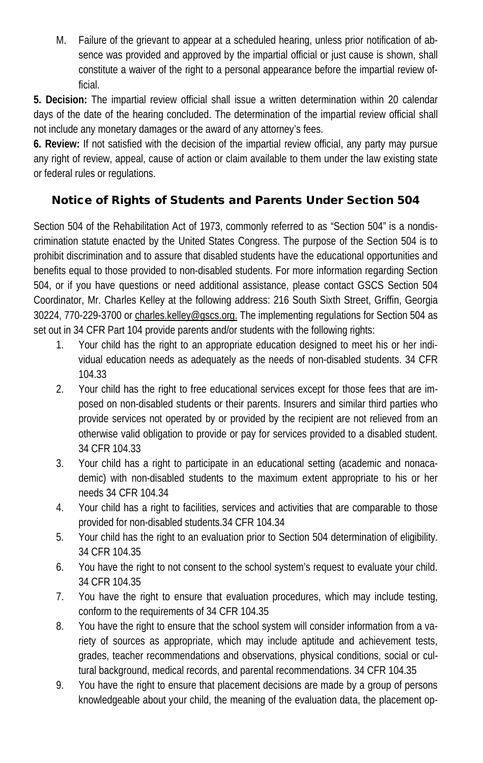M. Failure of the grievant to appear at a scheduled hearing, unless prior notification of absence was provided and approved by the impartial official or just cause is shown, shall constitute a waiver of the right to a personal appearance before the impartial review official.

**5. Decision:** The impartial review official shall issue a written determination within 20 calendar days of the date of the hearing concluded. The determination of the impartial review official shall not include any monetary damages or the award of any attorney's fees.

**6. Review:** If not satisfied with the decision of the impartial review official, any party may pursue any right of review, appeal, cause of action or claim available to them under the law existing state or federal rules or regulations.

## Notice of Rights of Students and Parents Under Section 504

Section 504 of the Rehabilitation Act of 1973, commonly referred to as "Section 504" is a nondiscrimination statute enacted by the United States Congress. The purpose of the Section 504 is to prohibit discrimination and to assure that disabled students have the educational opportunities and benefits equal to those provided to non-disabled students. For more information regarding Section 504, or if you have questions or need additional assistance, please contact GSCS Section 504 Coordinator, Mr. Charles Kelley at the following address: 216 South Sixth Street, Griffin, Georgia 30224, 770-229-3700 or charles.kelley@gscs.org. The implementing regulations for Section 504 as set out in 34 CFR Part 104 provide parents and/or students with the following rights:

- 1. Your child has the right to an appropriate education designed to meet his or her individual education needs as adequately as the needs of non-disabled students. 34 CFR 104.33
- 2. Your child has the right to free educational services except for those fees that are imposed on non-disabled students or their parents. Insurers and similar third parties who provide services not operated by or provided by the recipient are not relieved from an otherwise valid obligation to provide or pay for services provided to a disabled student. 34 CFR 104.33
- 3. Your child has a right to participate in an educational setting (academic and nonacademic) with non-disabled students to the maximum extent appropriate to his or her needs 34 CFR 104.34
- 4. Your child has a right to facilities, services and activities that are comparable to those provided for non-disabled students.34 CFR 104.34
- 5. Your child has the right to an evaluation prior to Section 504 determination of eligibility. 34 CFR 104.35
- 6. You have the right to not consent to the school system's request to evaluate your child. 34 CFR 104.35
- 7. You have the right to ensure that evaluation procedures, which may include testing, conform to the requirements of 34 CFR 104.35
- 8. You have the right to ensure that the school system will consider information from a variety of sources as appropriate, which may include aptitude and achievement tests, grades, teacher recommendations and observations, physical conditions, social or cultural background, medical records, and parental recommendations. 34 CFR 104.35
- 9. You have the right to ensure that placement decisions are made by a group of persons knowledgeable about your child, the meaning of the evaluation data, the placement op-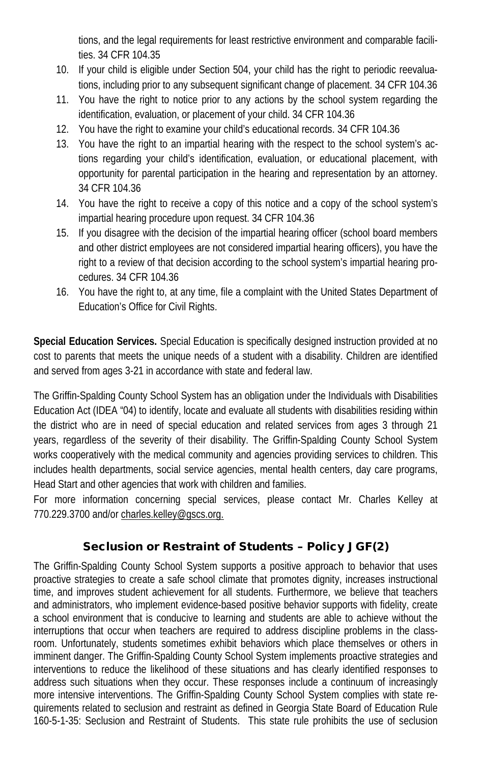tions, and the legal requirements for least restrictive environment and comparable facilities. 34 CFR 104.35

- 10. If your child is eligible under Section 504, your child has the right to periodic reevaluations, including prior to any subsequent significant change of placement. 34 CFR 104.36
- 11. You have the right to notice prior to any actions by the school system regarding the identification, evaluation, or placement of your child. 34 CFR 104.36
- 12. You have the right to examine your child's educational records. 34 CFR 104.36
- 13. You have the right to an impartial hearing with the respect to the school system's actions regarding your child's identification, evaluation, or educational placement, with opportunity for parental participation in the hearing and representation by an attorney. 34 CFR 104.36
- 14. You have the right to receive a copy of this notice and a copy of the school system's impartial hearing procedure upon request. 34 CFR 104.36
- 15. If you disagree with the decision of the impartial hearing officer (school board members and other district employees are not considered impartial hearing officers), you have the right to a review of that decision according to the school system's impartial hearing procedures. 34 CFR 104.36
- 16. You have the right to, at any time, file a complaint with the United States Department of Education's Office for Civil Rights.

**Special Education Services.** Special Education is specifically designed instruction provided at no cost to parents that meets the unique needs of a student with a disability. Children are identified and served from ages 3-21 in accordance with state and federal law.

The Griffin-Spalding County School System has an obligation under the Individuals with Disabilities Education Act (IDEA "04) to identify, locate and evaluate all students with disabilities residing within the district who are in need of special education and related services from ages 3 through 21 years, regardless of the severity of their disability. The Griffin-Spalding County School System works cooperatively with the medical community and agencies providing services to children. This includes health departments, social service agencies, mental health centers, day care programs, Head Start and other agencies that work with children and families.

For more information concerning special services, please contact Mr. Charles Kelley at 770.229.3700 and/or charles.kelley@gscs.org.

## Seclusion or Restraint of Students – Policy JGF(2)

The Griffin-Spalding County School System supports a positive approach to behavior that uses proactive strategies to create a safe school climate that promotes dignity, increases instructional time, and improves student achievement for all students. Furthermore, we believe that teachers and administrators, who implement evidence-based positive behavior supports with fidelity, create a school environment that is conducive to learning and students are able to achieve without the interruptions that occur when teachers are required to address discipline problems in the classroom. Unfortunately, students sometimes exhibit behaviors which place themselves or others in imminent danger. The Griffin-Spalding County School System implements proactive strategies and interventions to reduce the likelihood of these situations and has clearly identified responses to address such situations when they occur. These responses include a continuum of increasingly more intensive interventions. The Griffin-Spalding County School System complies with state requirements related to seclusion and restraint as defined in Georgia State Board of Education Rule 160-5-1-35: Seclusion and Restraint of Students. This state rule prohibits the use of seclusion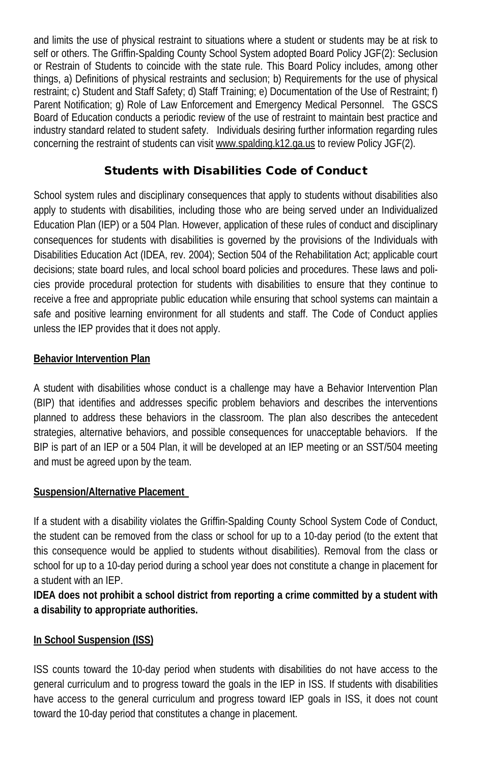and limits the use of physical restraint to situations where a student or students may be at risk to self or others. The Griffin-Spalding County School System adopted Board Policy JGF(2): Seclusion or Restrain of Students to coincide with the state rule. This Board Policy includes, among other things, a) Definitions of physical restraints and seclusion; b) Requirements for the use of physical restraint; c) Student and Staff Safety; d) Staff Training; e) Documentation of the Use of Restraint; f) Parent Notification; g) Role of Law Enforcement and Emergency Medical Personnel. The GSCS Board of Education conducts a periodic review of the use of restraint to maintain best practice and industry standard related to student safety. Individuals desiring further information regarding rules concerning the restraint of students can visit www.spalding.k12.ga.us to review Policy JGF(2).

## Students with Disabilities Code of Conduct

School system rules and disciplinary consequences that apply to students without disabilities also apply to students with disabilities, including those who are being served under an Individualized Education Plan (IEP) or a 504 Plan. However, application of these rules of conduct and disciplinary consequences for students with disabilities is governed by the provisions of the Individuals with Disabilities Education Act (IDEA, rev. 2004); Section 504 of the Rehabilitation Act; applicable court decisions; state board rules, and local school board policies and procedures. These laws and policies provide procedural protection for students with disabilities to ensure that they continue to receive a free and appropriate public education while ensuring that school systems can maintain a safe and positive learning environment for all students and staff. The Code of Conduct applies unless the IEP provides that it does not apply.

#### **Behavior Intervention Plan**

A student with disabilities whose conduct is a challenge may have a Behavior Intervention Plan (BIP) that identifies and addresses specific problem behaviors and describes the interventions planned to address these behaviors in the classroom. The plan also describes the antecedent strategies, alternative behaviors, and possible consequences for unacceptable behaviors. If the BIP is part of an IEP or a 504 Plan, it will be developed at an IEP meeting or an SST/504 meeting and must be agreed upon by the team.

### **Suspension/Alternative Placement**

If a student with a disability violates the Griffin-Spalding County School System Code of Conduct, the student can be removed from the class or school for up to a 10-day period (to the extent that this consequence would be applied to students without disabilities). Removal from the class or school for up to a 10-day period during a school year does not constitute a change in placement for a student with an IEP.

**IDEA does not prohibit a school district from reporting a crime committed by a student with a disability to appropriate authorities.**

### **In School Suspension (ISS)**

ISS counts toward the 10-day period when students with disabilities do not have access to the general curriculum and to progress toward the goals in the IEP in ISS. If students with disabilities have access to the general curriculum and progress toward IEP goals in ISS, it does not count toward the 10-day period that constitutes a change in placement.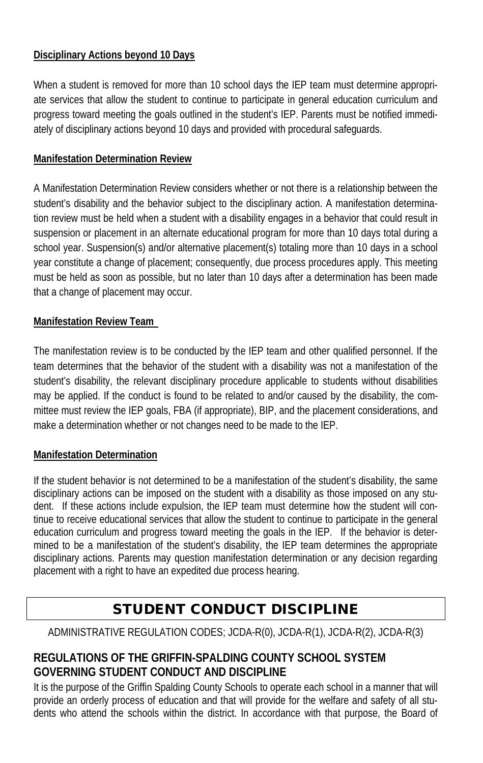### **Disciplinary Actions beyond 10 Days**

When a student is removed for more than 10 school days the IEP team must determine appropriate services that allow the student to continue to participate in general education curriculum and progress toward meeting the goals outlined in the student's IEP. Parents must be notified immediately of disciplinary actions beyond 10 days and provided with procedural safeguards.

#### **Manifestation Determination Review**

A Manifestation Determination Review considers whether or not there is a relationship between the student's disability and the behavior subject to the disciplinary action. A manifestation determination review must be held when a student with a disability engages in a behavior that could result in suspension or placement in an alternate educational program for more than 10 days total during a school year. Suspension(s) and/or alternative placement(s) totaling more than 10 days in a school year constitute a change of placement; consequently, due process procedures apply. This meeting must be held as soon as possible, but no later than 10 days after a determination has been made that a change of placement may occur.

#### **Manifestation Review Team**

The manifestation review is to be conducted by the IEP team and other qualified personnel. If the team determines that the behavior of the student with a disability was not a manifestation of the student's disability, the relevant disciplinary procedure applicable to students without disabilities may be applied. If the conduct is found to be related to and/or caused by the disability, the committee must review the IEP goals, FBA (if appropriate), BIP, and the placement considerations, and make a determination whether or not changes need to be made to the IEP.

#### **Manifestation Determination**

If the student behavior is not determined to be a manifestation of the student's disability, the same disciplinary actions can be imposed on the student with a disability as those imposed on any student. If these actions include expulsion, the IEP team must determine how the student will continue to receive educational services that allow the student to continue to participate in the general education curriculum and progress toward meeting the goals in the IEP. If the behavior is determined to be a manifestation of the student's disability, the IEP team determines the appropriate disciplinary actions. Parents may question manifestation determination or any decision regarding placement with a right to have an expedited due process hearing.

# STUDENT CONDUCT DISCIPLINE

ADMINISTRATIVE REGULATION CODES; JCDA-R(0), JCDA-R(1), JCDA-R(2), JCDA-R(3)

### **REGULATIONS OF THE GRIFFIN-SPALDING COUNTY SCHOOL SYSTEM GOVERNING STUDENT CONDUCT AND DISCIPLINE**

It is the purpose of the Griffin Spalding County Schools to operate each school in a manner that will provide an orderly process of education and that will provide for the welfare and safety of all students who attend the schools within the district. In accordance with that purpose, the Board of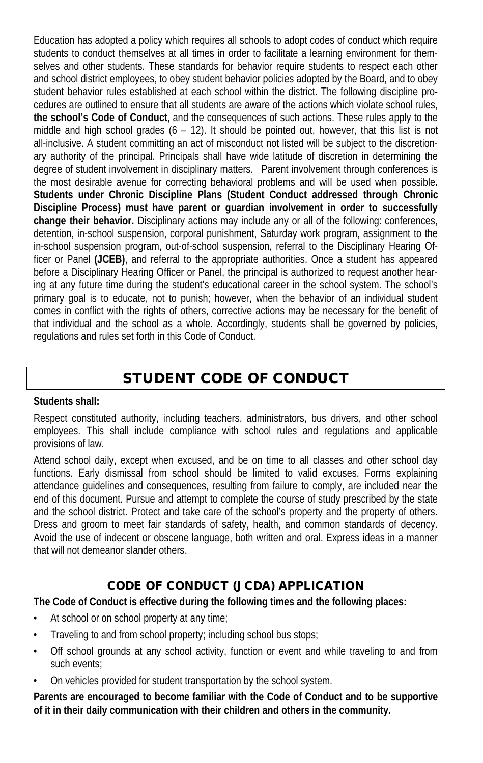Education has adopted a policy which requires all schools to adopt codes of conduct which require students to conduct themselves at all times in order to facilitate a learning environment for themselves and other students. These standards for behavior require students to respect each other and school district employees, to obey student behavior policies adopted by the Board, and to obey student behavior rules established at each school within the district. The following discipline procedures are outlined to ensure that all students are aware of the actions which violate school rules, **the school's Code of Conduct**, and the consequences of such actions. These rules apply to the middle and high school grades  $(6 - 12)$ . It should be pointed out, however, that this list is not all-inclusive. A student committing an act of misconduct not listed will be subject to the discretionary authority of the principal. Principals shall have wide latitude of discretion in determining the degree of student involvement in disciplinary matters. Parent involvement through conferences is the most desirable avenue for correcting behavioral problems and will be used when possible**. Students under Chronic Discipline Plans (Student Conduct addressed through Chronic Discipline Process) must have parent or guardian involvement in order to successfully change their behavior.** Disciplinary actions may include any or all of the following: conferences, detention, in-school suspension, corporal punishment, Saturday work program, assignment to the in-school suspension program, out-of-school suspension, referral to the Disciplinary Hearing Officer or Panel **(JCEB)**, and referral to the appropriate authorities. Once a student has appeared before a Disciplinary Hearing Officer or Panel, the principal is authorized to request another hearing at any future time during the student's educational career in the school system. The school's primary goal is to educate, not to punish; however, when the behavior of an individual student comes in conflict with the rights of others, corrective actions may be necessary for the benefit of that individual and the school as a whole. Accordingly, students shall be governed by policies, regulations and rules set forth in this Code of Conduct.

# STUDENT CODE OF CONDUCT

#### **Students shall:**

Respect constituted authority, including teachers, administrators, bus drivers, and other school employees. This shall include compliance with school rules and regulations and applicable provisions of law.

Attend school daily, except when excused, and be on time to all classes and other school day functions. Early dismissal from school should be limited to valid excuses. Forms explaining attendance guidelines and consequences, resulting from failure to comply, are included near the end of this document. Pursue and attempt to complete the course of study prescribed by the state and the school district. Protect and take care of the school's property and the property of others. Dress and groom to meet fair standards of safety, health, and common standards of decency. Avoid the use of indecent or obscene language, both written and oral. Express ideas in a manner that will not demeanor slander others.

## CODE OF CONDUCT (JCDA) APPLICATION

**The Code of Conduct is effective during the following times and the following places:**

- At school or on school property at any time;
- Traveling to and from school property; including school bus stops;
- Off school grounds at any school activity, function or event and while traveling to and from such events;
- On vehicles provided for student transportation by the school system.

**Parents are encouraged to become familiar with the Code of Conduct and to be supportive of it in their daily communication with their children and others in the community.**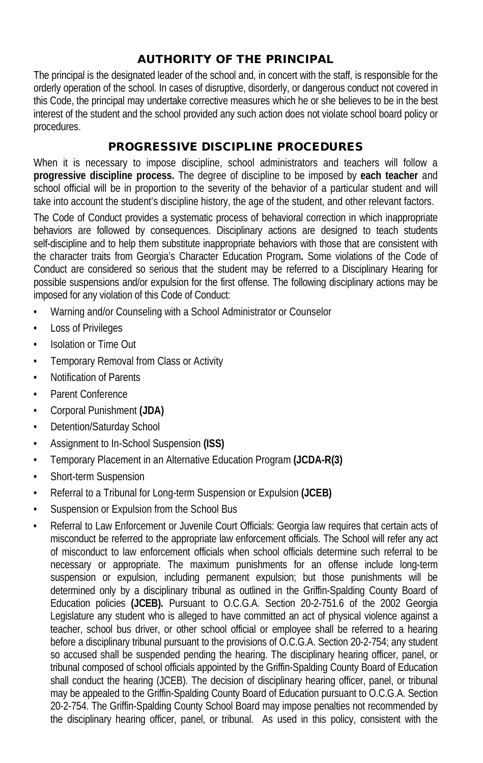## AUTHORITY OF THE PRINCIPAL

The principal is the designated leader of the school and, in concert with the staff, is responsible for the orderly operation of the school. In cases of disruptive, disorderly, or dangerous conduct not covered in this Code, the principal may undertake corrective measures which he or she believes to be in the best interest of the student and the school provided any such action does not violate school board policy or procedures.

### PROGRESSIVE DISCIPLINE PROCEDURES

When it is necessary to impose discipline, school administrators and teachers will follow a **progressive discipline process.** The degree of discipline to be imposed by **each teacher** and school official will be in proportion to the severity of the behavior of a particular student and will take into account the student's discipline history, the age of the student, and other relevant factors.

The Code of Conduct provides a systematic process of behavioral correction in which inappropriate behaviors are followed by consequences. Disciplinary actions are designed to teach students self-discipline and to help them substitute inappropriate behaviors with those that are consistent with the character traits from Georgia's Character Education Program**.** Some violations of the Code of Conduct are considered so serious that the student may be referred to a Disciplinary Hearing for possible suspensions and/or expulsion for the first offense. The following disciplinary actions may be imposed for any violation of this Code of Conduct:

- Warning and/or Counseling with a School Administrator or Counselor
- Loss of Privileges
- Isolation or Time Out
- Temporary Removal from Class or Activity
- Notification of Parents
- Parent Conference
- Corporal Punishment **(JDA)**
- Detention/Saturday School
- Assignment to In-School Suspension **(ISS)**
- Temporary Placement in an Alternative Education Program **(JCDA-R(3)**
- Short-term Suspension
- Referral to a Tribunal for Long-term Suspension or Expulsion **(JCEB)**
- Suspension or Expulsion from the School Bus
- Referral to Law Enforcement or Juvenile Court Officials: Georgia law requires that certain acts of misconduct be referred to the appropriate law enforcement officials. The School will refer any act of misconduct to law enforcement officials when school officials determine such referral to be necessary or appropriate. The maximum punishments for an offense include long-term suspension or expulsion, including permanent expulsion; but those punishments will be determined only by a disciplinary tribunal as outlined in the Griffin-Spalding County Board of Education policies **(JCEB).** Pursuant to O.C.G.A. Section 20-2-751.6 of the 2002 Georgia Legislature any student who is alleged to have committed an act of physical violence against a teacher, school bus driver, or other school official or employee shall be referred to a hearing before a disciplinary tribunal pursuant to the provisions of O.C.G.A. Section 20-2-754; any student so accused shall be suspended pending the hearing. The disciplinary hearing officer, panel, or tribunal composed of school officials appointed by the Griffin-Spalding County Board of Education shall conduct the hearing (JCEB). The decision of disciplinary hearing officer, panel, or tribunal may be appealed to the Griffin-Spalding County Board of Education pursuant to O.C.G.A. Section 20-2-754. The Griffin-Spalding County School Board may impose penalties not recommended by the disciplinary hearing officer, panel, or tribunal. As used in this policy, consistent with the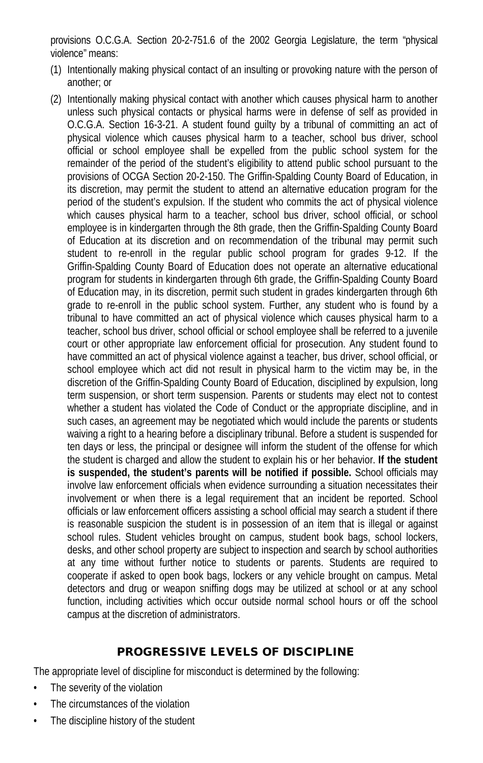provisions O.C.G.A. Section 20-2-751.6 of the 2002 Georgia Legislature, the term "physical violence" means:

- (1) Intentionally making physical contact of an insulting or provoking nature with the person of another; or
- (2) Intentionally making physical contact with another which causes physical harm to another unless such physical contacts or physical harms were in defense of self as provided in O.C.G.A. Section 16-3-21. A student found guilty by a tribunal of committing an act of physical violence which causes physical harm to a teacher, school bus driver, school official or school employee shall be expelled from the public school system for the remainder of the period of the student's eligibility to attend public school pursuant to the provisions of OCGA Section 20-2-150. The Griffin-Spalding County Board of Education, in its discretion, may permit the student to attend an alternative education program for the period of the student's expulsion. If the student who commits the act of physical violence which causes physical harm to a teacher, school bus driver, school official, or school employee is in kindergarten through the 8th grade, then the Griffin-Spalding County Board of Education at its discretion and on recommendation of the tribunal may permit such student to re-enroll in the regular public school program for grades 9-12. If the Griffin-Spalding County Board of Education does not operate an alternative educational program for students in kindergarten through 6th grade, the Griffin-Spalding County Board of Education may, in its discretion, permit such student in grades kindergarten through 6th grade to re-enroll in the public school system. Further, any student who is found by a tribunal to have committed an act of physical violence which causes physical harm to a teacher, school bus driver, school official or school employee shall be referred to a juvenile court or other appropriate law enforcement official for prosecution. Any student found to have committed an act of physical violence against a teacher, bus driver, school official, or school employee which act did not result in physical harm to the victim may be, in the discretion of the Griffin-Spalding County Board of Education, disciplined by expulsion, long term suspension, or short term suspension. Parents or students may elect not to contest whether a student has violated the Code of Conduct or the appropriate discipline, and in such cases, an agreement may be negotiated which would include the parents or students waiving a right to a hearing before a disciplinary tribunal. Before a student is suspended for ten days or less, the principal or designee will inform the student of the offense for which the student is charged and allow the student to explain his or her behavior. **If the student is suspended, the student's parents will be notified if possible.** School officials may involve law enforcement officials when evidence surrounding a situation necessitates their involvement or when there is a legal requirement that an incident be reported. School officials or law enforcement officers assisting a school official may search a student if there is reasonable suspicion the student is in possession of an item that is illegal or against school rules. Student vehicles brought on campus, student book bags, school lockers, desks, and other school property are subject to inspection and search by school authorities at any time without further notice to students or parents. Students are required to cooperate if asked to open book bags, lockers or any vehicle brought on campus. Metal detectors and drug or weapon sniffing dogs may be utilized at school or at any school function, including activities which occur outside normal school hours or off the school campus at the discretion of administrators.

### PROGRESSIVE LEVELS OF DISCIPLINE

The appropriate level of discipline for misconduct is determined by the following:

- The severity of the violation
- The circumstances of the violation
- The discipline history of the student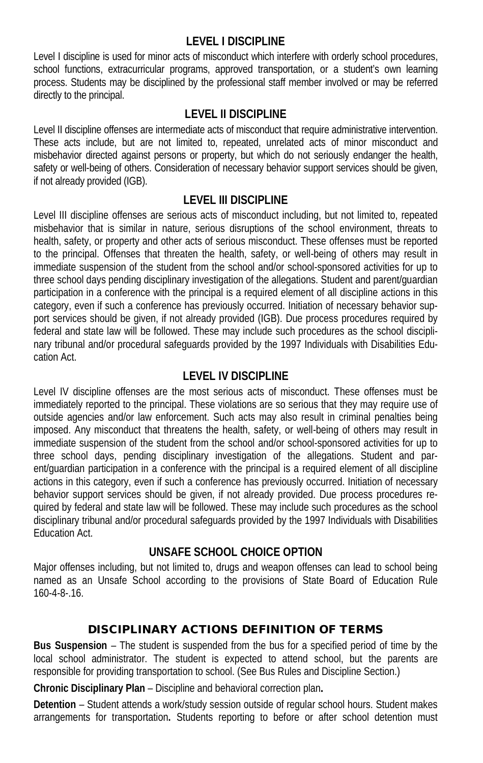#### **LEVEL I DISCIPLINE**

Level I discipline is used for minor acts of misconduct which interfere with orderly school procedures, school functions, extracurricular programs, approved transportation, or a student's own learning process. Students may be disciplined by the professional staff member involved or may be referred directly to the principal.

### **LEVEL II DISCIPLINE**

Level II discipline offenses are intermediate acts of misconduct that require administrative intervention. These acts include, but are not limited to, repeated, unrelated acts of minor misconduct and misbehavior directed against persons or property, but which do not seriously endanger the health, safety or well-being of others. Consideration of necessary behavior support services should be given, if not already provided (IGB).

#### **LEVEL III DISCIPLINE**

Level III discipline offenses are serious acts of misconduct including, but not limited to, repeated misbehavior that is similar in nature, serious disruptions of the school environment, threats to health, safety, or property and other acts of serious misconduct. These offenses must be reported to the principal. Offenses that threaten the health, safety, or well-being of others may result in immediate suspension of the student from the school and/or school-sponsored activities for up to three school days pending disciplinary investigation of the allegations. Student and parent/guardian participation in a conference with the principal is a required element of all discipline actions in this category, even if such a conference has previously occurred. Initiation of necessary behavior support services should be given, if not already provided (IGB). Due process procedures required by federal and state law will be followed. These may include such procedures as the school disciplinary tribunal and/or procedural safeguards provided by the 1997 Individuals with Disabilities Education Act.

#### **LEVEL IV DISCIPLINE**

Level IV discipline offenses are the most serious acts of misconduct. These offenses must be immediately reported to the principal. These violations are so serious that they may require use of outside agencies and/or law enforcement. Such acts may also result in criminal penalties being imposed. Any misconduct that threatens the health, safety, or well-being of others may result in immediate suspension of the student from the school and/or school-sponsored activities for up to three school days, pending disciplinary investigation of the allegations. Student and parent/guardian participation in a conference with the principal is a required element of all discipline actions in this category, even if such a conference has previously occurred. Initiation of necessary behavior support services should be given, if not already provided. Due process procedures required by federal and state law will be followed. These may include such procedures as the school disciplinary tribunal and/or procedural safeguards provided by the 1997 Individuals with Disabilities Education Act.

### **UNSAFE SCHOOL CHOICE OPTION**

Major offenses including, but not limited to, drugs and weapon offenses can lead to school being named as an Unsafe School according to the provisions of State Board of Education Rule 160-4-8-.16.

### DISCIPLINARY ACTIONS DEFINITION OF TERMS

**Bus Suspension** – The student is suspended from the bus for a specified period of time by the local school administrator. The student is expected to attend school, but the parents are responsible for providing transportation to school. (See Bus Rules and Discipline Section.)

**Chronic Disciplinary Plan** – Discipline and behavioral correction plan**.**

**Detention** – Student attends a work/study session outside of regular school hours. Student makes arrangements for transportation**.** Students reporting to before or after school detention must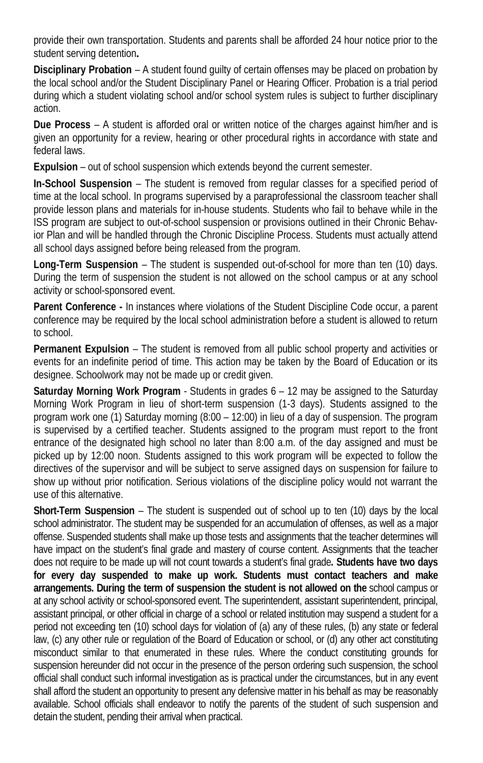provide their own transportation. Students and parents shall be afforded 24 hour notice prior to the student serving detention**.**

**Disciplinary Probation** – A student found guilty of certain offenses may be placed on probation by the local school and/or the Student Disciplinary Panel or Hearing Officer. Probation is a trial period during which a student violating school and/or school system rules is subject to further disciplinary action.

**Due Process** – A student is afforded oral or written notice of the charges against him/her and is given an opportunity for a review, hearing or other procedural rights in accordance with state and federal laws.

**Expulsion** – out of school suspension which extends beyond the current semester.

**In-School Suspension** – The student is removed from regular classes for a specified period of time at the local school. In programs supervised by a paraprofessional the classroom teacher shall provide lesson plans and materials for in-house students. Students who fail to behave while in the ISS program are subject to out-of-school suspension or provisions outlined in their Chronic Behavior Plan and will be handled through the Chronic Discipline Process. Students must actually attend all school days assigned before being released from the program.

**Long-Term Suspension** – The student is suspended out-of-school for more than ten (10) days. During the term of suspension the student is not allowed on the school campus or at any school activity or school-sponsored event.

**Parent Conference -** In instances where violations of the Student Discipline Code occur, a parent conference may be required by the local school administration before a student is allowed to return to school.

**Permanent Expulsion** – The student is removed from all public school property and activities or events for an indefinite period of time. This action may be taken by the Board of Education or its designee. Schoolwork may not be made up or credit given.

**Saturday Morning Work Program** - Students in grades 6 – 12 may be assigned to the Saturday Morning Work Program in lieu of short-term suspension (1-3 days). Students assigned to the program work one (1) Saturday morning (8:00 – 12:00) in lieu of a day of suspension. The program is supervised by a certified teacher. Students assigned to the program must report to the front entrance of the designated high school no later than 8:00 a.m. of the day assigned and must be picked up by 12:00 noon. Students assigned to this work program will be expected to follow the directives of the supervisor and will be subject to serve assigned days on suspension for failure to show up without prior notification. Serious violations of the discipline policy would not warrant the use of this alternative.

**Short-Term Suspension** – The student is suspended out of school up to ten (10) days by the local school administrator. The student may be suspended for an accumulation of offenses, as well as a major offense. Suspended students shall make up those tests and assignments that the teacher determines will have impact on the student's final grade and mastery of course content. Assignments that the teacher does not require to be made up will not count towards a student's final grade**. Students have two days for every day suspended to make up work. Students must contact teachers and make arrangements. During the term of suspension the student is not allowed on the** school campus or at any school activity or school-sponsored event. The superintendent, assistant superintendent, principal, assistant principal, or other official in charge of a school or related institution may suspend a student for a period not exceeding ten (10) school days for violation of (a) any of these rules, (b) any state or federal law, (c) any other rule or regulation of the Board of Education or school, or (d) any other act constituting misconduct similar to that enumerated in these rules. Where the conduct constituting grounds for suspension hereunder did not occur in the presence of the person ordering such suspension, the school official shall conduct such informal investigation as is practical under the circumstances, but in any event shall afford the student an opportunity to present any defensive matter in his behalf as may be reasonably available. School officials shall endeavor to notify the parents of the student of such suspension and detain the student, pending their arrival when practical.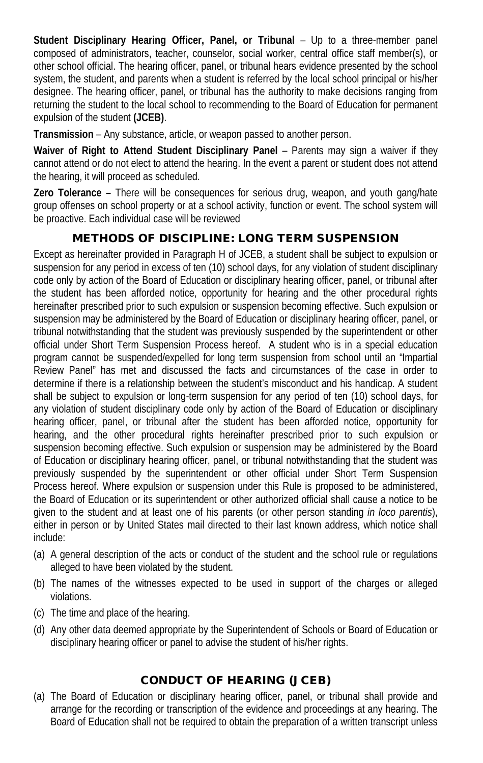**Student Disciplinary Hearing Officer, Panel, or Tribunal** – Up to a three-member panel composed of administrators, teacher, counselor, social worker, central office staff member(s), or other school official. The hearing officer, panel, or tribunal hears evidence presented by the school system, the student, and parents when a student is referred by the local school principal or his/her designee. The hearing officer, panel, or tribunal has the authority to make decisions ranging from returning the student to the local school to recommending to the Board of Education for permanent expulsion of the student **(JCEB)**.

**Transmission** – Any substance, article, or weapon passed to another person.

Waiver of Right to Attend Student Disciplinary Panel - Parents may sign a waiver if they cannot attend or do not elect to attend the hearing. In the event a parent or student does not attend the hearing, it will proceed as scheduled.

**Zero Tolerance –** There will be consequences for serious drug, weapon, and youth gang/hate group offenses on school property or at a school activity, function or event. The school system will be proactive. Each individual case will be reviewed

## METHODS OF DISCIPLINE: LONG TERM SUSPENSION

Except as hereinafter provided in Paragraph H of JCEB, a student shall be subject to expulsion or suspension for any period in excess of ten (10) school days, for any violation of student disciplinary code only by action of the Board of Education or disciplinary hearing officer, panel, or tribunal after the student has been afforded notice, opportunity for hearing and the other procedural rights hereinafter prescribed prior to such expulsion or suspension becoming effective. Such expulsion or suspension may be administered by the Board of Education or disciplinary hearing officer, panel, or tribunal notwithstanding that the student was previously suspended by the superintendent or other official under Short Term Suspension Process hereof. A student who is in a special education program cannot be suspended/expelled for long term suspension from school until an "Impartial Review Panel" has met and discussed the facts and circumstances of the case in order to determine if there is a relationship between the student's misconduct and his handicap. A student shall be subject to expulsion or long-term suspension for any period of ten (10) school days, for any violation of student disciplinary code only by action of the Board of Education or disciplinary hearing officer, panel, or tribunal after the student has been afforded notice, opportunity for hearing, and the other procedural rights hereinafter prescribed prior to such expulsion or suspension becoming effective. Such expulsion or suspension may be administered by the Board of Education or disciplinary hearing officer, panel, or tribunal notwithstanding that the student was previously suspended by the superintendent or other official under Short Term Suspension Process hereof. Where expulsion or suspension under this Rule is proposed to be administered, the Board of Education or its superintendent or other authorized official shall cause a notice to be given to the student and at least one of his parents (or other person standing *in loco parentis*), either in person or by United States mail directed to their last known address, which notice shall include:

- (a) A general description of the acts or conduct of the student and the school rule or regulations alleged to have been violated by the student.
- (b) The names of the witnesses expected to be used in support of the charges or alleged violations.
- (c) The time and place of the hearing.
- (d) Any other data deemed appropriate by the Superintendent of Schools or Board of Education or disciplinary hearing officer or panel to advise the student of his/her rights.

### CONDUCT OF HEARING (JCEB)

(a) The Board of Education or disciplinary hearing officer, panel, or tribunal shall provide and arrange for the recording or transcription of the evidence and proceedings at any hearing. The Board of Education shall not be required to obtain the preparation of a written transcript unless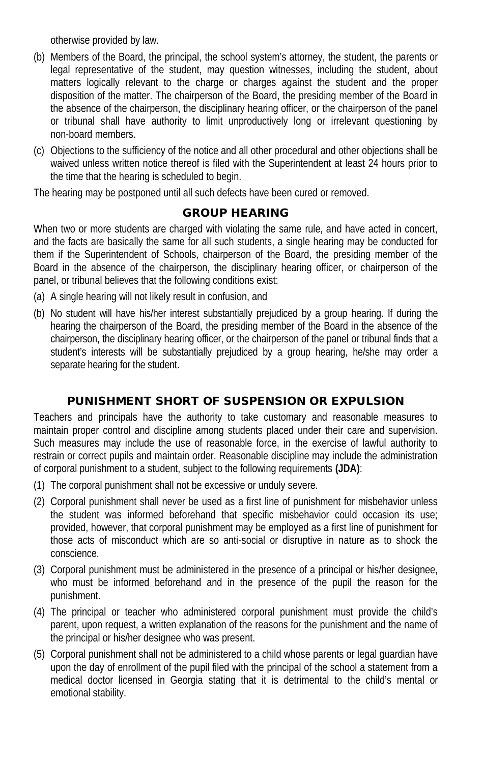otherwise provided by law.

- (b) Members of the Board, the principal, the school system's attorney, the student, the parents or legal representative of the student, may question witnesses, including the student, about matters logically relevant to the charge or charges against the student and the proper disposition of the matter. The chairperson of the Board, the presiding member of the Board in the absence of the chairperson, the disciplinary hearing officer, or the chairperson of the panel or tribunal shall have authority to limit unproductively long or irrelevant questioning by non-board members.
- (c) Objections to the sufficiency of the notice and all other procedural and other objections shall be waived unless written notice thereof is filed with the Superintendent at least 24 hours prior to the time that the hearing is scheduled to begin.

The hearing may be postponed until all such defects have been cured or removed.

### GROUP HEARING

When two or more students are charged with violating the same rule, and have acted in concert, and the facts are basically the same for all such students, a single hearing may be conducted for them if the Superintendent of Schools, chairperson of the Board, the presiding member of the Board in the absence of the chairperson, the disciplinary hearing officer, or chairperson of the panel, or tribunal believes that the following conditions exist:

- (a) A single hearing will not likely result in confusion, and
- (b) No student will have his/her interest substantially prejudiced by a group hearing. If during the hearing the chairperson of the Board, the presiding member of the Board in the absence of the chairperson, the disciplinary hearing officer, or the chairperson of the panel or tribunal finds that a student's interests will be substantially prejudiced by a group hearing, he/she may order a separate hearing for the student.

## PUNISHMENT SHORT OF SUSPENSION OR EXPULSION

Teachers and principals have the authority to take customary and reasonable measures to maintain proper control and discipline among students placed under their care and supervision. Such measures may include the use of reasonable force, in the exercise of lawful authority to restrain or correct pupils and maintain order. Reasonable discipline may include the administration of corporal punishment to a student, subject to the following requirements **(JDA)**:

- (1) The corporal punishment shall not be excessive or unduly severe.
- (2) Corporal punishment shall never be used as a first line of punishment for misbehavior unless the student was informed beforehand that specific misbehavior could occasion its use; provided, however, that corporal punishment may be employed as a first line of punishment for those acts of misconduct which are so anti-social or disruptive in nature as to shock the conscience.
- (3) Corporal punishment must be administered in the presence of a principal or his/her designee, who must be informed beforehand and in the presence of the pupil the reason for the punishment.
- (4) The principal or teacher who administered corporal punishment must provide the child's parent, upon request, a written explanation of the reasons for the punishment and the name of the principal or his/her designee who was present.
- (5) Corporal punishment shall not be administered to a child whose parents or legal guardian have upon the day of enrollment of the pupil filed with the principal of the school a statement from a medical doctor licensed in Georgia stating that it is detrimental to the child's mental or emotional stability.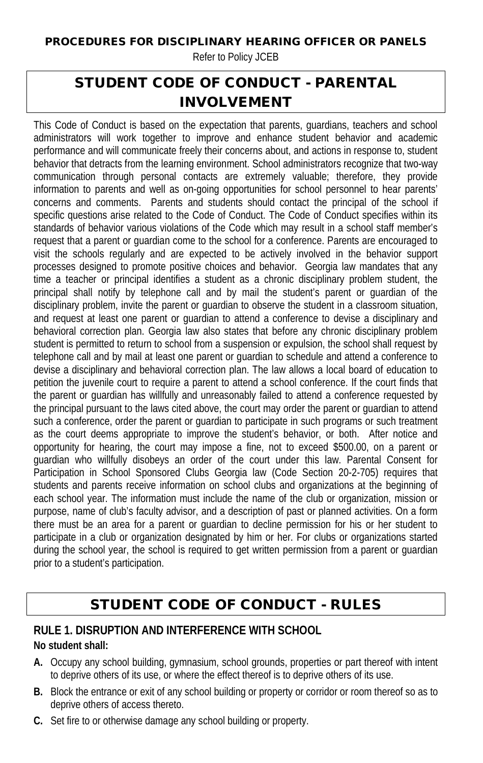#### PROCEDURES FOR DISCIPLINARY HEARING OFFICER OR PANELS

Refer to Policy JCEB

# STUDENT CODE OF CONDUCT - PARENTAL INVOLVEMENT

This Code of Conduct is based on the expectation that parents, guardians, teachers and school administrators will work together to improve and enhance student behavior and academic performance and will communicate freely their concerns about, and actions in response to, student behavior that detracts from the learning environment. School administrators recognize that two-way communication through personal contacts are extremely valuable; therefore, they provide information to parents and well as on-going opportunities for school personnel to hear parents' concerns and comments. Parents and students should contact the principal of the school if specific questions arise related to the Code of Conduct. The Code of Conduct specifies within its standards of behavior various violations of the Code which may result in a school staff member's request that a parent or guardian come to the school for a conference. Parents are encouraged to visit the schools regularly and are expected to be actively involved in the behavior support processes designed to promote positive choices and behavior. Georgia law mandates that any time a teacher or principal identifies a student as a chronic disciplinary problem student, the principal shall notify by telephone call and by mail the student's parent or guardian of the disciplinary problem, invite the parent or guardian to observe the student in a classroom situation, and request at least one parent or guardian to attend a conference to devise a disciplinary and behavioral correction plan. Georgia law also states that before any chronic disciplinary problem student is permitted to return to school from a suspension or expulsion, the school shall request by telephone call and by mail at least one parent or guardian to schedule and attend a conference to devise a disciplinary and behavioral correction plan. The law allows a local board of education to petition the juvenile court to require a parent to attend a school conference. If the court finds that the parent or guardian has willfully and unreasonably failed to attend a conference requested by the principal pursuant to the laws cited above, the court may order the parent or guardian to attend such a conference, order the parent or guardian to participate in such programs or such treatment as the court deems appropriate to improve the student's behavior, or both. After notice and opportunity for hearing, the court may impose a fine, not to exceed \$500.00, on a parent or guardian who willfully disobeys an order of the court under this law. Parental Consent for Participation in School Sponsored Clubs Georgia law (Code Section 20-2-705) requires that students and parents receive information on school clubs and organizations at the beginning of each school year. The information must include the name of the club or organization, mission or purpose, name of club's faculty advisor, and a description of past or planned activities. On a form there must be an area for a parent or guardian to decline permission for his or her student to participate in a club or organization designated by him or her. For clubs or organizations started during the school year, the school is required to get written permission from a parent or guardian prior to a student's participation.

# STUDENT CODE OF CONDUCT - RULES

# **RULE 1. DISRUPTION AND INTERFERENCE WITH SCHOOL**

#### **No student shall:**

- **A.** Occupy any school building, gymnasium, school grounds, properties or part thereof with intent to deprive others of its use, or where the effect thereof is to deprive others of its use.
- **B.** Block the entrance or exit of any school building or property or corridor or room thereof so as to deprive others of access thereto.
- **C.** Set fire to or otherwise damage any school building or property.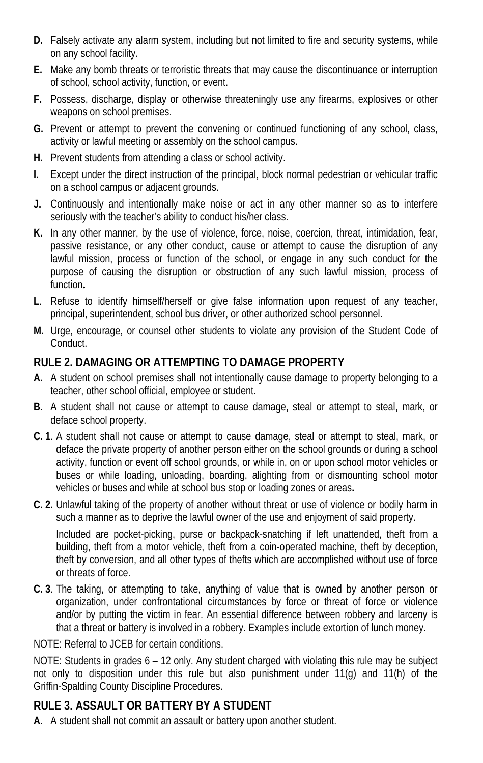- **D.** Falsely activate any alarm system, including but not limited to fire and security systems, while on any school facility.
- **E.** Make any bomb threats or terroristic threats that may cause the discontinuance or interruption of school, school activity, function, or event.
- **F.** Possess, discharge, display or otherwise threateningly use any firearms, explosives or other weapons on school premises.
- **G.** Prevent or attempt to prevent the convening or continued functioning of any school, class, activity or lawful meeting or assembly on the school campus.
- **H.** Prevent students from attending a class or school activity.
- **I.** Except under the direct instruction of the principal, block normal pedestrian or vehicular traffic on a school campus or adjacent grounds.
- **J.** Continuously and intentionally make noise or act in any other manner so as to interfere seriously with the teacher's ability to conduct his/her class.
- **K.** In any other manner, by the use of violence, force, noise, coercion, threat, intimidation, fear, passive resistance, or any other conduct, cause or attempt to cause the disruption of any lawful mission, process or function of the school, or engage in any such conduct for the purpose of causing the disruption or obstruction of any such lawful mission, process of function**.**
- **L**. Refuse to identify himself/herself or give false information upon request of any teacher, principal, superintendent, school bus driver, or other authorized school personnel.
- **M.** Urge, encourage, or counsel other students to violate any provision of the Student Code of **Conduct**

## **RULE 2. DAMAGING OR ATTEMPTING TO DAMAGE PROPERTY**

- **A.** A student on school premises shall not intentionally cause damage to property belonging to a teacher, other school official, employee or student.
- **B**. A student shall not cause or attempt to cause damage, steal or attempt to steal, mark, or deface school property.
- **C. 1**. A student shall not cause or attempt to cause damage, steal or attempt to steal, mark, or deface the private property of another person either on the school grounds or during a school activity, function or event off school grounds, or while in, on or upon school motor vehicles or buses or while loading, unloading, boarding, alighting from or dismounting school motor vehicles or buses and while at school bus stop or loading zones or areas**.**
- **C. 2.** Unlawful taking of the property of another without threat or use of violence or bodily harm in such a manner as to deprive the lawful owner of the use and enjoyment of said property.

Included are pocket-picking, purse or backpack-snatching if left unattended, theft from a building, theft from a motor vehicle, theft from a coin-operated machine, theft by deception, theft by conversion, and all other types of thefts which are accomplished without use of force or threats of force.

**C. 3**. The taking, or attempting to take, anything of value that is owned by another person or organization, under confrontational circumstances by force or threat of force or violence and/or by putting the victim in fear. An essential difference between robbery and larceny is that a threat or battery is involved in a robbery. Examples include extortion of lunch money.

NOTE: Referral to JCEB for certain conditions.

NOTE: Students in grades 6 – 12 only. Any student charged with violating this rule may be subject not only to disposition under this rule but also punishment under 11(g) and 11(h) of the Griffin-Spalding County Discipline Procedures.

## **RULE 3. ASSAULT OR BATTERY BY A STUDENT**

**A**. A student shall not commit an assault or battery upon another student.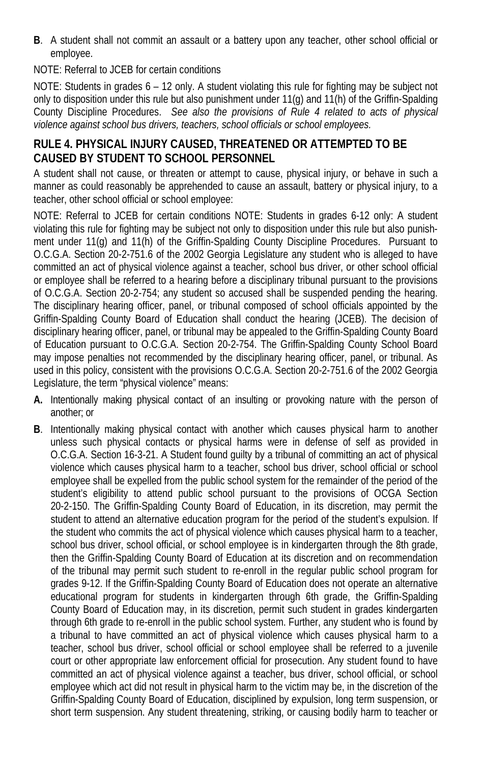**B**. A student shall not commit an assault or a battery upon any teacher, other school official or employee.

NOTE: Referral to JCEB for certain conditions

NOTE: Students in grades 6 – 12 only. A student violating this rule for fighting may be subject not only to disposition under this rule but also punishment under 11(g) and 11(h) of the Griffin-Spalding County Discipline Procedures. *See also the provisions of Rule 4 related to acts of physical violence against school bus drivers, teachers, school officials or school employees.*

## **RULE 4. PHYSICAL INJURY CAUSED, THREATENED OR ATTEMPTED TO BE CAUSED BY STUDENT TO SCHOOL PERSONNEL**

A student shall not cause, or threaten or attempt to cause, physical injury, or behave in such a manner as could reasonably be apprehended to cause an assault, battery or physical injury, to a teacher, other school official or school employee:

NOTE: Referral to JCEB for certain conditions NOTE: Students in grades 6-12 only: A student violating this rule for fighting may be subject not only to disposition under this rule but also punishment under 11(g) and 11(h) of the Griffin-Spalding County Discipline Procedures. Pursuant to O.C.G.A. Section 20-2-751.6 of the 2002 Georgia Legislature any student who is alleged to have committed an act of physical violence against a teacher, school bus driver, or other school official or employee shall be referred to a hearing before a disciplinary tribunal pursuant to the provisions of O.C.G.A. Section 20-2-754; any student so accused shall be suspended pending the hearing. The disciplinary hearing officer, panel, or tribunal composed of school officials appointed by the Griffin-Spalding County Board of Education shall conduct the hearing (JCEB). The decision of disciplinary hearing officer, panel, or tribunal may be appealed to the Griffin-Spalding County Board of Education pursuant to O.C.G.A. Section 20-2-754. The Griffin-Spalding County School Board may impose penalties not recommended by the disciplinary hearing officer, panel, or tribunal. As used in this policy, consistent with the provisions O.C.G.A. Section 20-2-751.6 of the 2002 Georgia Legislature, the term "physical violence" means:

- **A.** Intentionally making physical contact of an insulting or provoking nature with the person of another; or
- **B**. Intentionally making physical contact with another which causes physical harm to another unless such physical contacts or physical harms were in defense of self as provided in O.C.G.A. Section 16-3-21. A Student found guilty by a tribunal of committing an act of physical violence which causes physical harm to a teacher, school bus driver, school official or school employee shall be expelled from the public school system for the remainder of the period of the student's eligibility to attend public school pursuant to the provisions of OCGA Section 20-2-150. The Griffin-Spalding County Board of Education, in its discretion, may permit the student to attend an alternative education program for the period of the student's expulsion. If the student who commits the act of physical violence which causes physical harm to a teacher, school bus driver, school official, or school employee is in kindergarten through the 8th grade, then the Griffin-Spalding County Board of Education at its discretion and on recommendation of the tribunal may permit such student to re-enroll in the regular public school program for grades 9-12. If the Griffin-Spalding County Board of Education does not operate an alternative educational program for students in kindergarten through 6th grade, the Griffin-Spalding County Board of Education may, in its discretion, permit such student in grades kindergarten through 6th grade to re-enroll in the public school system. Further, any student who is found by a tribunal to have committed an act of physical violence which causes physical harm to a teacher, school bus driver, school official or school employee shall be referred to a juvenile court or other appropriate law enforcement official for prosecution. Any student found to have committed an act of physical violence against a teacher, bus driver, school official, or school employee which act did not result in physical harm to the victim may be, in the discretion of the Griffin-Spalding County Board of Education, disciplined by expulsion, long term suspension, or short term suspension. Any student threatening, striking, or causing bodily harm to teacher or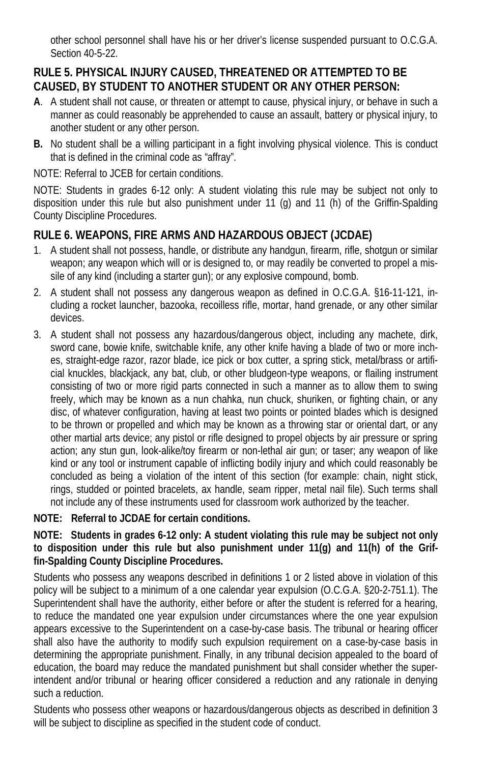other school personnel shall have his or her driver's license suspended pursuant to O.C.G.A. Section 40-5-22.

## **RULE 5. PHYSICAL INJURY CAUSED, THREATENED OR ATTEMPTED TO BE CAUSED, BY STUDENT TO ANOTHER STUDENT OR ANY OTHER PERSON:**

- **A**. A student shall not cause, or threaten or attempt to cause, physical injury, or behave in such a manner as could reasonably be apprehended to cause an assault, battery or physical injury, to another student or any other person.
- **B.** No student shall be a willing participant in a fight involving physical violence. This is conduct that is defined in the criminal code as "affray".

NOTE: Referral to JCEB for certain conditions.

NOTE: Students in grades 6-12 only: A student violating this rule may be subject not only to disposition under this rule but also punishment under 11 (g) and 11 (h) of the Griffin-Spalding County Discipline Procedures.

## **RULE 6. WEAPONS, FIRE ARMS AND HAZARDOUS OBJECT (JCDAE)**

- 1. A student shall not possess, handle, or distribute any handgun, firearm, rifle, shotgun or similar weapon; any weapon which will or is designed to, or may readily be converted to propel a missile of any kind (including a starter gun); or any explosive compound, bomb.
- 2. A student shall not possess any dangerous weapon as defined in O.C.G.A. §16-11-121, including a rocket launcher, bazooka, recoilless rifle, mortar, hand grenade, or any other similar devices.
- 3. A student shall not possess any hazardous/dangerous object, including any machete, dirk, sword cane, bowie knife, switchable knife, any other knife having a blade of two or more inches, straight-edge razor, razor blade, ice pick or box cutter, a spring stick, metal/brass or artificial knuckles, blackjack, any bat, club, or other bludgeon-type weapons, or flailing instrument consisting of two or more rigid parts connected in such a manner as to allow them to swing freely, which may be known as a nun chahka, nun chuck, shuriken, or fighting chain, or any disc, of whatever configuration, having at least two points or pointed blades which is designed to be thrown or propelled and which may be known as a throwing star or oriental dart, or any other martial arts device; any pistol or rifle designed to propel objects by air pressure or spring action; any stun gun, look-alike/toy firearm or non-lethal air gun; or taser; any weapon of like kind or any tool or instrument capable of inflicting bodily injury and which could reasonably be concluded as being a violation of the intent of this section (for example: chain, night stick, rings, studded or pointed bracelets, ax handle, seam ripper, metal nail file). Such terms shall not include any of these instruments used for classroom work authorized by the teacher.

### **NOTE: Referral to JCDAE for certain conditions.**

#### **NOTE: Students in grades 6-12 only: A student violating this rule may be subject not only to disposition under this rule but also punishment under 11(g) and 11(h) of the Griffin-Spalding County Discipline Procedures.**

Students who possess any weapons described in definitions 1 or 2 listed above in violation of this policy will be subject to a minimum of a one calendar year expulsion (O.C.G.A. §20-2-751.1). The Superintendent shall have the authority, either before or after the student is referred for a hearing, to reduce the mandated one year expulsion under circumstances where the one year expulsion appears excessive to the Superintendent on a case-by-case basis. The tribunal or hearing officer shall also have the authority to modify such expulsion requirement on a case-by-case basis in determining the appropriate punishment. Finally, in any tribunal decision appealed to the board of education, the board may reduce the mandated punishment but shall consider whether the superintendent and/or tribunal or hearing officer considered a reduction and any rationale in denying such a reduction.

Students who possess other weapons or hazardous/dangerous objects as described in definition 3 will be subject to discipline as specified in the student code of conduct.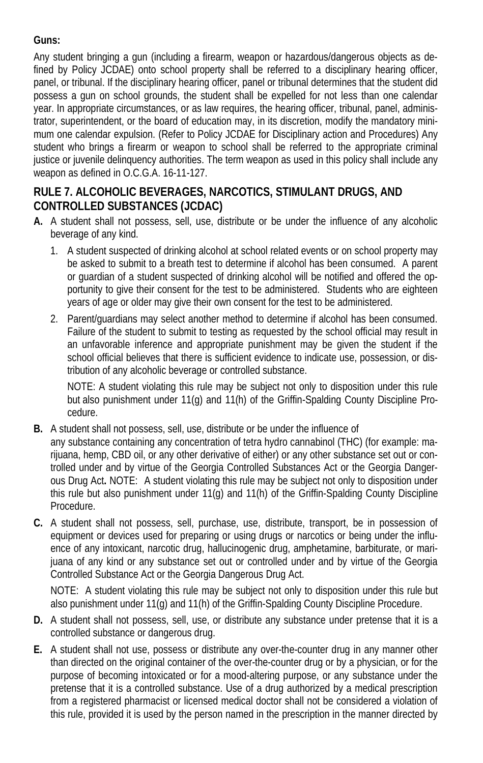#### **Guns:**

Any student bringing a gun (including a firearm, weapon or hazardous/dangerous objects as defined by Policy JCDAE) onto school property shall be referred to a disciplinary hearing officer, panel, or tribunal. If the disciplinary hearing officer, panel or tribunal determines that the student did possess a gun on school grounds, the student shall be expelled for not less than one calendar year. In appropriate circumstances, or as law requires, the hearing officer, tribunal, panel, administrator, superintendent, or the board of education may, in its discretion, modify the mandatory minimum one calendar expulsion. (Refer to Policy JCDAE for Disciplinary action and Procedures) Any student who brings a firearm or weapon to school shall be referred to the appropriate criminal justice or juvenile delinquency authorities. The term weapon as used in this policy shall include any weapon as defined in O.C.G.A. 16-11-127.

## **RULE 7. ALCOHOLIC BEVERAGES, NARCOTICS, STIMULANT DRUGS, AND CONTROLLED SUBSTANCES (JCDAC)**

- **A.** A student shall not possess, sell, use, distribute or be under the influence of any alcoholic beverage of any kind.
	- 1. A student suspected of drinking alcohol at school related events or on school property may be asked to submit to a breath test to determine if alcohol has been consumed. A parent or guardian of a student suspected of drinking alcohol will be notified and offered the opportunity to give their consent for the test to be administered. Students who are eighteen years of age or older may give their own consent for the test to be administered.
	- 2. Parent/guardians may select another method to determine if alcohol has been consumed. Failure of the student to submit to testing as requested by the school official may result in an unfavorable inference and appropriate punishment may be given the student if the school official believes that there is sufficient evidence to indicate use, possession, or distribution of any alcoholic beverage or controlled substance.

NOTE: A student violating this rule may be subject not only to disposition under this rule but also punishment under 11(g) and 11(h) of the Griffin-Spalding County Discipline Procedure.

- **B.** A student shall not possess, sell, use, distribute or be under the influence of any substance containing any concentration of tetra hydro cannabinol (THC) (for example: marijuana, hemp, CBD oil, or any other derivative of either) or any other substance set out or controlled under and by virtue of the Georgia Controlled Substances Act or the Georgia Dangerous Drug Act**.** NOTE: A student violating this rule may be subject not only to disposition under this rule but also punishment under 11(g) and 11(h) of the Griffin-Spalding County Discipline Procedure.
- **C.** A student shall not possess, sell, purchase, use, distribute, transport, be in possession of equipment or devices used for preparing or using drugs or narcotics or being under the influence of any intoxicant, narcotic drug, hallucinogenic drug, amphetamine, barbiturate, or marijuana of any kind or any substance set out or controlled under and by virtue of the Georgia Controlled Substance Act or the Georgia Dangerous Drug Act.

NOTE: A student violating this rule may be subject not only to disposition under this rule but also punishment under 11(g) and 11(h) of the Griffin-Spalding County Discipline Procedure.

- **D.** A student shall not possess, sell, use, or distribute any substance under pretense that it is a controlled substance or dangerous drug.
- **E.** A student shall not use, possess or distribute any over-the-counter drug in any manner other than directed on the original container of the over-the-counter drug or by a physician, or for the purpose of becoming intoxicated or for a mood-altering purpose, or any substance under the pretense that it is a controlled substance. Use of a drug authorized by a medical prescription from a registered pharmacist or licensed medical doctor shall not be considered a violation of this rule, provided it is used by the person named in the prescription in the manner directed by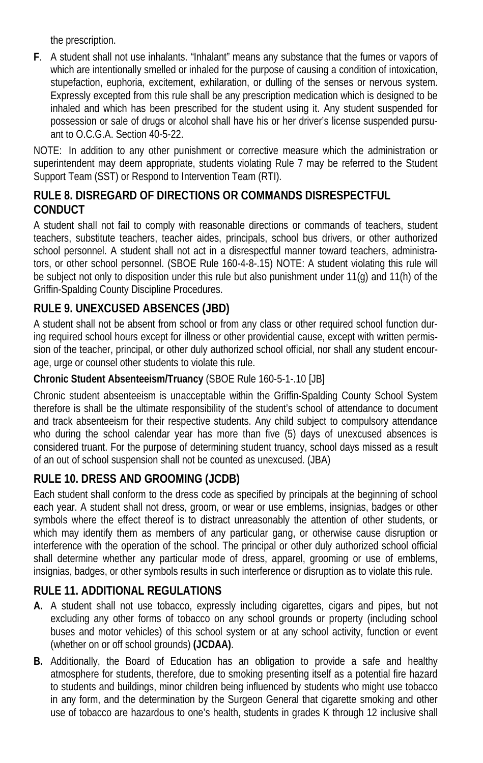the prescription.

**F**. A student shall not use inhalants. "Inhalant" means any substance that the fumes or vapors of which are intentionally smelled or inhaled for the purpose of causing a condition of intoxication, stupefaction, euphoria, excitement, exhilaration, or dulling of the senses or nervous system. Expressly excepted from this rule shall be any prescription medication which is designed to be inhaled and which has been prescribed for the student using it. Any student suspended for possession or sale of drugs or alcohol shall have his or her driver's license suspended pursuant to O.C.G.A. Section 40-5-22.

NOTE: In addition to any other punishment or corrective measure which the administration or superintendent may deem appropriate, students violating Rule 7 may be referred to the Student Support Team (SST) or Respond to Intervention Team (RTI).

## **RULE 8. DISREGARD OF DIRECTIONS OR COMMANDS DISRESPECTFUL CONDUCT**

A student shall not fail to comply with reasonable directions or commands of teachers, student teachers, substitute teachers, teacher aides, principals, school bus drivers, or other authorized school personnel. A student shall not act in a disrespectful manner toward teachers, administrators, or other school personnel. (SBOE Rule 160-4-8-.15) NOTE: A student violating this rule will be subject not only to disposition under this rule but also punishment under 11(g) and 11(h) of the Griffin-Spalding County Discipline Procedures.

# **RULE 9. UNEXCUSED ABSENCES (JBD)**

A student shall not be absent from school or from any class or other required school function during required school hours except for illness or other providential cause, except with written permission of the teacher, principal, or other duly authorized school official, nor shall any student encourage, urge or counsel other students to violate this rule.

### **Chronic Student Absenteeism/Truancy** (SBOE Rule 160-5-1-.10 [JB]

Chronic student absenteeism is unacceptable within the Griffin-Spalding County School System therefore is shall be the ultimate responsibility of the student's school of attendance to document and track absenteeism for their respective students. Any child subject to compulsory attendance who during the school calendar year has more than five (5) days of unexcused absences is considered truant. For the purpose of determining student truancy, school days missed as a result of an out of school suspension shall not be counted as unexcused. (JBA)

## **RULE 10. DRESS AND GROOMING (JCDB)**

Each student shall conform to the dress code as specified by principals at the beginning of school each year. A student shall not dress, groom, or wear or use emblems, insignias, badges or other symbols where the effect thereof is to distract unreasonably the attention of other students, or which may identify them as members of any particular gang, or otherwise cause disruption or interference with the operation of the school. The principal or other duly authorized school official shall determine whether any particular mode of dress, apparel, grooming or use of emblems, insignias, badges, or other symbols results in such interference or disruption as to violate this rule.

## **RULE 11. ADDITIONAL REGULATIONS**

- **A.** A student shall not use tobacco, expressly including cigarettes, cigars and pipes, but not excluding any other forms of tobacco on any school grounds or property (including school buses and motor vehicles) of this school system or at any school activity, function or event (whether on or off school grounds) **(JCDAA)**.
- **B.** Additionally, the Board of Education has an obligation to provide a safe and healthy atmosphere for students, therefore, due to smoking presenting itself as a potential fire hazard to students and buildings, minor children being influenced by students who might use tobacco in any form, and the determination by the Surgeon General that cigarette smoking and other use of tobacco are hazardous to one's health, students in grades K through 12 inclusive shall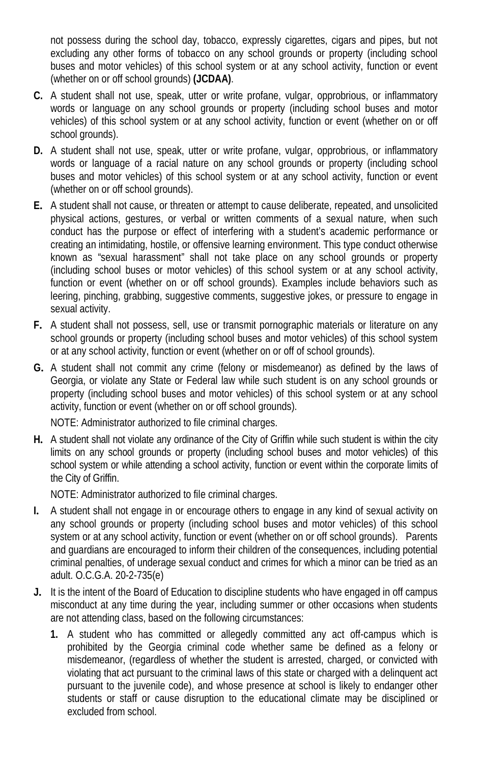not possess during the school day, tobacco, expressly cigarettes, cigars and pipes, but not excluding any other forms of tobacco on any school grounds or property (including school buses and motor vehicles) of this school system or at any school activity, function or event (whether on or off school grounds) **(JCDAA)**.

- **C.** A student shall not use, speak, utter or write profane, vulgar, opprobrious, or inflammatory words or language on any school grounds or property (including school buses and motor vehicles) of this school system or at any school activity, function or event (whether on or off school grounds).
- **D.** A student shall not use, speak, utter or write profane, vulgar, opprobrious, or inflammatory words or language of a racial nature on any school grounds or property (including school buses and motor vehicles) of this school system or at any school activity, function or event (whether on or off school grounds).
- **E.** A student shall not cause, or threaten or attempt to cause deliberate, repeated, and unsolicited physical actions, gestures, or verbal or written comments of a sexual nature, when such conduct has the purpose or effect of interfering with a student's academic performance or creating an intimidating, hostile, or offensive learning environment. This type conduct otherwise known as "sexual harassment" shall not take place on any school grounds or property (including school buses or motor vehicles) of this school system or at any school activity, function or event (whether on or off school grounds). Examples include behaviors such as leering, pinching, grabbing, suggestive comments, suggestive jokes, or pressure to engage in sexual activity.
- **F.** A student shall not possess, sell, use or transmit pornographic materials or literature on any school grounds or property (including school buses and motor vehicles) of this school system or at any school activity, function or event (whether on or off of school grounds).
- **G.** A student shall not commit any crime (felony or misdemeanor) as defined by the laws of Georgia, or violate any State or Federal law while such student is on any school grounds or property (including school buses and motor vehicles) of this school system or at any school activity, function or event (whether on or off school grounds).

NOTE: Administrator authorized to file criminal charges.

**H.** A student shall not violate any ordinance of the City of Griffin while such student is within the city limits on any school grounds or property (including school buses and motor vehicles) of this school system or while attending a school activity, function or event within the corporate limits of the City of Griffin.

NOTE: Administrator authorized to file criminal charges.

- **I.** A student shall not engage in or encourage others to engage in any kind of sexual activity on any school grounds or property (including school buses and motor vehicles) of this school system or at any school activity, function or event (whether on or off school grounds). Parents and guardians are encouraged to inform their children of the consequences, including potential criminal penalties, of underage sexual conduct and crimes for which a minor can be tried as an adult. O.C.G.A. 20-2-735(e)
- **J.** It is the intent of the Board of Education to discipline students who have engaged in off campus misconduct at any time during the year, including summer or other occasions when students are not attending class, based on the following circumstances:
	- **1.** A student who has committed or allegedly committed any act off-campus which is prohibited by the Georgia criminal code whether same be defined as a felony or misdemeanor, (regardless of whether the student is arrested, charged, or convicted with violating that act pursuant to the criminal laws of this state or charged with a delinquent act pursuant to the juvenile code), and whose presence at school is likely to endanger other students or staff or cause disruption to the educational climate may be disciplined or excluded from school.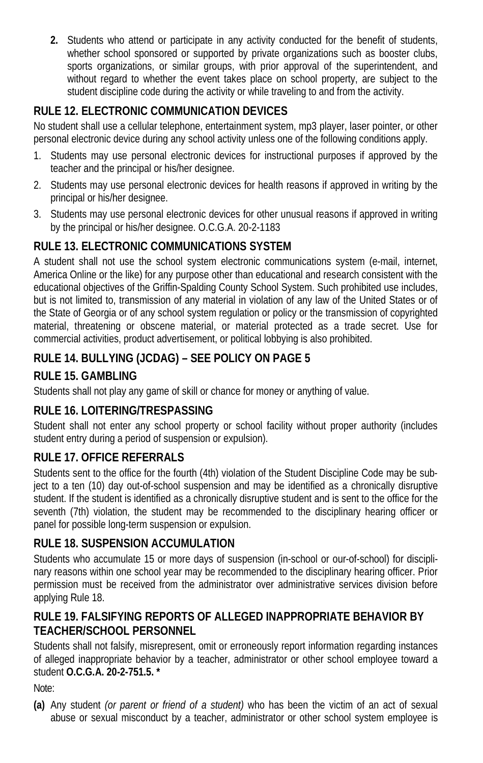**2.** Students who attend or participate in any activity conducted for the benefit of students, whether school sponsored or supported by private organizations such as booster clubs, sports organizations, or similar groups, with prior approval of the superintendent, and without regard to whether the event takes place on school property, are subject to the student discipline code during the activity or while traveling to and from the activity.

# **RULE 12. ELECTRONIC COMMUNICATION DEVICES**

No student shall use a cellular telephone, entertainment system, mp3 player, laser pointer, or other personal electronic device during any school activity unless one of the following conditions apply.

- 1. Students may use personal electronic devices for instructional purposes if approved by the teacher and the principal or his/her designee.
- 2. Students may use personal electronic devices for health reasons if approved in writing by the principal or his/her designee.
- 3. Students may use personal electronic devices for other unusual reasons if approved in writing by the principal or his/her designee. O.C.G.A. 20-2-1183

## **RULE 13. ELECTRONIC COMMUNICATIONS SYSTEM**

A student shall not use the school system electronic communications system (e-mail, internet, America Online or the like) for any purpose other than educational and research consistent with the educational objectives of the Griffin-Spalding County School System. Such prohibited use includes, but is not limited to, transmission of any material in violation of any law of the United States or of the State of Georgia or of any school system regulation or policy or the transmission of copyrighted material, threatening or obscene material, or material protected as a trade secret. Use for commercial activities, product advertisement, or political lobbying is also prohibited.

## **RULE 14. BULLYING (JCDAG) – SEE POLICY ON PAGE 5**

## **RULE 15. GAMBLING**

Students shall not play any game of skill or chance for money or anything of value.

## **RULE 16. LOITERING/TRESPASSING**

Student shall not enter any school property or school facility without proper authority (includes student entry during a period of suspension or expulsion).

## **RULE 17. OFFICE REFERRALS**

Students sent to the office for the fourth (4th) violation of the Student Discipline Code may be subject to a ten (10) day out-of-school suspension and may be identified as a chronically disruptive student. If the student is identified as a chronically disruptive student and is sent to the office for the seventh (7th) violation, the student may be recommended to the disciplinary hearing officer or panel for possible long-term suspension or expulsion.

### **RULE 18. SUSPENSION ACCUMULATION**

Students who accumulate 15 or more days of suspension (in-school or our-of-school) for disciplinary reasons within one school year may be recommended to the disciplinary hearing officer. Prior permission must be received from the administrator over administrative services division before applying Rule 18.

### **RULE 19. FALSIFYING REPORTS OF ALLEGED INAPPROPRIATE BEHAVIOR BY TEACHER/SCHOOL PERSONNEL**

Students shall not falsify, misrepresent, omit or erroneously report information regarding instances of alleged inappropriate behavior by a teacher, administrator or other school employee toward a student **O.C.G.A. 20-2-751.5. \***

Note:

**(a)** Any student *(or parent or friend of a student)* who has been the victim of an act of sexual abuse or sexual misconduct by a teacher, administrator or other school system employee is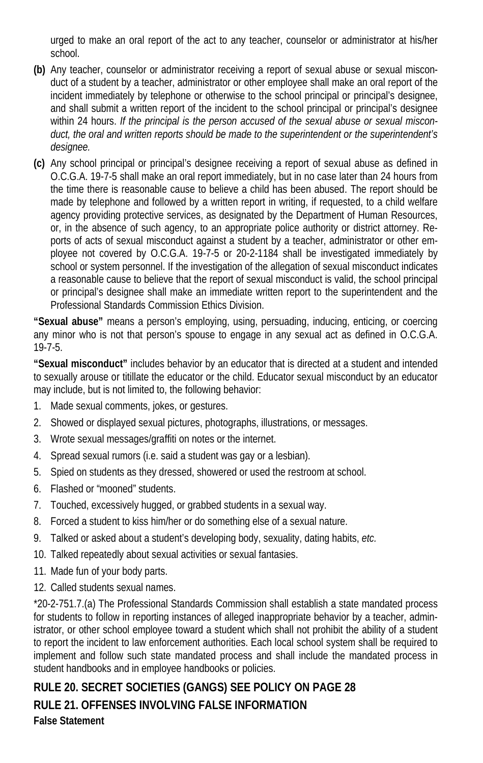urged to make an oral report of the act to any teacher, counselor or administrator at his/her school.

- **(b)** Any teacher, counselor or administrator receiving a report of sexual abuse or sexual misconduct of a student by a teacher, administrator or other employee shall make an oral report of the incident immediately by telephone or otherwise to the school principal or principal's designee, and shall submit a written report of the incident to the school principal or principal's designee within 24 hours. *If the principal is the person accused of the sexual abuse or sexual misconduct, the oral and written reports should be made to the superintendent or the superintendent's designee.*
- **(c)** Any school principal or principal's designee receiving a report of sexual abuse as defined in O.C.G.A. 19-7-5 shall make an oral report immediately, but in no case later than 24 hours from the time there is reasonable cause to believe a child has been abused. The report should be made by telephone and followed by a written report in writing, if requested, to a child welfare agency providing protective services, as designated by the Department of Human Resources, or, in the absence of such agency, to an appropriate police authority or district attorney. Reports of acts of sexual misconduct against a student by a teacher, administrator or other employee not covered by O.C.G.A. 19-7-5 or 20-2-1184 shall be investigated immediately by school or system personnel. If the investigation of the allegation of sexual misconduct indicates a reasonable cause to believe that the report of sexual misconduct is valid, the school principal or principal's designee shall make an immediate written report to the superintendent and the Professional Standards Commission Ethics Division.

**"Sexual abuse"** means a person's employing, using, persuading, inducing, enticing, or coercing any minor who is not that person's spouse to engage in any sexual act as defined in O.C.G.A. 19-7-5.

**"Sexual misconduct"** includes behavior by an educator that is directed at a student and intended to sexually arouse or titillate the educator or the child. Educator sexual misconduct by an educator may include, but is not limited to, the following behavior:

- 1. Made sexual comments, jokes, or gestures.
- 2. Showed or displayed sexual pictures, photographs, illustrations, or messages.
- 3. Wrote sexual messages/graffiti on notes or the internet.
- 4. Spread sexual rumors (i.e. said a student was gay or a lesbian).
- 5. Spied on students as they dressed, showered or used the restroom at school.
- 6. Flashed or "mooned" students.
- 7. Touched, excessively hugged, or grabbed students in a sexual way.
- 8. Forced a student to kiss him/her or do something else of a sexual nature.
- 9. Talked or asked about a student's developing body, sexuality, dating habits, *etc.*
- 10. Talked repeatedly about sexual activities or sexual fantasies.
- 11. Made fun of your body parts.
- 12. Called students sexual names.

\*20-2-751.7.(a) The Professional Standards Commission shall establish a state mandated process for students to follow in reporting instances of alleged inappropriate behavior by a teacher, administrator, or other school employee toward a student which shall not prohibit the ability of a student to report the incident to law enforcement authorities. Each local school system shall be required to implement and follow such state mandated process and shall include the mandated process in student handbooks and in employee handbooks or policies.

# **RULE 20. SECRET SOCIETIES (GANGS) SEE POLICY ON PAGE 28 RULE 21. OFFENSES INVOLVING FALSE INFORMATION False Statement**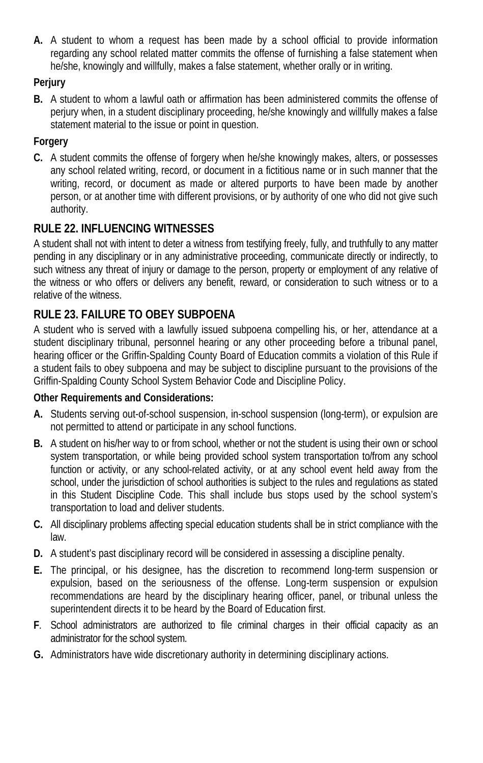**A.** A student to whom a request has been made by a school official to provide information regarding any school related matter commits the offense of furnishing a false statement when he/she, knowingly and willfully, makes a false statement, whether orally or in writing.

### **Perjury**

**B.** A student to whom a lawful oath or affirmation has been administered commits the offense of perjury when, in a student disciplinary proceeding, he/she knowingly and willfully makes a false statement material to the issue or point in question.

### **Forgery**

**C.** A student commits the offense of forgery when he/she knowingly makes, alters, or possesses any school related writing, record, or document in a fictitious name or in such manner that the writing, record, or document as made or altered purports to have been made by another person, or at another time with different provisions, or by authority of one who did not give such authority.

## **RULE 22. INFLUENCING WITNESSES**

A student shall not with intent to deter a witness from testifying freely, fully, and truthfully to any matter pending in any disciplinary or in any administrative proceeding, communicate directly or indirectly, to such witness any threat of injury or damage to the person, property or employment of any relative of the witness or who offers or delivers any benefit, reward, or consideration to such witness or to a relative of the witness.

## **RULE 23. FAILURE TO OBEY SUBPOENA**

A student who is served with a lawfully issued subpoena compelling his, or her, attendance at a student disciplinary tribunal, personnel hearing or any other proceeding before a tribunal panel, hearing officer or the Griffin-Spalding County Board of Education commits a violation of this Rule if a student fails to obey subpoena and may be subject to discipline pursuant to the provisions of the Griffin-Spalding County School System Behavior Code and Discipline Policy.

### **Other Requirements and Considerations:**

- **A.** Students serving out-of-school suspension, in-school suspension (long-term), or expulsion are not permitted to attend or participate in any school functions.
- **B.** A student on his/her way to or from school, whether or not the student is using their own or school system transportation, or while being provided school system transportation to/from any school function or activity, or any school-related activity, or at any school event held away from the school, under the jurisdiction of school authorities is subject to the rules and regulations as stated in this Student Discipline Code. This shall include bus stops used by the school system's transportation to load and deliver students.
- **C.** All disciplinary problems affecting special education students shall be in strict compliance with the law.
- **D.** A student's past disciplinary record will be considered in assessing a discipline penalty.
- **E.** The principal, or his designee, has the discretion to recommend long-term suspension or expulsion, based on the seriousness of the offense. Long-term suspension or expulsion recommendations are heard by the disciplinary hearing officer, panel, or tribunal unless the superintendent directs it to be heard by the Board of Education first.
- **F**. School administrators are authorized to file criminal charges in their official capacity as an administrator for the school system.
- **G.** Administrators have wide discretionary authority in determining disciplinary actions.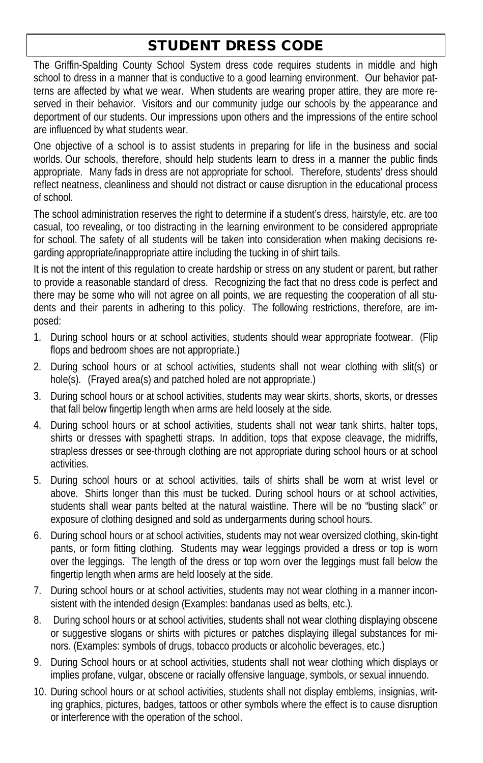# STUDENT DRESS CODE

The Griffin-Spalding County School System dress code requires students in middle and high school to dress in a manner that is conductive to a good learning environment. Our behavior patterns are affected by what we wear. When students are wearing proper attire, they are more reserved in their behavior. Visitors and our community judge our schools by the appearance and deportment of our students. Our impressions upon others and the impressions of the entire school are influenced by what students wear.

One objective of a school is to assist students in preparing for life in the business and social worlds. Our schools, therefore, should help students learn to dress in a manner the public finds appropriate. Many fads in dress are not appropriate for school. Therefore, students' dress should reflect neatness, cleanliness and should not distract or cause disruption in the educational process of school.

The school administration reserves the right to determine if a student's dress, hairstyle, etc. are too casual, too revealing, or too distracting in the learning environment to be considered appropriate for school. The safety of all students will be taken into consideration when making decisions regarding appropriate/inappropriate attire including the tucking in of shirt tails.

It is not the intent of this regulation to create hardship or stress on any student or parent, but rather to provide a reasonable standard of dress. Recognizing the fact that no dress code is perfect and there may be some who will not agree on all points, we are requesting the cooperation of all students and their parents in adhering to this policy. The following restrictions, therefore, are imposed:

- 1. During school hours or at school activities, students should wear appropriate footwear. (Flip flops and bedroom shoes are not appropriate.)
- 2. During school hours or at school activities, students shall not wear clothing with slit(s) or hole(s). (Frayed area(s) and patched holed are not appropriate.)
- 3. During school hours or at school activities, students may wear skirts, shorts, skorts, or dresses that fall below fingertip length when arms are held loosely at the side.
- 4. During school hours or at school activities, students shall not wear tank shirts, halter tops, shirts or dresses with spaghetti straps. In addition, tops that expose cleavage, the midriffs, strapless dresses or see-through clothing are not appropriate during school hours or at school activities.
- 5. During school hours or at school activities, tails of shirts shall be worn at wrist level or above. Shirts longer than this must be tucked. During school hours or at school activities, students shall wear pants belted at the natural waistline. There will be no "busting slack" or exposure of clothing designed and sold as undergarments during school hours.
- 6. During school hours or at school activities, students may not wear oversized clothing, skin-tight pants, or form fitting clothing. Students may wear leggings provided a dress or top is worn over the leggings. The length of the dress or top worn over the leggings must fall below the fingertip length when arms are held loosely at the side.
- 7. During school hours or at school activities, students may not wear clothing in a manner inconsistent with the intended design (Examples: bandanas used as belts, etc.).
- 8. During school hours or at school activities, students shall not wear clothing displaying obscene or suggestive slogans or shirts with pictures or patches displaying illegal substances for minors. (Examples: symbols of drugs, tobacco products or alcoholic beverages, etc.)
- 9. During School hours or at school activities, students shall not wear clothing which displays or implies profane, vulgar, obscene or racially offensive language, symbols, or sexual innuendo.
- 10. During school hours or at school activities, students shall not display emblems, insignias, writing graphics, pictures, badges, tattoos or other symbols where the effect is to cause disruption or interference with the operation of the school.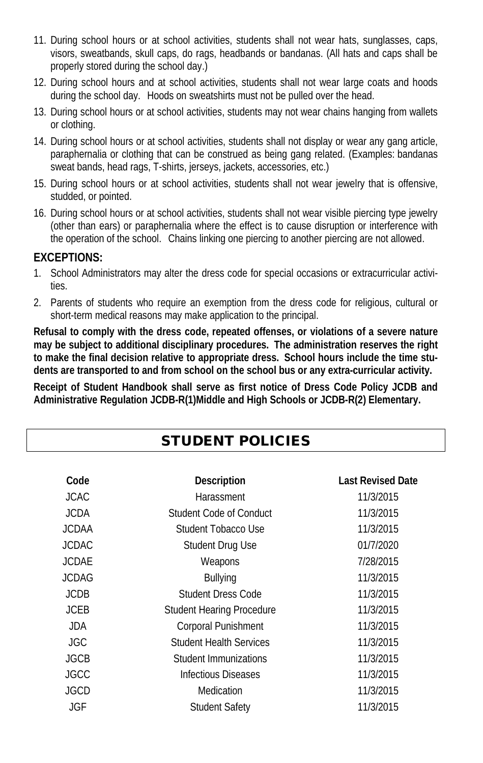- 11. During school hours or at school activities, students shall not wear hats, sunglasses, caps, visors, sweatbands, skull caps, do rags, headbands or bandanas. (All hats and caps shall be properly stored during the school day.)
- 12. During school hours and at school activities, students shall not wear large coats and hoods during the school day. Hoods on sweatshirts must not be pulled over the head.
- 13. During school hours or at school activities, students may not wear chains hanging from wallets or clothing.
- 14. During school hours or at school activities, students shall not display or wear any gang article, paraphernalia or clothing that can be construed as being gang related. (Examples: bandanas sweat bands, head rags, T-shirts, jerseys, jackets, accessories, etc.)
- 15. During school hours or at school activities, students shall not wear jewelry that is offensive, studded, or pointed.
- 16. During school hours or at school activities, students shall not wear visible piercing type jewelry (other than ears) or paraphernalia where the effect is to cause disruption or interference with the operation of the school. Chains linking one piercing to another piercing are not allowed.

### **EXCEPTIONS:**

- 1. School Administrators may alter the dress code for special occasions or extracurricular activities.
- 2. Parents of students who require an exemption from the dress code for religious, cultural or short-term medical reasons may make application to the principal.

**Refusal to comply with the dress code, repeated offenses, or violations of a severe nature may be subject to additional disciplinary procedures. The administration reserves the right to make the final decision relative to appropriate dress. School hours include the time students are transported to and from school on the school bus or any extra-curricular activity.**

**Receipt of Student Handbook shall serve as first notice of Dress Code Policy JCDB and Administrative Regulation JCDB-R(1)Middle and High Schools or JCDB-R(2) Elementary.**

# STUDENT POLICIES

| Code         | <b>Description</b>               | <b>Last Revised Date</b> |
|--------------|----------------------------------|--------------------------|
| JCAC.        | Harassment                       | 11/3/2015                |
| JCDA.        | Student Code of Conduct          | 11/3/2015                |
| <b>JCDAA</b> | Student Tobacco Use              | 11/3/2015                |
| <b>JCDAC</b> | Student Drug Use                 | 01/7/2020                |
| <b>JCDAE</b> | Weapons                          | 7/28/2015                |
| <b>JCDAG</b> | <b>Bullying</b>                  | 11/3/2015                |
| <b>JCDB</b>  | <b>Student Dress Code</b>        | 11/3/2015                |
| <b>JCEB</b>  | <b>Student Hearing Procedure</b> | 11/3/2015                |
| JDA.         | <b>Corporal Punishment</b>       | 11/3/2015                |
| JGC          | <b>Student Health Services</b>   | 11/3/2015                |
| <b>JGCB</b>  | Student Immunizations            | 11/3/2015                |
| JGCC         | Infectious Diseases              | 11/3/2015                |
| JGCD         | Medication                       | 11/3/2015                |
| JGF          | <b>Student Safety</b>            | 11/3/2015                |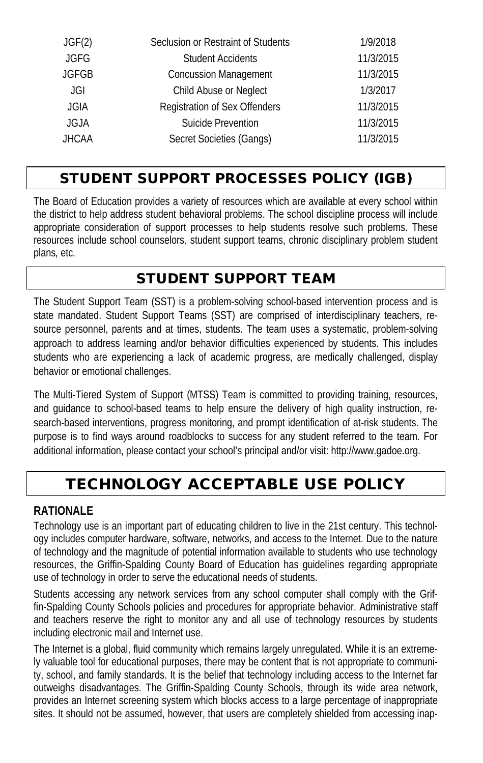| JGF(2)       | Seclusion or Restraint of Students | 1/9/2018  |
|--------------|------------------------------------|-----------|
| <b>JGFG</b>  | <b>Student Accidents</b>           | 11/3/2015 |
| <b>JGFGB</b> | <b>Concussion Management</b>       | 11/3/2015 |
| JGI          | Child Abuse or Neglect             | 1/3/2017  |
| <b>JGIA</b>  | Registration of Sex Offenders      | 11/3/2015 |
| JGJA         | Suicide Prevention                 | 11/3/2015 |
| <b>JHCAA</b> | Secret Societies (Gangs)           | 11/3/2015 |

# STUDENT SUPPORT PROCESSES POLICY (IGB)

The Board of Education provides a variety of resources which are available at every school within the district to help address student behavioral problems. The school discipline process will include appropriate consideration of support processes to help students resolve such problems. These resources include school counselors, student support teams, chronic disciplinary problem student plans*,* etc*.*

# STUDENT SUPPORT TEAM

The Student Support Team (SST) is a problem-solving school-based intervention process and is state mandated. Student Support Teams (SST) are comprised of interdisciplinary teachers, resource personnel, parents and at times, students. The team uses a systematic, problem-solving approach to address learning and/or behavior difficulties experienced by students. This includes students who are experiencing a lack of academic progress, are medically challenged, display behavior or emotional challenges.

The Multi-Tiered System of Support (MTSS) Team is committed to providing training, resources, and guidance to school-based teams to help ensure the delivery of high quality instruction, research-based interventions, progress monitoring, and prompt identification of at-risk students. The purpose is to find ways around roadblocks to success for any student referred to the team. For additional information, please contact your school's principal and/or visit: http://www.gadoe.org.

# TECHNOLOGY ACCEPTABLE USE POLICY

### **RATIONALE**

Technology use is an important part of educating children to live in the 21st century. This technology includes computer hardware, software, networks, and access to the Internet. Due to the nature of technology and the magnitude of potential information available to students who use technology resources, the Griffin-Spalding County Board of Education has guidelines regarding appropriate use of technology in order to serve the educational needs of students.

Students accessing any network services from any school computer shall comply with the Griffin-Spalding County Schools policies and procedures for appropriate behavior. Administrative staff and teachers reserve the right to monitor any and all use of technology resources by students including electronic mail and Internet use.

The Internet is a global, fluid community which remains largely unregulated. While it is an extremely valuable tool for educational purposes, there may be content that is not appropriate to community, school, and family standards. It is the belief that technology including access to the Internet far outweighs disadvantages. The Griffin-Spalding County Schools, through its wide area network, provides an Internet screening system which blocks access to a large percentage of inappropriate sites. It should not be assumed, however, that users are completely shielded from accessing inap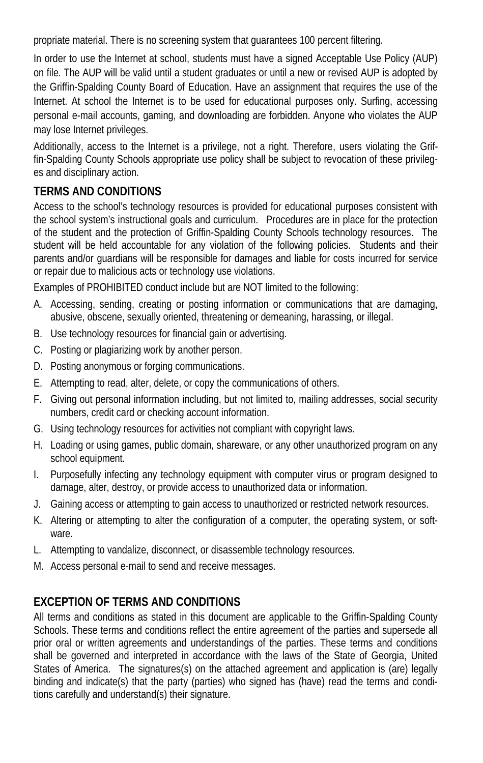propriate material. There is no screening system that guarantees 100 percent filtering.

In order to use the Internet at school, students must have a signed Acceptable Use Policy (AUP) on file. The AUP will be valid until a student graduates or until a new or revised AUP is adopted by the Griffin-Spalding County Board of Education. Have an assignment that requires the use of the Internet. At school the Internet is to be used for educational purposes only. Surfing, accessing personal e-mail accounts, gaming, and downloading are forbidden. Anyone who violates the AUP may lose Internet privileges.

Additionally, access to the Internet is a privilege, not a right. Therefore, users violating the Griffin-Spalding County Schools appropriate use policy shall be subject to revocation of these privileges and disciplinary action.

# **TERMS AND CONDITIONS**

Access to the school's technology resources is provided for educational purposes consistent with the school system's instructional goals and curriculum. Procedures are in place for the protection of the student and the protection of Griffin-Spalding County Schools technology resources. The student will be held accountable for any violation of the following policies. Students and their parents and/or guardians will be responsible for damages and liable for costs incurred for service or repair due to malicious acts or technology use violations.

Examples of PROHIBITED conduct include but are NOT limited to the following:

- A. Accessing, sending, creating or posting information or communications that are damaging, abusive, obscene, sexually oriented, threatening or demeaning, harassing, or illegal.
- B. Use technology resources for financial gain or advertising.
- C. Posting or plagiarizing work by another person.
- D. Posting anonymous or forging communications.
- E. Attempting to read, alter, delete, or copy the communications of others.
- F. Giving out personal information including, but not limited to, mailing addresses, social security numbers, credit card or checking account information.
- G. Using technology resources for activities not compliant with copyright laws.
- H. Loading or using games, public domain, shareware, or any other unauthorized program on any school equipment.
- I. Purposefully infecting any technology equipment with computer virus or program designed to damage, alter, destroy, or provide access to unauthorized data or information.
- J. Gaining access or attempting to gain access to unauthorized or restricted network resources.
- K. Altering or attempting to alter the configuration of a computer, the operating system, or software.
- L. Attempting to vandalize, disconnect, or disassemble technology resources.
- M. Access personal e-mail to send and receive messages.

# **EXCEPTION OF TERMS AND CONDITIONS**

All terms and conditions as stated in this document are applicable to the Griffin-Spalding County Schools. These terms and conditions reflect the entire agreement of the parties and supersede all prior oral or written agreements and understandings of the parties. These terms and conditions shall be governed and interpreted in accordance with the laws of the State of Georgia, United States of America. The signatures(s) on the attached agreement and application is (are) legally binding and indicate(s) that the party (parties) who signed has (have) read the terms and conditions carefully and understand(s) their signature.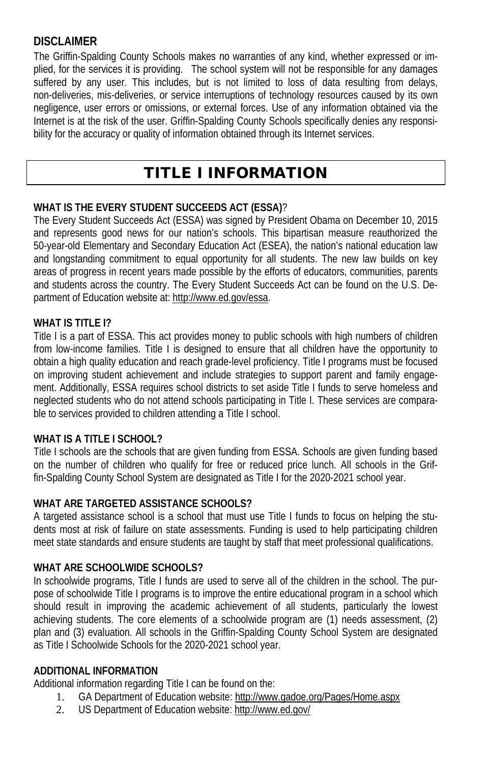### **DISCLAIMER**

The Griffin-Spalding County Schools makes no warranties of any kind, whether expressed or implied, for the services it is providing. The school system will not be responsible for any damages suffered by any user. This includes, but is not limited to loss of data resulting from delays, non-deliveries, mis-deliveries, or service interruptions of technology resources caused by its own negligence, user errors or omissions, or external forces. Use of any information obtained via the Internet is at the risk of the user. Griffin-Spalding County Schools specifically denies any responsibility for the accuracy or quality of information obtained through its Internet services.

# TITLE I INFORMATION

#### **WHAT IS THE EVERY STUDENT SUCCEEDS ACT (ESSA)**?

The Every Student Succeeds Act (ESSA) was signed by President Obama on December 10, 2015 and represents good news for our nation's schools. This bipartisan measure reauthorized the 50-year-old Elementary and Secondary Education Act (ESEA), the nation's national education law and longstanding commitment to equal opportunity for all students. The new law builds on key areas of progress in recent years made possible by the efforts of educators, communities, parents and students across the country. The Every Student Succeeds Act can be found on the U.S. Department of Education website at: http://www.ed.gov/essa.

#### WHAT IS TITLE **1?**

Title I is a part of ESSA. This act provides money to public schools with high numbers of children from low-income families. Title I is designed to ensure that all children have the opportunity to obtain a high quality education and reach grade-level proficiency. Title I programs must be focused on improving student achievement and include strategies to support parent and family engagement. Additionally, ESSA requires school districts to set aside Title I funds to serve homeless and neglected students who do not attend schools participating in Title I. These services are comparable to services provided to children attending a Title I school.

#### **WHAT IS A TITLE I SCHOOL?**

Title I schools are the schools that are given funding from ESSA. Schools are given funding based on the number of children who qualify for free or reduced price lunch. All schools in the Griffin-Spalding County School System are designated as Title I for the 2020-2021 school year.

#### **WHAT ARE TARGETED ASSISTANCE SCHOOLS?**

A targeted assistance school is a school that must use Title I funds to focus on helping the students most at risk of failure on state assessments. Funding is used to help participating children meet state standards and ensure students are taught by staff that meet professional qualifications.

#### **WHAT ARE SCHOOLWIDE SCHOOLS?**

In schoolwide programs, Title I funds are used to serve all of the children in the school. The purpose of schoolwide Title I programs is to improve the entire educational program in a school which should result in improving the academic achievement of all students, particularly the lowest achieving students. The core elements of a schoolwide program are (1) needs assessment, (2) plan and (3) evaluation. All schools in the Griffin-Spalding County School System are designated as Title I Schoolwide Schools for the 2020-2021 school year.

#### **ADDITIONAL INFORMATION**

Additional information regarding Title I can be found on the:

- 1. GA Department of Education website: http://www.gadoe.org/Pages/Home.aspx
- 2. US Department of Education website: http://www.ed.gov/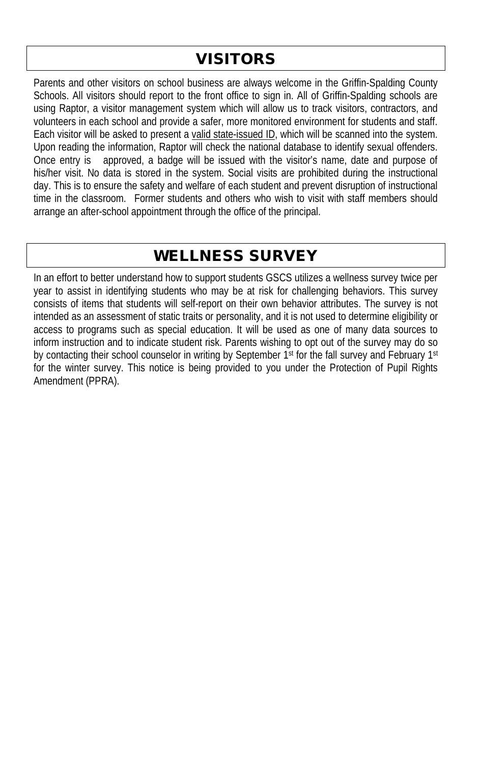# VISITORS

Parents and other visitors on school business are always welcome in the Griffin-Spalding County Schools. All visitors should report to the front office to sign in. All of Griffin-Spalding schools are using Raptor, a visitor management system which will allow us to track visitors, contractors, and volunteers in each school and provide a safer, more monitored environment for students and staff. Each visitor will be asked to present a valid state-issued ID, which will be scanned into the system. Upon reading the information, Raptor will check the national database to identify sexual offenders.<br>Once entry is approved, a badge will be issued with the visitor's name, date and purpose of approved, a badge will be issued with the visitor's name, date and purpose of his/her visit. No data is stored in the system. Social visits are prohibited during the instructional day. This is to ensure the safety and welfare of each student and prevent disruption of instructional time in the classroom. Former students and others who wish to visit with staff members should arrange an after-school appointment through the office of the principal.

# WELLNESS SURVEY

In an effort to better understand how to support students GSCS utilizes a wellness survey twice per year to assist in identifying students who may be at risk for challenging behaviors. This survey consists of items that students will self-report on their own behavior attributes. The survey is not intended as an assessment of static traits or personality, and it is not used to determine eligibility or access to programs such as special education. It will be used as one of many data sources to inform instruction and to indicate student risk. Parents wishing to opt out of the survey may do so by contacting their school counselor in writing by September 1st for the fall survey and February 1st for the winter survey. This notice is being provided to you under the Protection of Pupil Rights Amendment (PPRA).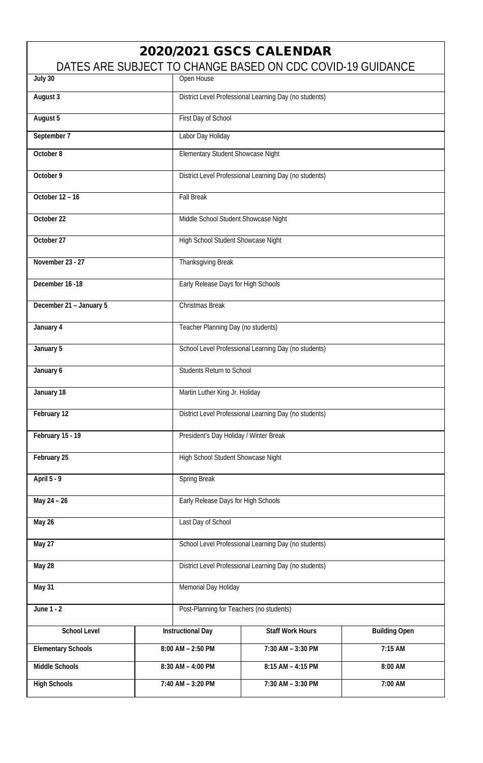# 2020/2021 GSCS CALENDAR

DATES ARE SUBJECT TO CHANGE BASED ON CDC COVID-19 GUIDANCE

| July 30                                  |                                     | Open House                                             |                                                        |                      |  |  |
|------------------------------------------|-------------------------------------|--------------------------------------------------------|--------------------------------------------------------|----------------------|--|--|
| August 3                                 |                                     | District Level Professional Learning Day (no students) |                                                        |                      |  |  |
| August 5                                 |                                     | First Day of School                                    |                                                        |                      |  |  |
| September 7                              |                                     | Labor Day Holiday                                      |                                                        |                      |  |  |
| October 8                                |                                     | Elementary Student Showcase Night                      |                                                        |                      |  |  |
| October 9                                |                                     |                                                        | District Level Professional Learning Day (no students) |                      |  |  |
| October 12 - 16                          |                                     | <b>Fall Break</b>                                      |                                                        |                      |  |  |
| October 22                               |                                     |                                                        | Middle School Student Showcase Night                   |                      |  |  |
| October 27                               |                                     | High School Student Showcase Night                     |                                                        |                      |  |  |
| November 23 - 27                         |                                     | Thanksgiving Break                                     |                                                        |                      |  |  |
| December 16 -18                          | Early Release Days for High Schools |                                                        |                                                        |                      |  |  |
| December 21 - January 5                  |                                     | Christmas Break                                        |                                                        |                      |  |  |
| January 4                                |                                     | Teacher Planning Day (no students)                     |                                                        |                      |  |  |
| January 5                                |                                     | School Level Professional Learning Day (no students)   |                                                        |                      |  |  |
| January 6                                |                                     | Students Return to School                              |                                                        |                      |  |  |
| January 18                               |                                     | Martin Luther King Jr. Holiday                         |                                                        |                      |  |  |
| February 12                              |                                     | District Level Professional Learning Day (no students) |                                                        |                      |  |  |
| February 15 - 19                         |                                     | President's Day Holiday / Winter Break                 |                                                        |                      |  |  |
| February 25                              |                                     | High School Student Showcase Night                     |                                                        |                      |  |  |
| April 5 - 9                              |                                     | Spring Break                                           |                                                        |                      |  |  |
| May 24 - 26                              |                                     | Early Release Days for High Schools                    |                                                        |                      |  |  |
| May 26<br>Last Day of School             |                                     |                                                        |                                                        |                      |  |  |
| May 27                                   |                                     |                                                        | School Level Professional Learning Day (no students)   |                      |  |  |
| May 28                                   |                                     | District Level Professional Learning Day (no students) |                                                        |                      |  |  |
| May 31                                   |                                     | Memorial Day Holiday                                   |                                                        |                      |  |  |
| June 1 - 2                               |                                     | Post-Planning for Teachers (no students)               |                                                        |                      |  |  |
| <b>School Level</b>                      |                                     | <b>Instructional Day</b>                               | <b>Staff Work Hours</b>                                | <b>Building Open</b> |  |  |
| <b>Elementary Schools</b>                |                                     | $8:00$ AM $- 2:50$ PM                                  | 7:30 AM - 3:30 PM                                      | $7:15$ AM            |  |  |
| <b>Middle Schools</b>                    | 8:30 AM - 4:00 PM                   |                                                        | 8:15 AM - 4:15 PM                                      | 8:00 AM              |  |  |
| <b>High Schools</b><br>7:40 AM - 3:20 PM |                                     |                                                        | 7:30 AM - 3:30 PM                                      | 7:00 AM              |  |  |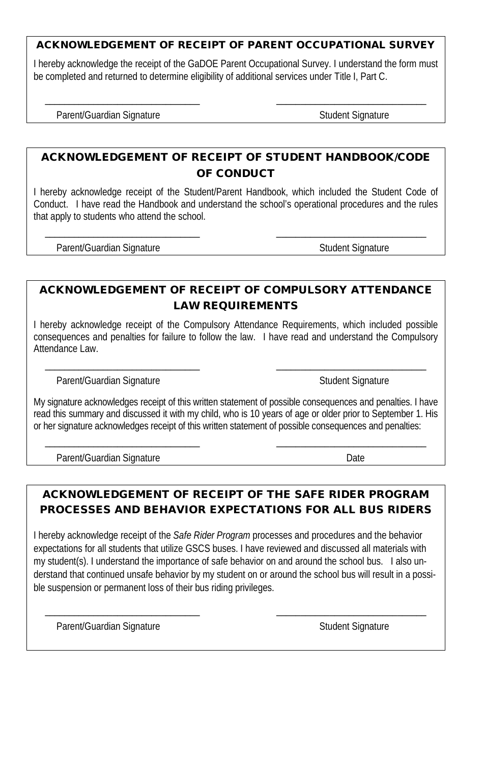#### ACKNOWLEDGEMENT OF RECEIPT OF PARENT OCCUPATIONAL SURVEY

I hereby acknowledge the receipt of the GaDOE Parent Occupational Survey. I understand the form must be completed and returned to determine eligibility of additional services under Title I, Part C.

\_\_\_\_\_\_\_\_\_\_\_\_\_\_\_\_\_\_\_\_\_\_\_\_\_\_\_\_\_\_\_\_ \_\_\_\_\_\_\_\_\_\_\_\_\_\_\_\_\_\_\_\_\_\_\_\_\_\_\_\_\_\_\_

Parent/Guardian Signature Student Signature Student Signature

### ACKNOWLEDGEMENT OF RECEIPT OF STUDENT HANDBOOK/CODE OF CONDUCT

I hereby acknowledge receipt of the Student/Parent Handbook, which included the Student Code of Conduct. I have read the Handbook and understand the school's operational procedures and the rules that apply to students who attend the school.

\_\_\_\_\_\_\_\_\_\_\_\_\_\_\_\_\_\_\_\_\_\_\_\_\_\_\_\_\_\_\_\_ \_\_\_\_\_\_\_\_\_\_\_\_\_\_\_\_\_\_\_\_\_\_\_\_\_\_\_\_\_\_\_

Parent/Guardian Signature Student Signature Student Signature

### ACKNOWLEDGEMENT OF RECEIPT OF COMPULSORY ATTENDANCE LAW REQUIREMENTS

I hereby acknowledge receipt of the Compulsory Attendance Requirements, which included possible consequences and penalties for failure to follow the law. I have read and understand the Compulsory Attendance Law.

\_\_\_\_\_\_\_\_\_\_\_\_\_\_\_\_\_\_\_\_\_\_\_\_\_\_\_\_\_\_\_\_ \_\_\_\_\_\_\_\_\_\_\_\_\_\_\_\_\_\_\_\_\_\_\_\_\_\_\_\_\_\_\_

Parent/Guardian Signature Student Signature Student Signature

My signature acknowledges receipt of this written statement of possible consequences and penalties. I have read this summary and discussed it with my child, who is 10 years of age or older prior to September 1. His or her signature acknowledges receipt of this written statement of possible consequences and penalties:

\_\_\_\_\_\_\_\_\_\_\_\_\_\_\_\_\_\_\_\_\_\_\_\_\_\_\_\_\_\_\_\_ \_\_\_\_\_\_\_\_\_\_\_\_\_\_\_\_\_\_\_\_\_\_\_\_\_\_\_\_\_\_\_

Parent/Guardian Signature Date

## ACKNOWLEDGEMENT OF RECEIPT OF THE SAFE RIDER PROGRAM PROCESSES AND BEHAVIOR EXPECTATIONS FOR ALL BUS RIDERS

I hereby acknowledge receipt of the *Safe Rider Program* processes and procedures and the behavior expectations for all students that utilize GSCS buses. I have reviewed and discussed all materials with my student(s). I understand the importance of safe behavior on and around the school bus. I also understand that continued unsafe behavior by my student on or around the school bus will result in a possible suspension or permanent loss of their bus riding privileges.

\_\_\_\_\_\_\_\_\_\_\_\_\_\_\_\_\_\_\_\_\_\_\_\_\_\_\_\_\_\_\_\_ \_\_\_\_\_\_\_\_\_\_\_\_\_\_\_\_\_\_\_\_\_\_\_\_\_\_\_\_\_\_\_

Parent/Guardian Signature Student Signature Student Signature